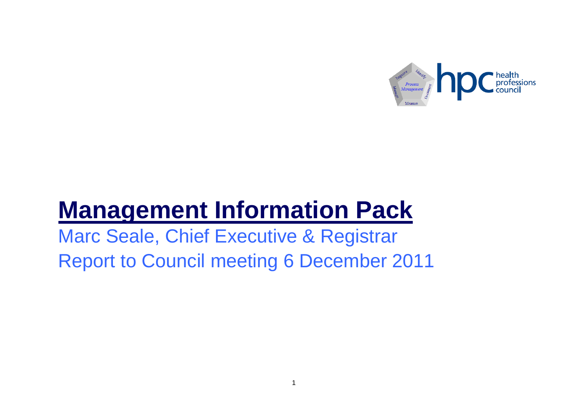

# **Management Information Pack**

Marc Seale, Chief Executive & Registrar Report to Council meeting 6 December 2011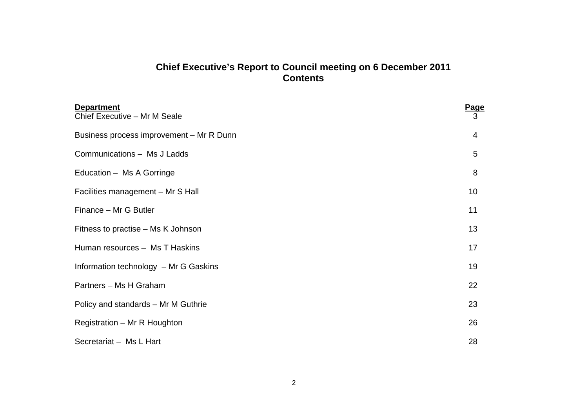# **Chief Executive's Report to Council meeting on 6 December 2011 Contents**

| <b>Department</b><br>Chief Executive - Mr M Seale | <b>Page</b><br>3 |
|---------------------------------------------------|------------------|
| Business process improvement - Mr R Dunn          | 4                |
| Communications - Ms J Ladds                       | 5                |
| Education - Ms A Gorringe                         | 8                |
| Facilities management - Mr S Hall                 | 10 <sup>1</sup>  |
| Finance - Mr G Butler                             | 11               |
| Fitness to practise – Ms K Johnson                | 13               |
| Human resources - Ms T Haskins                    | 17               |
| Information technology - Mr G Gaskins             | 19               |
| Partners - Ms H Graham                            | 22               |
| Policy and standards - Mr M Guthrie               | 23               |
| Registration - Mr R Houghton                      | 26               |
| Secretariat - Ms L Hart                           | 28               |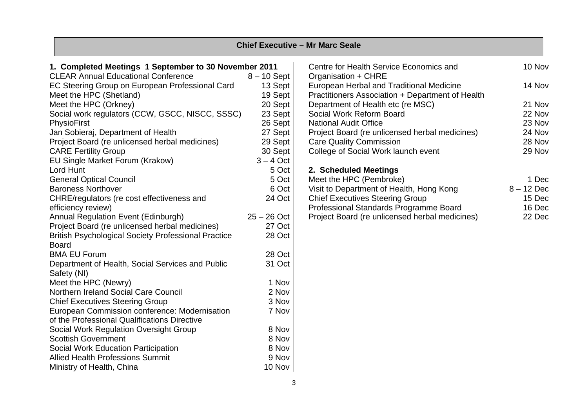|                                                            |               | <b>Chief Executive - Mr Marc Seale</b>           |              |
|------------------------------------------------------------|---------------|--------------------------------------------------|--------------|
| 1. Completed Meetings 1 September to 30 November 2011      |               | Centre for Health Service Economics and          | 10 Nov       |
| <b>CLEAR Annual Educational Conference</b>                 | $8 - 10$ Sept | Organisation + CHRE                              |              |
| EC Steering Group on European Professional Card            | 13 Sept       | European Herbal and Traditional Medicine         | 14 Nov       |
| Meet the HPC (Shetland)                                    | 19 Sept       | Practitioners Association + Department of Health |              |
| Meet the HPC (Orkney)                                      | 20 Sept       | Department of Health etc (re MSC)                | 21 Nov       |
| Social work regulators (CCW, GSCC, NISCC, SSSC)            | 23 Sept       | Social Work Reform Board                         | 22 Nov       |
| PhysioFirst                                                | 26 Sept       | <b>National Audit Office</b>                     | 23 Nov       |
| Jan Sobieraj, Department of Health                         | 27 Sept       | Project Board (re unlicensed herbal medicines)   | 24 Nov       |
| Project Board (re unlicensed herbal medicines)             | 29 Sept       | <b>Care Quality Commission</b>                   | 28 Nov       |
| <b>CARE Fertility Group</b>                                | 30 Sept       | College of Social Work launch event              | 29 Nov       |
| EU Single Market Forum (Krakow)                            | $3 - 4$ Oct   |                                                  |              |
| Lord Hunt                                                  | 5 Oct         | 2. Scheduled Meetings                            |              |
| <b>General Optical Council</b>                             | 5 Oct         | Meet the HPC (Pembroke)                          | 1 Dec        |
| <b>Baroness Northover</b>                                  | 6 Oct         | Visit to Department of Health, Hong Kong         | $8 - 12$ Dec |
| CHRE/regulators (re cost effectiveness and                 | 24 Oct        | <b>Chief Executives Steering Group</b>           | 15 Dec       |
| efficiency review)                                         |               | Professional Standards Programme Board           | 16 Dec       |
| Annual Regulation Event (Edinburgh)                        | $25 - 26$ Oct | Project Board (re unlicensed herbal medicines)   | 22 Dec       |
| Project Board (re unlicensed herbal medicines)             | 27 Oct        |                                                  |              |
| <b>British Psychological Society Professional Practice</b> | 28 Oct        |                                                  |              |
| <b>Board</b>                                               |               |                                                  |              |
| <b>BMA EU Forum</b>                                        | 28 Oct        |                                                  |              |
| Department of Health, Social Services and Public           | 31 Oct        |                                                  |              |
| Safety (NI)                                                |               |                                                  |              |
| Meet the HPC (Newry)                                       | 1 Nov         |                                                  |              |
| Northern Ireland Social Care Council                       | 2 Nov         |                                                  |              |
| <b>Chief Executives Steering Group</b>                     | 3 Nov         |                                                  |              |
| European Commission conference: Modernisation              | 7 Nov         |                                                  |              |
| of the Professional Qualifications Directive               |               |                                                  |              |
| Social Work Regulation Oversight Group                     | 8 Nov         |                                                  |              |
| <b>Scottish Government</b>                                 | 8 Nov         |                                                  |              |
| Social Work Education Participation                        | 8 Nov         |                                                  |              |
| <b>Allied Health Professions Summit</b>                    | 9 Nov         |                                                  |              |
| Ministry of Health, China                                  | 10 Nov        |                                                  |              |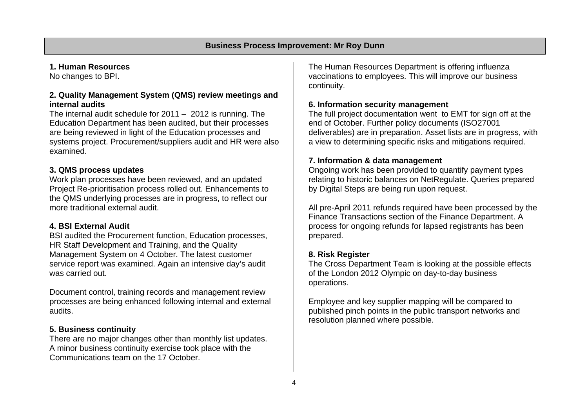# **1. Human Resources**

No changes to BPI.

# **2. Quality Management System (QMS) review meetings and internal audits**

The internal audit schedule for 2011 – 2012 is running. The Education Department has been audited, but their processes are being reviewed in light of the Education processes and systems project. Procurement/suppliers audit and HR were also examined.

## **3. QMS process updates**

Work plan processes have been reviewed, and an updated Project Re-prioritisation process rolled out. Enhancements to the QMS underlying processes are in progress, to reflect our more traditional external audit.

# **4. BSI External Audit**

BSI audited the Procurement function, Education processes, HR Staff Development and Training, and the Quality Management System on 4 October. The latest customer service report was examined. Again an intensive day's audit was carried out.

Document control, training records and management review processes are being enhanced following internal and external audits.

# **5. Business continuity**

There are no major changes other than monthly list updates. A minor business continuity exercise took place with the Communications team on the 17 October.

The Human Resources Department is offering influenza vaccinations to employees. This will improve our business continuity.

## **6. Information security management**

The full project documentation went to EMT for sign off at the end of October. Further policy documents (ISO27001 deliverables) are in preparation. Asset lists are in progress, with a view to determining specific risks and mitigations required.

# **7. Information & data management**

Ongoing work has been provided to quantify payment types relating to historic balances on NetRegulate. Queries prepared by Digital Steps are being run upon request.

All pre-April 2011 refunds required have been processed by the Finance Transactions section of the Finance Department. A process for ongoing refunds for lapsed registrants has been prepared.

# **8. Risk Register**

The Cross Department Team is looking at the possible effects of the London 2012 Olympic on day-to-day business operations.

Employee and key supplier mapping will be compared to published pinch points in the public transport networks and resolution planned where possible.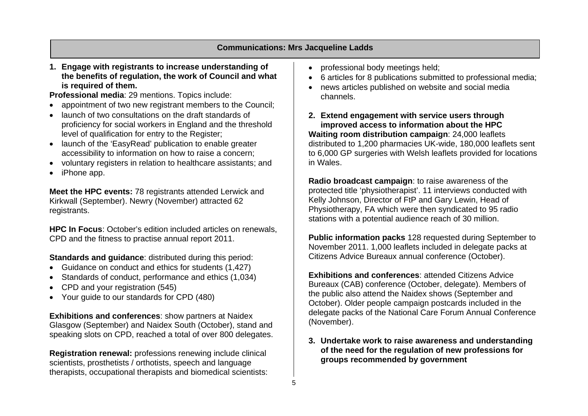# **Communications: Mrs Jacqueline Ladds**

**1. Engage with registrants to increase understanding of the benefits of regulation, the work of Council and what is required of them.** 

**Professional media**: 29 mentions. Topics include:

- appointment of two new registrant members to the Council;
- launch of two consultations on the draft standards of proficiency for social workers in England and the threshold level of qualification for entry to the Register;
- launch of the 'EasyRead' publication to enable greater accessibility to information on how to raise a concern;
- voluntary registers in relation to healthcare assistants; and
- iPhone app.

**Meet the HPC events:** 78 registrants attended Lerwick and Kirkwall (September). Newry (November) attracted 62 registrants.

**HPC In Focus**: October's edition included articles on renewals, CPD and the fitness to practise annual report 2011.

**Standards and guidance**: distributed during this period:

- Guidance on conduct and ethics for students (1,427)
- Standards of conduct, performance and ethics (1,034)
- CPD and your registration (545)
- Your guide to our standards for CPD (480)

**Exhibitions and conferences**: show partners at Naidex Glasgow (September) and Naidex South (October), stand and speaking slots on CPD, reached a total of over 800 delegates.

**Registration renewal:** professions renewing include clinical scientists, prosthetists / orthotists, speech and language therapists, occupational therapists and biomedical scientists:

- professional body meetings held;
- 6 articles for 8 publications submitted to professional media;
- news articles published on website and social media channels.
- **2. Extend engagement with service users through improved access to information about the HPC Waiting room distribution campaign**: 24,000 leaflets distributed to 1,200 pharmacies UK-wide, 180,000 leaflets sent to 6,000 GP surgeries with Welsh leaflets provided for locations in Wales.

**Radio broadcast campaign**: to raise awareness of the protected title 'physiotherapist'. 11 interviews conducted with Kelly Johnson, Director of FtP and Gary Lewin, Head of Physiotherapy, FA which were then syndicated to 95 radio stations with a potential audience reach of 30 million.

**Public information packs** 128 requested during September to November 2011. 1,000 leaflets included in delegate packs at Citizens Advice Bureaux annual conference (October).

**Exhibitions and conferences: attended Citizens Advice** Bureaux (CAB) conference (October, delegate). Members of the public also attend the Naidex shows (September and October). Older people campaign postcards included in the delegate packs of the National Care Forum Annual Conference (November).

**3. Undertake work to raise awareness and understanding of the need for the regulation of new professions for groups recommended by government**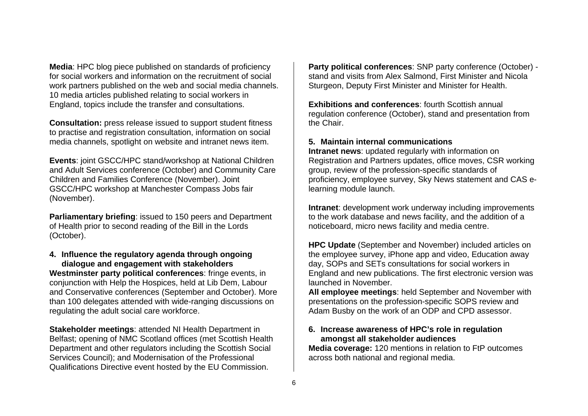**Media**: HPC blog piece published on standards of proficiency for social workers and information on the recruitment of social work partners published on the web and social media channels. 10 media articles published relating to social workers in England, topics include the transfer and consultations.

**Consultation:** press release issued to support student fitness to practise and registration consultation, information on social media channels, spotlight on website and intranet news item.

**Events**: joint GSCC/HPC stand/workshop at National Children and Adult Services conference (October) and Community Care Children and Families Conference (November). Joint GSCC/HPC workshop at Manchester Compass Jobs fair (November).

**Parliamentary briefing**: issued to 150 peers and Department of Health prior to second reading of the Bill in the Lords (October).

#### **4. Influence the regulatory agenda through ongoing dialogue and engagement with stakeholders**

**Westminster party political conferences**: fringe events, in conjunction with Help the Hospices, held at Lib Dem, Labour and Conservative conferences (September and October). More than 100 delegates attended with wide-ranging discussions on regulating the adult social care workforce.

**Stakeholder meetings**: attended NI Health Department in Belfast; opening of NMC Scotland offices (met Scottish Health Department and other regulators including the Scottish Social Services Council); and Modernisation of the Professional Qualifications Directive event hosted by the EU Commission.

**Party political conferences**: SNP party conference (October) stand and visits from Alex Salmond, First Minister and Nicola Sturgeon, Deputy First Minister and Minister for Health.

**Exhibitions and conferences:** fourth Scottish annual regulation conference (October), stand and presentation from the Chair.

#### **5. Maintain internal communications**

**Intranet news**: updated regularly with information on Registration and Partners updates, office moves, CSR working group, review of the profession-specific standards of proficiency, employee survey, Sky News statement and CAS elearning module launch.

**Intranet**: development work underway including improvements to the work database and news facility, and the addition of a noticeboard, micro news facility and media centre.

**HPC Update** (September and November) included articles on the employee survey, iPhone app and video, Education away day, SOPs and SETs consultations for social workers in England and new publications. The first electronic version was launched in November.

**All employee meetings**: held September and November with presentations on the profession-specific SOPS review and Adam Busby on the work of an ODP and CPD assessor.

#### **6. Increase awareness of HPC's role in regulation amongst all stakeholder audiences**

**Media coverage:** 120 mentions in relation to FtP outcomes across both national and regional media.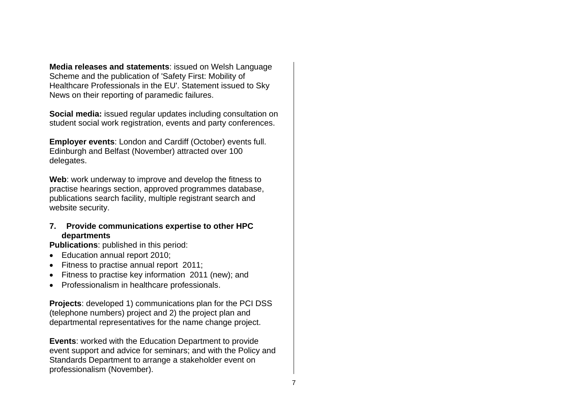**Media releases and statements**: issued on Welsh Language Scheme and the publication of 'Safety First: Mobility of Healthcare Professionals in the EU'. Statement issued to Sky News on their reporting of paramedic failures.

**Social media:** issued regular updates including consultation on student social work registration, events and party conferences.

**Employer events**: London and Cardiff (October) events full. Edinburgh and Belfast (November) attracted over 100 delegates.

**Web**: work underway to improve and develop the fitness to practise hearings section, approved programmes database, publications search facility, multiple registrant search and website security.

## **7. Provide communications expertise to other HPC departments**

**Publications**: published in this period:

- Education annual report 2010;
- Fitness to practise annual report 2011;
- Fitness to practise key information 2011 (new); and
- Professionalism in healthcare professionals.

**Projects**: developed 1) communications plan for the PCI DSS (telephone numbers) project and 2) the project plan and departmental representatives for the name change project.

**Events**: worked with the Education Department to provide event support and advice for seminars; and with the Policy and Standards Department to arrange a stakeholder event on professionalism (November).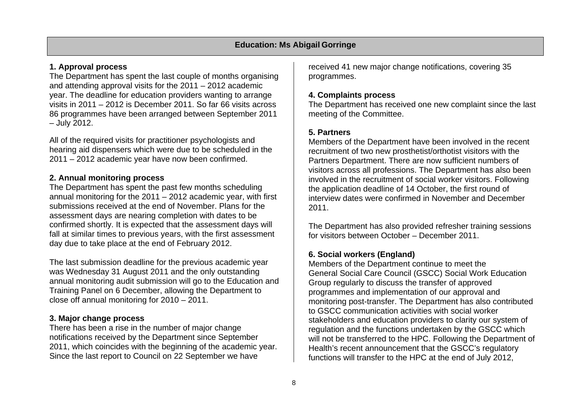# **1. Approval process**

The Department has spent the last couple of months organising and attending approval visits for the 2011 – 2012 academic year. The deadline for education providers wanting to arrange visits in 2011 – 2012 is December 2011. So far 66 visits across 86 programmes have been arranged between September 2011 – July 2012.

All of the required visits for practitioner psychologists and hearing aid dispensers which were due to be scheduled in the 2011 – 2012 academic year have now been confirmed.

# **2. Annual monitoring process**

The Department has spent the past few months scheduling annual monitoring for the 2011 – 2012 academic year, with first submissions received at the end of November. Plans for the assessment days are nearing completion with dates to be confirmed shortly. It is expected that the assessment days will fall at similar times to previous years, with the first assessment day due to take place at the end of February 2012.

The last submission deadline for the previous academic year was Wednesday 31 August 2011 and the only outstanding annual monitoring audit submission will go to the Education and Training Panel on 6 December, allowing the Department to close off annual monitoring for 2010 – 2011.

# **3. Major change process**

There has been a rise in the number of major change notifications received by the Department since September 2011, which coincides with the beginning of the academic year. Since the last report to Council on 22 September we have

received 41 new major change notifications, covering 35 programmes.

# **4. Complaints process**

The Department has received one new complaint since the last meeting of the Committee.

# **5. Partners**

Members of the Department have been involved in the recent recruitment of two new prosthetist/orthotist visitors with the Partners Department. There are now sufficient numbers of visitors across all professions. The Department has also been involved in the recruitment of social worker visitors. Following the application deadline of 14 October, the first round of interview dates were confirmed in November and December 2011.

The Department has also provided refresher training sessions for visitors between October – December 2011.

# **6. Social workers (England)**

Members of the Department continue to meet the General Social Care Council (GSCC) Social Work Education Group regularly to discuss the transfer of approved programmes and implementation of our approval and monitoring post-transfer. The Department has also contributed to GSCC communication activities with social worker stakeholders and education providers to clarity our system of regulation and the functions undertaken by the GSCC which will not be transferred to the HPC. Following the Department of Health's recent announcement that the GSCC's regulatory functions will transfer to the HPC at the end of July 2012,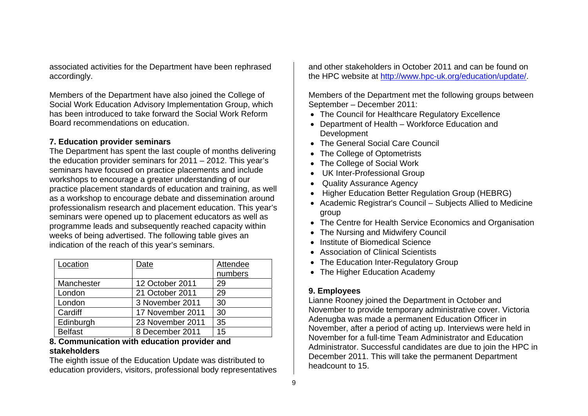associated activities for the Department have been rephrased accordingly.

Members of the Department have also joined the College of Social Work Education Advisory Implementation Group, which has been introduced to take forward the Social Work Reform Board recommendations on education.

## **7. Education provider seminars**

The Department has spent the last couple of months delivering the education provider seminars for 2011 – 2012. This year's seminars have focused on practice placements and include workshops to encourage a greater understanding of our practice placement standards of education and training, as well as a workshop to encourage debate and dissemination around professionalism research and placement education. This year's seminars were opened up to placement educators as well as programme leads and subsequently reached capacity within weeks of being advertised. The following table gives an indication of the reach of this year's seminars.

| Location       | Date             | <b>Attendee</b> |
|----------------|------------------|-----------------|
|                |                  | numbers         |
| Manchester     | 12 October 2011  | 29              |
| London         | 21 October 2011  | 29              |
| London         | 3 November 2011  | 30              |
| Cardiff        | 17 November 2011 | 30              |
| Edinburgh      | 23 November 2011 | 35              |
| <b>Belfast</b> | 8 December 2011  | 15              |

#### **8. Communication with education provider and stakeholders**

The eighth issue of the Education Update was distributed to education providers, visitors, professional body representatives

and other stakeholders in October 2011 and can be found on the HPC website at http://www.hpc-uk.org/education/update/.

Members of the Department met the following groups between September – December 2011:

- The Council for Healthcare Regulatory Excellence
- Department of Health Workforce Education and Development
- The General Social Care Council
- The College of Optometrists
- The College of Social Work
- UK Inter-Professional Group
- Quality Assurance Agency
- Higher Education Better Regulation Group (HEBRG)
- Academic Registrar's Council Subjects Allied to Medicine group
- The Centre for Health Service Economics and Organisation
- The Nursing and Midwifery Council
- Institute of Biomedical Science
- Association of Clinical Scientists
- The Education Inter-Regulatory Group
- The Higher Education Academy

# **9. Employees**

Lianne Rooney joined the Department in October and November to provide temporary administrative cover. Victoria Adenugba was made a permanent Education Officer in November, after a period of acting up. Interviews were held in November for a full-time Team Administrator and Education Administrator. Successful candidates are due to join the HPC in December 2011. This will take the permanent Department headcount to 15.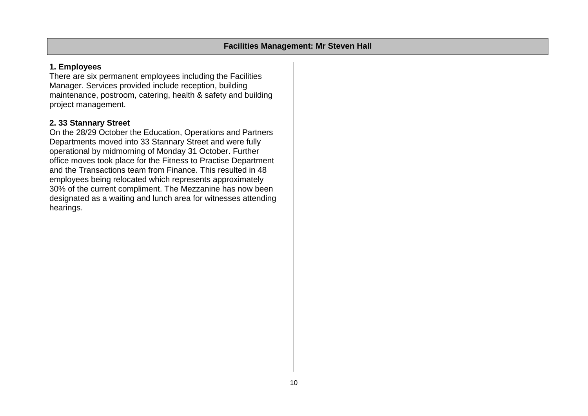# **1. Employees**

There are six permanent employees including the Facilities Manager. Services provided include reception, building maintenance, postroom, catering, health & safety and building project management.

# **2. 33 Stannary Street**

On the 28/29 October the Education, Operations and Partners Departments moved into 33 Stannary Street and were fully operational by midmorning of Monday 31 October. Further office moves took place for the Fitness to Practise Department and the Transactions team from Finance. This resulted in 48 employees being relocated which represents approximately 30% of the current compliment. The Mezzanine has now been designated as a waiting and lunch area for witnesses attending hearings.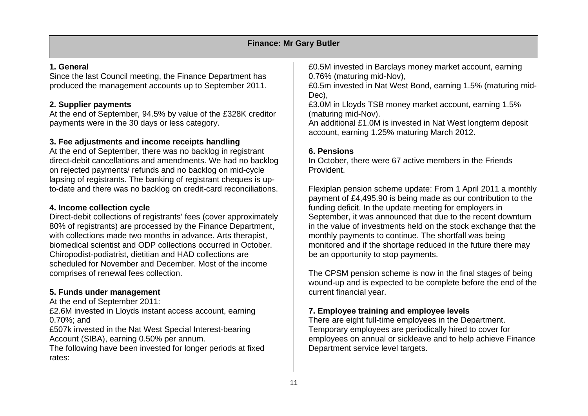|                                                                                                                                                                                                                                                                                                                                                                                                                           | <b>Finance: Mr Gary Butler</b>                                                                                                                                                                                                                                                                                                                             |
|---------------------------------------------------------------------------------------------------------------------------------------------------------------------------------------------------------------------------------------------------------------------------------------------------------------------------------------------------------------------------------------------------------------------------|------------------------------------------------------------------------------------------------------------------------------------------------------------------------------------------------------------------------------------------------------------------------------------------------------------------------------------------------------------|
| 1. General                                                                                                                                                                                                                                                                                                                                                                                                                | £0.5M invested in Barclays money market account, earning                                                                                                                                                                                                                                                                                                   |
| Since the last Council meeting, the Finance Department has<br>produced the management accounts up to September 2011.                                                                                                                                                                                                                                                                                                      | 0.76% (maturing mid-Nov),<br>£0.5m invested in Nat West Bond, earning 1.5% (maturing mid-                                                                                                                                                                                                                                                                  |
| 2. Supplier payments                                                                                                                                                                                                                                                                                                                                                                                                      | Dec),<br>£3.0M in Lloyds TSB money market account, earning 1.5%                                                                                                                                                                                                                                                                                            |
| At the end of September, 94.5% by value of the £328K creditor<br>payments were in the 30 days or less category.                                                                                                                                                                                                                                                                                                           | (maturing mid-Nov).<br>An additional £1.0M is invested in Nat West longterm deposit<br>account, earning 1.25% maturing March 2012.                                                                                                                                                                                                                         |
| 3. Fee adjustments and income receipts handling                                                                                                                                                                                                                                                                                                                                                                           |                                                                                                                                                                                                                                                                                                                                                            |
| At the end of September, there was no backlog in registrant<br>direct-debit cancellations and amendments. We had no backlog<br>on rejected payments/ refunds and no backlog on mid-cycle<br>lapsing of registrants. The banking of registrant cheques is up-                                                                                                                                                              | <b>6. Pensions</b><br>In October, there were 67 active members in the Friends<br>Provident.                                                                                                                                                                                                                                                                |
| to-date and there was no backlog on credit-card reconciliations.                                                                                                                                                                                                                                                                                                                                                          | Flexiplan pension scheme update: From 1 April 2011 a monthly<br>payment of £4,495.90 is being made as our contribution to the                                                                                                                                                                                                                              |
| 4. Income collection cycle<br>Direct-debit collections of registrants' fees (cover approximately<br>80% of registrants) are processed by the Finance Department,<br>with collections made two months in advance. Arts therapist,<br>biomedical scientist and ODP collections occurred in October.<br>Chiropodist-podiatrist, dietitian and HAD collections are<br>scheduled for November and December. Most of the income | funding deficit. In the update meeting for employers in<br>September, it was announced that due to the recent downturn<br>in the value of investments held on the stock exchange that the<br>monthly payments to continue. The shortfall was being<br>monitored and if the shortage reduced in the future there may<br>be an opportunity to stop payments. |
| comprises of renewal fees collection.<br>5. Funds under management<br>At the end of September 2011:                                                                                                                                                                                                                                                                                                                       | The CPSM pension scheme is now in the final stages of being<br>wound-up and is expected to be complete before the end of the<br>current financial year.                                                                                                                                                                                                    |

## **7. Employee training and employee levels**

There are eight full-time employees in the Department. Temporary employees are periodically hired to cover for employees on annual or sickleave and to help achieve Finance Department service level targets.

£2.6M invested in Lloyds instant access account, earning

£507k invested in the Nat West Special Interest-bearing

The following have been invested for longer periods at fixed

Account (SIBA), earning 0.50% per annum.

0.70%; and

rates: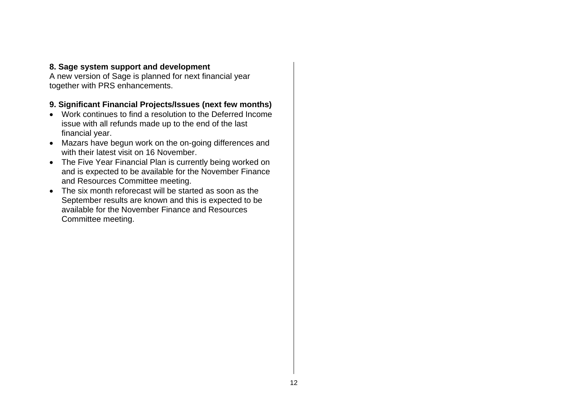## **8. Sage system support and development**

A new version of Sage is planned for next financial year together with PRS enhancements.

## **9. Significant Financial Projects/Issues (next few months)**

- Work continues to find a resolution to the Deferred Income issue with all refunds made up to the end of the last financial year.
- Mazars have begun work on the on-going differences and with their latest visit on 16 November.
- The Five Year Financial Plan is currently being worked on and is expected to be available for the November Finance and Resources Committee meeting.
- The six month reforecast will be started as soon as the September results are known and this is expected to be available for the November Finance and Resources Committee meeting.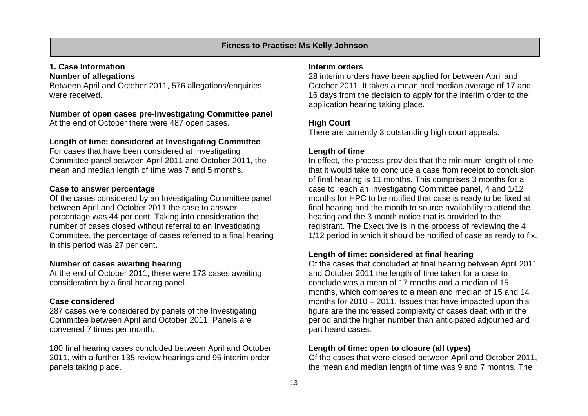## **Fitness to Practise: Ms Kelly Johnson**

#### **1. Case Information Number of allegations**

Between April and October 2011, 576 allegations/enquiries were received.

**Number of open cases pre-Investigating Committee panel**  At the end of October there were 487 open cases.

## **Length of time: considered at Investigating Committee**

For cases that have been considered at Investigating Committee panel between April 2011 and October 2011, the mean and median length of time was 7 and 5 months.

#### **Case to answer percentage**

Of the cases considered by an Investigating Committee panel between April and October 2011 the case to answer percentage was 44 per cent. Taking into consideration the number of cases closed without referral to an Investigating Committee, the percentage of cases referred to a final hearing in this period was 27 per cent.

#### **Number of cases awaiting hearing**

At the end of October 2011, there were 173 cases awaiting consideration by a final hearing panel.

# **Case considered**

287 cases were considered by panels of the Investigating Committee between April and October 2011. Panels are convened 7 times per month.

180 final hearing cases concluded between April and October 2011, with a further 135 review hearings and 95 interim order panels taking place.

#### **Interim orders**

28 interim orders have been applied for between April and October 2011. It takes a mean and median average of 17 and 16 days from the decision to apply for the interim order to the application hearing taking place.

# **High Court**

There are currently 3 outstanding high court appeals.

# **Length of time**

In effect, the process provides that the minimum length of time that it would take to conclude a case from receipt to conclusion of final hearing is 11 months. This comprises 3 months for a case to reach an Investigating Committee panel, 4 and 1/12 months for HPC to be notified that case is ready to be fixed at final hearing and the month to source availability to attend the hearing and the 3 month notice that is provided to the registrant. The Executive is in the process of reviewing the 4 1/12 period in which it should be notified of case as ready to fix.

# **Length of time: considered at final hearing**

Of the cases that concluded at final hearing between April 2011 and October 2011 the length of time taken for a case to conclude was a mean of 17 months and a median of 15 months, which compares to a mean and median of 15 and 14 months for 2010 – 2011. Issues that have impacted upon this figure are the increased complexity of cases dealt with in the period and the higher number than anticipated adjourned and part heard cases.

#### **Length of time: open to closure (all types)**

Of the cases that were closed between April and October 2011, the mean and median length of time was 9 and 7 months. The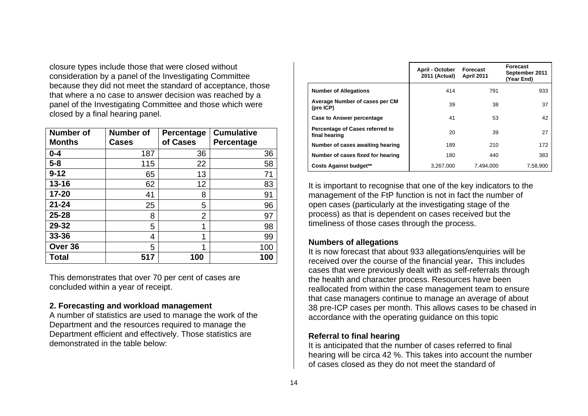closure types include those that were closed without consideration by a panel of the Investigating Committee because they did not meet the standard of acceptance, those that where a no case to answer decision was reached by a panel of the Investigating Committee and those which were closed by a final hearing panel.

| <b>Number of</b><br><b>Months</b> | <b>Number of</b><br>Cases | Percentage<br>of Cases | <b>Cumulative</b><br>Percentage |
|-----------------------------------|---------------------------|------------------------|---------------------------------|
| $0 - 4$                           | 187                       | 36                     | 36                              |
| $5-8$                             | 115                       | 22                     | 58                              |
| $9 - 12$                          | 65                        | 13                     | 71                              |
| $13 - 16$                         | 62                        | 12                     | 83                              |
| 17-20                             | 41                        | 8                      | 91                              |
| $21 - 24$                         | 25                        | 5                      | 96                              |
| $25 - 28$                         | 8                         | 2                      | 97                              |
| 29-32                             | 5                         | 1                      | 98                              |
| 33-36                             | 4                         | 1                      | 99                              |
| Over 36                           | 5                         |                        | 100                             |
| <b>Total</b>                      | 517                       | 100                    | 100                             |

This demonstrates that over 70 per cent of cases are concluded within a year of receipt.

#### **2. Forecasting and workload management**

A number of statistics are used to manage the work of the Department and the resources required to manage the Department efficient and effectively. Those statistics are demonstrated in the table below:

|                                                  | April - October<br>2011 (Actual) | Forecast<br><b>April 2011</b> | <b>Forecast</b><br>September 2011<br>(Year End) |
|--------------------------------------------------|----------------------------------|-------------------------------|-------------------------------------------------|
| <b>Number of Allegations</b>                     | 414                              | 791                           | 933                                             |
| Average Number of cases per CM<br>(pre ICP)      | 39                               | 38                            | 37                                              |
| <b>Case to Answer percentage</b>                 | 41                               | 53                            | 42                                              |
| Percentage of Cases referred to<br>final hearing | 20                               | 39                            | 27                                              |
| Number of cases awaiting hearing                 | 189                              | 210                           | 172                                             |
| Number of cases fixed for hearing                | 180                              | 440                           | 383                                             |
| <b>Costs Against budget**</b>                    | 3,267,000                        | 7.494.000                     | 7,58,900                                        |

It is important to recognise that one of the key indicators to the management of the FtP function is not in fact the number of open cases (particularly at the investigating stage of the process) as that is dependent on cases received but the timeliness of those cases through the process.

#### **Numbers of allegations**

It is now forecast that about 933 allegations/enquiries will be received over the course of the financial year**.** This includes cases that were previously dealt with as self-referrals through the health and character process. Resources have been reallocated from within the case management team to ensure that case managers continue to manage an average of about 38 pre-ICP cases per month. This allows cases to be chased in accordance with the operating guidance on this topic

#### **Referral to final hearing**

It is anticipated that the number of cases referred to final hearing will be circa 42 %. This takes into account the number of cases closed as they do not meet the standard of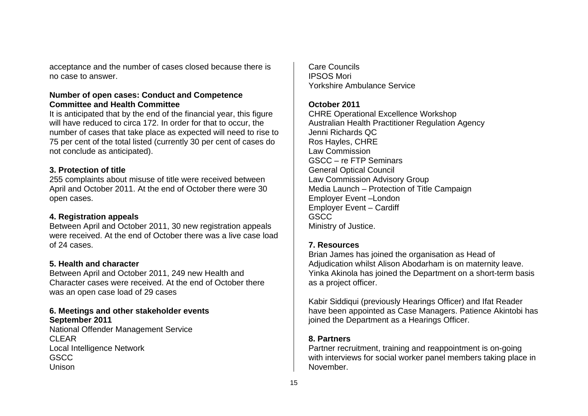acceptance and the number of cases closed because there is no case to answer.

#### **Number of open cases: Conduct and Competence Committee and Health Committee**

It is anticipated that by the end of the financial year, this figure will have reduced to circa 172. In order for that to occur, the number of cases that take place as expected will need to rise to 75 per cent of the total listed (currently 30 per cent of cases do not conclude as anticipated).

#### **3. Protection of title**

255 complaints about misuse of title were received between April and October 2011. At the end of October there were 30 open cases.

#### **4. Registration appeals**

Between April and October 2011, 30 new registration appeals were received. At the end of October there was a live case load of 24 cases.

#### **5. Health and character**

Between April and October 2011, 249 new Health and Character cases were received. At the end of October there was an open case load of 29 cases

#### **6. Meetings and other stakeholder events September 2011**

National Offender Management Service CLEAR Local Intelligence Network GSCC Unison

Care Councils IPSOS Mori Yorkshire Ambulance Service

## **October 2011**

CHRE Operational Excellence Workshop Australian Health Practitioner Regulation Agency Jenni Richards QC Ros Hayles, CHRE Law Commission GSCC – re FTP Seminars General Optical Council Law Commission Advisory Group Media Launch – Protection of Title Campaign Employer Event –London Employer Event – Cardiff GSCC Ministry of Justice.

# **7. Resources**

Brian James has joined the organisation as Head of Adjudication whilst Alison Abodarham is on maternity leave. Yinka Akinola has joined the Department on a short-term basis as a project officer.

Kabir Siddiqui (previously Hearings Officer) and Ifat Reader have been appointed as Case Managers. Patience Akintobi has joined the Department as a Hearings Officer.

#### **8. Partners**

Partner recruitment, training and reappointment is on-going with interviews for social worker panel members taking place in November.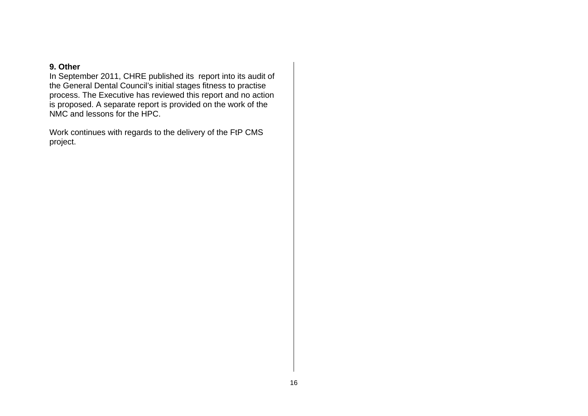#### **9. Other**

In September 2011, CHRE published its report into its audit of the General Dental Council's initial stages fitness to practise process. The Executive has reviewed this report and no action is proposed. A separate report is provided on the work of the NMC and lessons for the HPC.

Work continues with regards to the delivery of the FtP CMS project.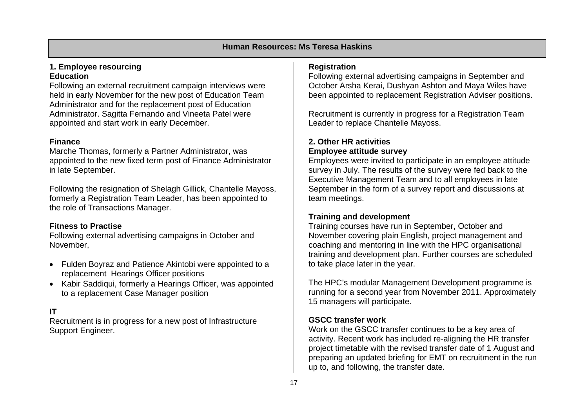## **1. Employee resourcing Education**

Following an external recruitment campaign interviews were held in early November for the new post of Education Team Administrator and for the replacement post of Education Administrator. Sagitta Fernando and Vineeta Patel were appointed and start work in early December.

# **Finance**

Marche Thomas, formerly a Partner Administrator, was appointed to the new fixed term post of Finance Administrator in late September.

Following the resignation of Shelagh Gillick, Chantelle Mayoss, formerly a Registration Team Leader, has been appointed to the role of Transactions Manager.

# **Fitness to Practise**

Following external advertising campaigns in October and November,

- Fulden Boyraz and Patience Akintobi were appointed to a replacement Hearings Officer positions
- Kabir Saddiqui, formerly a Hearings Officer, was appointed to a replacement Case Manager position

# **IT**

Recruitment is in progress for a new post of Infrastructure Support Engineer.

## **Registration**

Following external advertising campaigns in September and October Arsha Kerai, Dushyan Ashton and Maya Wiles have been appointed to replacement Registration Adviser positions.

Recruitment is currently in progress for a Registration Team Leader to replace Chantelle Mayoss.

# **2. Other HR activities Employee attitude survey**

Employees were invited to participate in an employee attitude survey in July. The results of the survey were fed back to the Executive Management Team and to all employees in late September in the form of a survey report and discussions at team meetings.

# **Training and development**

Training courses have run in September, October and November covering plain English, project management and coaching and mentoring in line with the HPC organisational training and development plan. Further courses are scheduled to take place later in the year.

The HPC's modular Management Development programme is running for a second year from November 2011. Approximately 15 managers will participate.

# **GSCC transfer work**

Work on the GSCC transfer continues to be a key area of activity. Recent work has included re-aligning the HR transfer project timetable with the revised transfer date of 1 August and preparing an updated briefing for EMT on recruitment in the run up to, and following, the transfer date.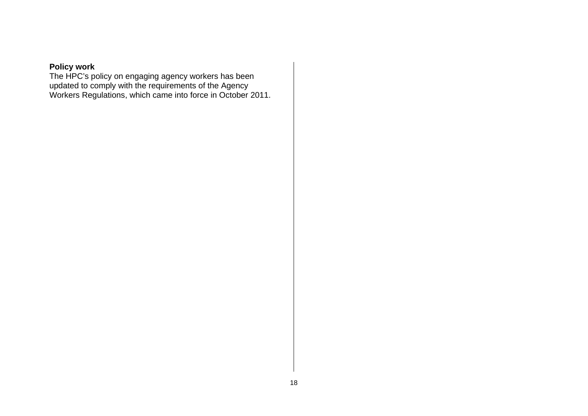# **Policy work**

The HPC's policy on engaging agency workers has been updated to comply with the requirements of the Agency Workers Regulations, which came into force in October 2011.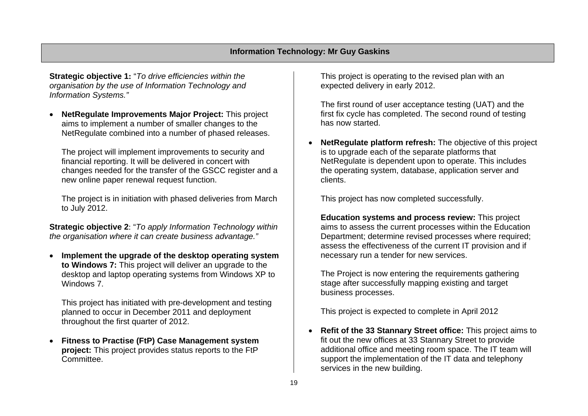**Strategic objective 1:** "*To drive efficiencies within the organisation by the use of Information Technology and Information Systems."* 

• **NetRegulate Improvements Major Project:** This project aims to implement a number of smaller changes to the NetRegulate combined into a number of phased releases.

The project will implement improvements to security and financial reporting. It will be delivered in concert with changes needed for the transfer of the GSCC register and a new online paper renewal request function.

The project is in initiation with phased deliveries from March to July 2012.

**Strategic objective 2**: "*To apply Information Technology within the organisation where it can create business advantage."*

• **Implement the upgrade of the desktop operating system to Windows 7:** This project will deliver an upgrade to the desktop and laptop operating systems from Windows XP to Windows 7.

This project has initiated with pre-development and testing planned to occur in December 2011 and deployment throughout the first quarter of 2012.

• **Fitness to Practise (FtP) Case Management system project:** This project provides status reports to the FtP Committee.

This project is operating to the revised plan with an expected delivery in early 2012.

The first round of user acceptance testing (UAT) and the first fix cycle has completed. The second round of testing has now started.

• **NetRegulate platform refresh:** The objective of this project is to upgrade each of the separate platforms that NetRegulate is dependent upon to operate. This includes the operating system, database, application server and clients.

This project has now completed successfully.

**Education systems and process review:** This project aims to assess the current processes within the Education Department; determine revised processes where required; assess the effectiveness of the current IT provision and if necessary run a tender for new services.

The Project is now entering the requirements gathering stage after successfully mapping existing and target business processes.

This project is expected to complete in April 2012

• **Refit of the 33 Stannary Street office:** This project aims to fit out the new offices at 33 Stannary Street to provide additional office and meeting room space. The IT team will support the implementation of the IT data and telephony services in the new building.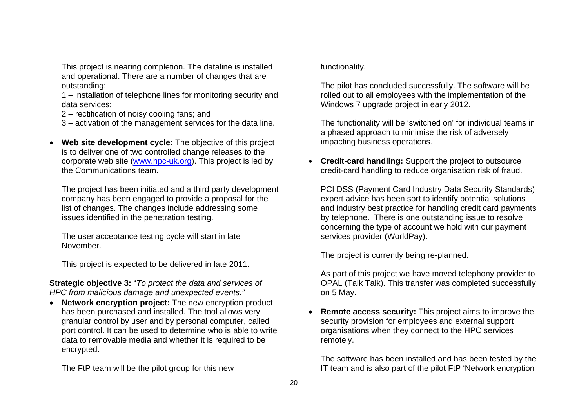This project is nearing completion. The dataline is installed and operational. There are a number of changes that are outstanding:

1 – installation of telephone lines for monitoring security and data services;

2 – rectification of noisy cooling fans; and

3 – activation of the management services for the data line.

• **Web site development cycle:** The objective of this project is to deliver one of two controlled change releases to the corporate web site (www.hpc-uk.org). This project is led by the Communications team.

The project has been initiated and a third party development company has been engaged to provide a proposal for the list of changes. The changes include addressing some issues identified in the penetration testing.

The user acceptance testing cycle will start in late November.

This project is expected to be delivered in late 2011.

**Strategic objective 3:** "*To protect the data and services of HPC from malicious damage and unexpected events."* 

• **Network encryption project:** The new encryption product has been purchased and installed. The tool allows very granular control by user and by personal computer, called port control. It can be used to determine who is able to write data to removable media and whether it is required to be encrypted.

The FtP team will be the pilot group for this new

functionality.

The pilot has concluded successfully. The software will be rolled out to all employees with the implementation of the Windows 7 upgrade project in early 2012.

The functionality will be 'switched on' for individual teams in a phased approach to minimise the risk of adversely impacting business operations.

• **Credit-card handling:** Support the project to outsource credit-card handling to reduce organisation risk of fraud.

PCI DSS (Payment Card Industry Data Security Standards) expert advice has been sort to identify potential solutions and industry best practice for handling credit card payments by telephone. There is one outstanding issue to resolve concerning the type of account we hold with our payment services provider (WorldPay).

The project is currently being re-planned.

As part of this project we have moved telephony provider to OPAL (Talk Talk). This transfer was completed successfully on 5 May.

• **Remote access security:** This project aims to improve the security provision for employees and external support organisations when they connect to the HPC services remotely.

The software has been installed and has been tested by the IT team and is also part of the pilot FtP 'Network encryption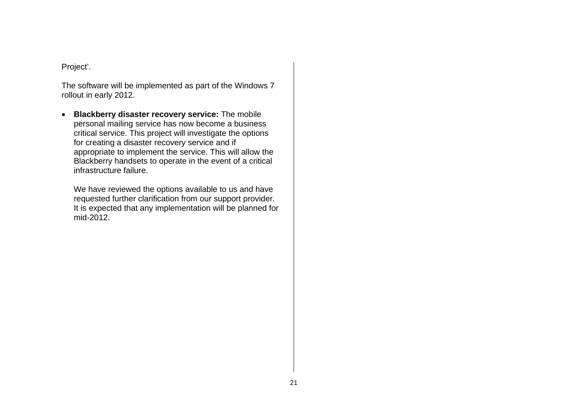Project'.

The software will be implemented as part of the Windows 7 rollout in early 2012.

• **Blackberry disaster recovery service:** The mobile personal mailing service has now become a business critical service. This project will investigate the options for creating a disaster recovery service and if appropriate to implement the service. This will allow the Blackberry handsets to operate in the event of a critical infrastructure failure.

We have reviewed the options available to us and have requested further clarification from our support provider. It is expected that any implementation will be planned for mid-2012.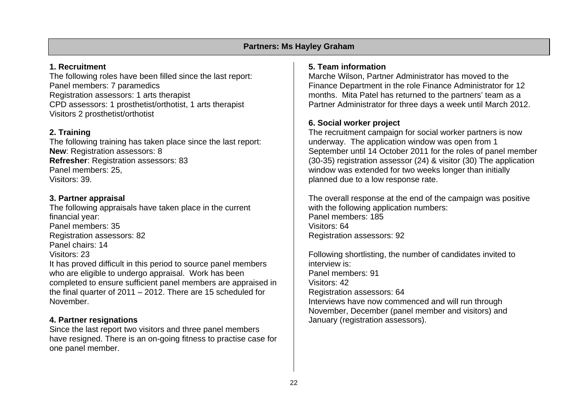## **Partners: Ms Hayley Graham**

### **1. Recruitment**

The following roles have been filled since the last report: Panel members: 7 paramedics Registration assessors: 1 arts therapist CPD assessors: 1 prosthetist/orthotist, 1 arts therapist Visitors 2 prosthetist/orthotist

# **2. Training**

The following training has taken place since the last report: **New**: Registration assessors: 8 **Refresher**: Registration assessors: 83 Panel members: 25, Visitors: 39.

## **3. Partner appraisal**

The following appraisals have taken place in the current financial year: Panel members: 35 Registration assessors: 82 Panel chairs: 14 Visitors: 23 It has proved difficult in this period to source panel members who are eligible to undergo appraisal. Work has been completed to ensure sufficient panel members are appraised in the final quarter of 2011 – 2012. There are 15 scheduled for November.

# **4. Partner resignations**

Since the last report two visitors and three panel members have resigned. There is an on-going fitness to practise case for one panel member.

## **5. Team information**

Marche Wilson, Partner Administrator has moved to the Finance Department in the role Finance Administrator for 12 months. Mita Patel has returned to the partners' team as a Partner Administrator for three days a week until March 2012.

# **6. Social worker project**

The recruitment campaign for social worker partners is now underway. The application window was open from 1 September until 14 October 2011 for the roles of panel member (30-35) registration assessor (24) & visitor (30) The application window was extended for two weeks longer than initially planned due to a low response rate.

The overall response at the end of the campaign was positive with the following application numbers: Panel members: 185 Visitors: 64 Registration assessors: 92

Following shortlisting, the number of candidates invited to interview is: Panel members: 91 Visitors: 42 Registration assessors: 64 Interviews have now commenced and will run through November, December (panel member and visitors) and January (registration assessors).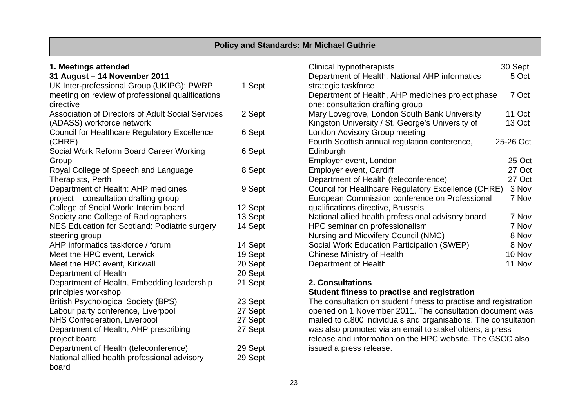|                                                                    |                    | <b>Policy and Standards: Mr Michael Guthrie</b>                                                                             |           |
|--------------------------------------------------------------------|--------------------|-----------------------------------------------------------------------------------------------------------------------------|-----------|
| 1. Meetings attended                                               |                    | <b>Clinical hypnotherapists</b>                                                                                             | 30 Sept   |
| 31 August - 14 November 2011                                       |                    | Department of Health, National AHP informatics                                                                              | 5 Oct     |
| UK Inter-professional Group (UKIPG): PWRP                          | 1 Sept             | strategic taskforce                                                                                                         |           |
| meeting on review of professional qualifications                   |                    | Department of Health, AHP medicines project phase                                                                           | 7 Oct     |
| directive                                                          |                    | one: consultation drafting group                                                                                            |           |
| <b>Association of Directors of Adult Social Services</b>           | 2 Sept             | Mary Lovegrove, London South Bank University                                                                                | 11 Oct    |
| (ADASS) workforce network                                          |                    | Kingston University / St. George's University of                                                                            | 13 Oct    |
| <b>Council for Healthcare Regulatory Excellence</b>                | 6 Sept             | London Advisory Group meeting                                                                                               |           |
| (CHRE)                                                             |                    | Fourth Scottish annual regulation conference,                                                                               | 25-26 Oct |
| Social Work Reform Board Career Working                            | 6 Sept             | Edinburgh                                                                                                                   |           |
| Group                                                              |                    | Employer event, London                                                                                                      | 25 Oct    |
| Royal College of Speech and Language                               | 8 Sept             | Employer event, Cardiff                                                                                                     | 27 Oct    |
| Therapists, Perth                                                  |                    | Department of Health (teleconference)                                                                                       | 27 Oct    |
| Department of Health: AHP medicines                                | 9 Sept             | Council for Healthcare Regulatory Excellence (CHRE)                                                                         | 3 Nov     |
| project - consultation drafting group                              |                    | European Commission conference on Professional                                                                              | 7 Nov     |
| College of Social Work: Interim board                              | 12 Sept            | qualifications directive, Brussels                                                                                          |           |
| Society and College of Radiographers                               | 13 Sept            | National allied health professional advisory board                                                                          | 7 Nov     |
| NES Education for Scotland: Podiatric surgery                      | 14 Sept            | HPC seminar on professionalism                                                                                              | 7 Nov     |
| steering group                                                     |                    | Nursing and Midwifery Council (NMC)                                                                                         | 8 Nov     |
| AHP informatics taskforce / forum                                  | 14 Sept            | Social Work Education Participation (SWEP)                                                                                  | 8 Nov     |
| Meet the HPC event, Lerwick                                        | 19 Sept            | <b>Chinese Ministry of Health</b>                                                                                           | 10 Nov    |
| Meet the HPC event, Kirkwall                                       | 20 Sept            | Department of Health                                                                                                        | 11 Nov    |
| Department of Health                                               | 20 Sept            |                                                                                                                             |           |
| Department of Health, Embedding leadership                         | 21 Sept            | 2. Consultations                                                                                                            |           |
| principles workshop                                                |                    | Student fitness to practise and registration                                                                                |           |
| <b>British Psychological Society (BPS)</b>                         | 23 Sept            | The consultation on student fitness to practise and registration                                                            |           |
| Labour party conference, Liverpool<br>NHS Confederation, Liverpool | 27 Sept<br>27 Sept | opened on 1 November 2011. The consultation document was<br>mailed to c.800 individuals and organisations. The consultation |           |
| Department of Health, AHP prescribing                              | 27 Sept            | was also promoted via an email to stakeholders, a press                                                                     |           |
| project board                                                      |                    | release and information on the HPC website. The GSCC also                                                                   |           |
| Department of Health (teleconference)                              | 29 Sept            | issued a press release.                                                                                                     |           |
| National allied health professional advisory                       | 29 Sept            |                                                                                                                             |           |
| board                                                              |                    |                                                                                                                             |           |
|                                                                    |                    |                                                                                                                             |           |

г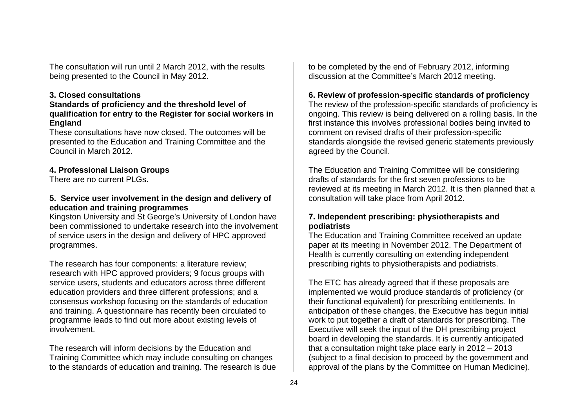The consultation will run until 2 March 2012, with the results being presented to the Council in May 2012.

## **3. Closed consultations**

#### **Standards of proficiency and the threshold level of qualification for entry to the Register for social workers in England**

These consultations have now closed. The outcomes will be presented to the Education and Training Committee and the Council in March 2012.

# **4. Professional Liaison Groups**

There are no current PLGs.

## **5. Service user involvement in the design and delivery of education and training programmes**

Kingston University and St George's University of London have been commissioned to undertake research into the involvement of service users in the design and delivery of HPC approved programmes.

The research has four components: a literature review; research with HPC approved providers; 9 focus groups with service users, students and educators across three different education providers and three different professions; and a consensus workshop focusing on the standards of education and training. A questionnaire has recently been circulated to programme leads to find out more about existing levels of involvement.

The research will inform decisions by the Education and Training Committee which may include consulting on changes to the standards of education and training. The research is due to be completed by the end of February 2012, informing discussion at the Committee's March 2012 meeting.

# **6. Review of profession-specific standards of proficiency**

The review of the profession-specific standards of proficiency is ongoing. This review is being delivered on a rolling basis. In the first instance this involves professional bodies being invited to comment on revised drafts of their profession-specific standards alongside the revised generic statements previously agreed by the Council.

The Education and Training Committee will be considering drafts of standards for the first seven professions to be reviewed at its meeting in March 2012. It is then planned that a consultation will take place from April 2012.

# **7. Independent prescribing: physiotherapists and podiatrists**

The Education and Training Committee received an update paper at its meeting in November 2012. The Department of Health is currently consulting on extending independent prescribing rights to physiotherapists and podiatrists.

The ETC has already agreed that if these proposals are implemented we would produce standards of proficiency (or their functional equivalent) for prescribing entitlements. In anticipation of these changes, the Executive has begun initial work to put together a draft of standards for prescribing. The Executive will seek the input of the DH prescribing project board in developing the standards. It is currently anticipated that a consultation might take place early in 2012 – 2013 (subject to a final decision to proceed by the government and approval of the plans by the Committee on Human Medicine).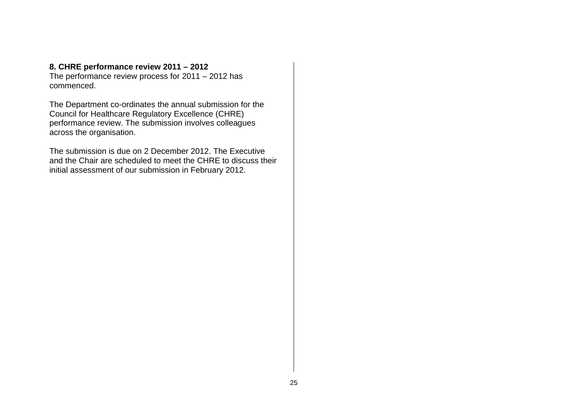# **8. CHRE performance review 2011 – 2012**

The performance review process for 2011 – 2012 has commenced.

The Department co-ordinates the annual submission for the Council for Healthcare Regulatory Excellence (CHRE) performance review. The submission involves colleagues across the organisation.

The submission is due on 2 December 2012. The Executive and the Chair are scheduled to meet the CHRE to discuss their initial assessment of our submission in February 2012.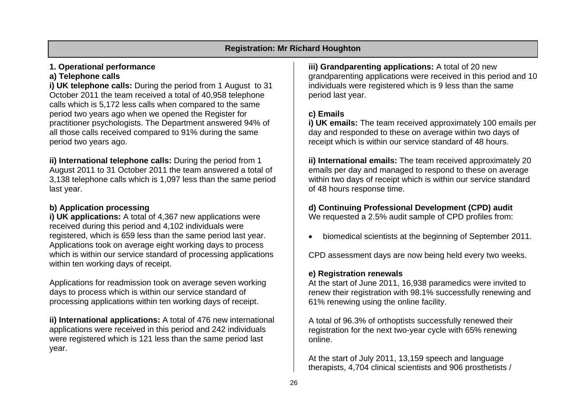# **1. Operational performance**

# **a) Telephone calls**

**i) UK telephone calls:** During the period from 1 August to 31 October 2011 the team received a total of 40,958 telephone calls which is 5,172 less calls when compared to the same period two years ago when we opened the Register for practitioner psychologists. The Department answered 94% of all those calls received compared to 91% during the same period two years ago.

**ii) International telephone calls:** During the period from 1 August 2011 to 31 October 2011 the team answered a total of 3,138 telephone calls which is 1,097 less than the same period last year.

# **b) Application processing**

**i) UK applications:** A total of 4,367 new applications were received during this period and 4,102 individuals were registered, which is 659 less than the same period last year. Applications took on average eight working days to process which is within our service standard of processing applications within ten working days of receipt.

Applications for readmission took on average seven working days to process which is within our service standard of processing applications within ten working days of receipt.

**ii) International applications:** A total of 476 new international applications were received in this period and 242 individuals were registered which is 121 less than the same period last year.

**iii) Grandparenting applications:** A total of 20 new grandparenting applications were received in this period and 10 individuals were registered which is 9 less than the same period last year.

# **c) Emails**

**i) UK emails:** The team received approximately 100 emails per day and responded to these on average within two days of receipt which is within our service standard of 48 hours.

**ii) International emails:** The team received approximately 20 emails per day and managed to respond to these on average within two days of receipt which is within our service standard of 48 hours response time.

#### **d) Continuing Professional Development (CPD) audit**  We requested a 2.5% audit sample of CPD profiles from:

• biomedical scientists at the beginning of September 2011.

CPD assessment days are now being held every two weeks.

# **e) Registration renewals**

At the start of June 2011, 16,938 paramedics were invited to renew their registration with 98.1% successfully renewing and 61% renewing using the online facility.

A total of 96.3% of orthoptists successfully renewed their registration for the next two-year cycle with 65% renewing online.

At the start of July 2011, 13,159 speech and language therapists, 4,704 clinical scientists and 906 prosthetists /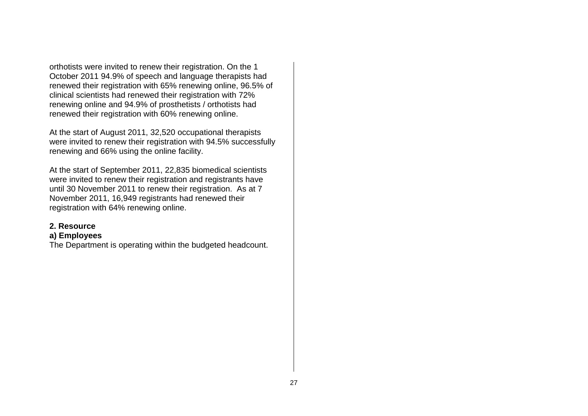orthotists were invited to renew their registration. On the 1 October 2011 94.9% of speech and language therapists had renewed their registration with 65% renewing online, 96.5% of clinical scientists had renewed their registration with 72% renewing online and 94.9% of prosthetists / orthotists had renewed their registration with 60% renewing online.

At the start of August 2011, 32,520 occupational therapists were invited to renew their registration with 94.5% successfully renewing and 66% using the online facility.

At the start of September 2011, 22,835 biomedical scientists were invited to renew their registration and registrants have until 30 November 2011 to renew their registration. As at 7 November 2011, 16,949 registrants had renewed their registration with 64% renewing online.

#### **2. Resource**

#### **a) Employees**

The Department is operating within the budgeted headcount.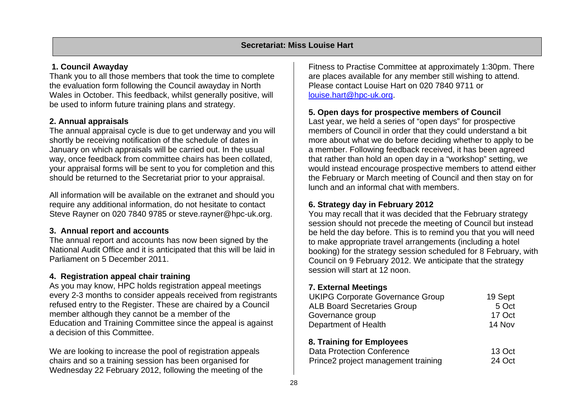# **1. Council Awayday**

Thank you to all those members that took the time to complete the evaluation form following the Council awayday in North Wales in October. This feedback, whilst generally positive, will be used to inform future training plans and strategy.

# **2. Annual appraisals**

The annual appraisal cycle is due to get underway and you will shortly be receiving notification of the schedule of dates in January on which appraisals will be carried out. In the usual way, once feedback from committee chairs has been collated, your appraisal forms will be sent to you for completion and this should be returned to the Secretariat prior to your appraisal.

All information will be available on the extranet and should you require any additional information, do not hesitate to contact Steve Rayner on 020 7840 9785 or steve.rayner@hpc-uk.org.

# **3. Annual report and accounts**

The annual report and accounts has now been signed by the National Audit Office and it is anticipated that this will be laid in Parliament on 5 December 2011.

# **4. Registration appeal chair training**

As you may know, HPC holds registration appeal meetings every 2-3 months to consider appeals received from registrants refused entry to the Register. These are chaired by a Council member although they cannot be a member of the Education and Training Committee since the appeal is against a decision of this Committee.

We are looking to increase the pool of registration appeals chairs and so a training session has been organised for Wednesday 22 February 2012, following the meeting of the

Fitness to Practise Committee at approximately 1:30pm. There are places available for any member still wishing to attend. Please contact Louise Hart on 020 7840 9711 or louise.hart@hpc-uk.org.

# **5. Open days for prospective members of Council**

Last year, we held a series of "open days" for prospective members of Council in order that they could understand a bit more about what we do before deciding whether to apply to be a member. Following feedback received, it has been agreed that rather than hold an open day in a "workshop" setting, we would instead encourage prospective members to attend either the February or March meeting of Council and then stay on for lunch and an informal chat with members.

# **6. Strategy day in February 2012**

You may recall that it was decided that the February strategy session should not precede the meeting of Council but instead be held the day before. This is to remind you that you will need to make appropriate travel arrangements (including a hotel booking) for the strategy session scheduled for 8 February, with Council on 9 February 2012. We anticipate that the strategy session will start at 12 noon.

# **7. External Meetings**

| <b>UKIPG Corporate Governance Group</b> | 19 Sept |
|-----------------------------------------|---------|
| <b>ALB Board Secretaries Group</b>      | 5 Oct   |
| Governance group                        | 17 Oct  |
| Department of Health                    | 14 Nov  |
| 8. Training for Employees               |         |
| <b>Data Protection Conference</b>       | 13 Oct  |
| Prince2 project management training     | 24 Oct  |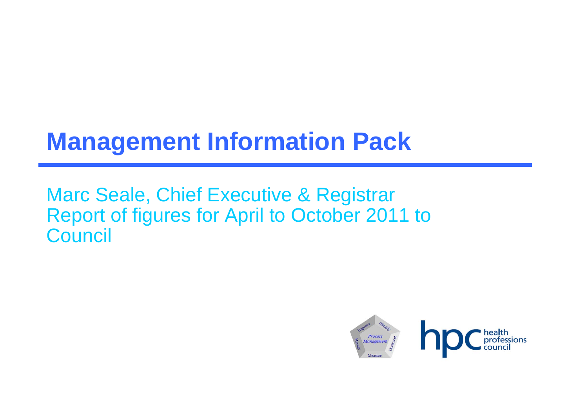# **Management Information Pack**

Marc Seale, Chief Executive & Registrar Report of figures for April to October 2011 to **Council** 

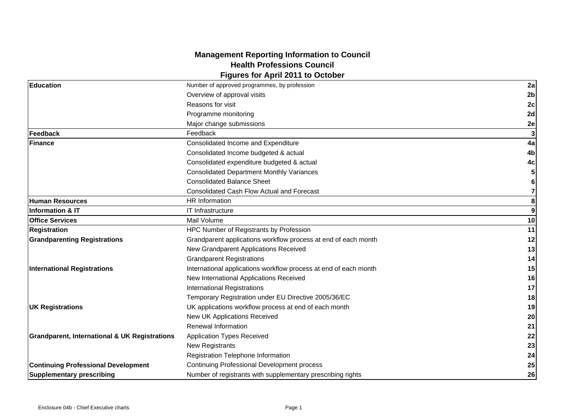#### **Management Reporting Information to Council Health Professions Council Figures for April 2011 to October**

|                                                          | <b>I igaico foi April 2011 to Octobel</b>                        |                  |
|----------------------------------------------------------|------------------------------------------------------------------|------------------|
| <b>Education</b>                                         | Number of approved programmes, by profession                     | 2a               |
|                                                          | Overview of approval visits                                      | 2 <sub>b</sub>   |
|                                                          | Reasons for visit                                                | 2c               |
|                                                          | Programme monitoring                                             | 2d               |
|                                                          | Major change submissions                                         | 2e               |
| Feedback                                                 | Feedback                                                         |                  |
| Finance                                                  | Consolidated Income and Expenditure                              | 4a               |
|                                                          | Consolidated Income budgeted & actual                            | 4b               |
|                                                          | Consolidated expenditure budgeted & actual                       | 4 <sub>c</sub>   |
|                                                          | <b>Consolidated Department Monthly Variances</b>                 | 5                |
|                                                          | <b>Consolidated Balance Sheet</b>                                | 6                |
|                                                          | <b>Consolidated Cash Flow Actual and Forecast</b>                | $\overline{7}$   |
| <b>Human Resources</b>                                   | <b>HR</b> Information                                            | 8                |
| lInformation & IT                                        | <b>IT Infrastructure</b>                                         | $\boldsymbol{9}$ |
| <b>Office Services</b>                                   | Mail Volume                                                      | 10               |
| <b>Registration</b>                                      | HPC Number of Registrants by Profession                          | 11               |
| <b>Grandparenting Registrations</b>                      | Grandparent applications workflow process at end of each month   | 12               |
|                                                          | New Grandparent Applications Received                            | 13               |
|                                                          | <b>Grandparent Registrations</b>                                 | 14               |
| <b>International Registrations</b>                       | International applications workflow process at end of each month | 15               |
|                                                          | New International Applications Received                          | 16               |
|                                                          | <b>International Registrations</b>                               | 17               |
|                                                          | Temporary Registration under EU Directive 2005/36/EC             | 18               |
| <b>UK Registrations</b>                                  | UK applications workflow process at end of each month            | 19               |
|                                                          | New UK Applications Received                                     | 20               |
|                                                          | <b>Renewal Information</b>                                       | 21               |
| <b>Grandparent, International &amp; UK Registrations</b> | <b>Application Types Received</b>                                | 22               |
|                                                          | <b>New Registrants</b>                                           | 23               |
|                                                          | Registration Telephone Information                               | 24               |
| <b>Continuing Professional Development</b>               | <b>Continuing Professional Development process</b>               | 25               |
| <b>Supplementary prescribing</b>                         | Number of registrants with supplementary prescribing rights      | 26               |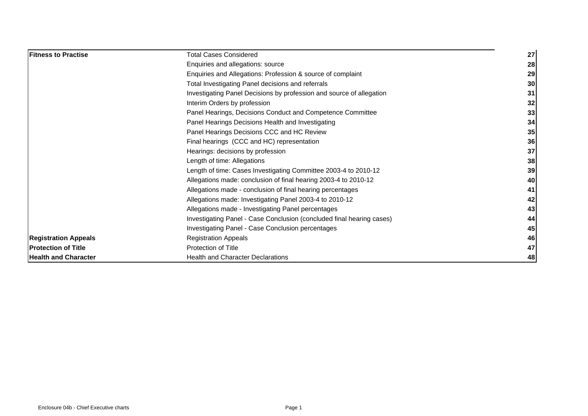| <b>Fitness to Practise</b>  | <b>Total Cases Considered</b>                                         | 27              |
|-----------------------------|-----------------------------------------------------------------------|-----------------|
|                             | Enquiries and allegations: source                                     | 28 <sub>l</sub> |
|                             | Enquiries and Allegations: Profession & source of complaint           | 29              |
|                             | Total Investigating Panel decisions and referrals                     | 30 <sub>l</sub> |
|                             | Investigating Panel Decisions by profession and source of allegation  | 31              |
|                             | Interim Orders by profession                                          | 32              |
|                             | Panel Hearings, Decisions Conduct and Competence Committee            | 33              |
|                             | Panel Hearings Decisions Health and Investigating                     | 34              |
|                             | Panel Hearings Decisions CCC and HC Review                            | 35              |
|                             | Final hearings (CCC and HC) representation                            | 36              |
|                             | Hearings: decisions by profession                                     | 37 <sup>l</sup> |
|                             | Length of time: Allegations                                           | 38              |
|                             | Length of time: Cases Investigating Committee 2003-4 to 2010-12       | 39              |
|                             | Allegations made: conclusion of final hearing 2003-4 to 2010-12       | 40              |
|                             | Allegations made - conclusion of final hearing percentages            | 41              |
|                             | Allegations made: Investigating Panel 2003-4 to 2010-12               | 42              |
|                             | Allegations made - Investigating Panel percentages                    | 43              |
|                             | Investigating Panel - Case Conclusion (concluded final hearing cases) | 44              |
|                             | Investigating Panel - Case Conclusion percentages                     | 45I             |
| <b>Registration Appeals</b> | <b>Registration Appeals</b>                                           | 46              |
| <b>IProtection of Title</b> | Protection of Title                                                   | 47              |
| <b>Health and Character</b> | <b>Health and Character Declarations</b>                              | 48              |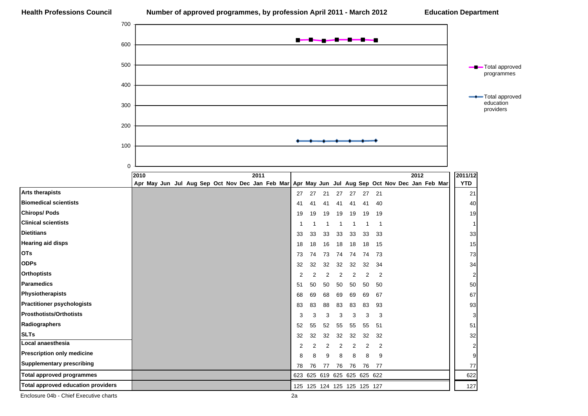

Enclosure 04b - Chief Executive charts 2a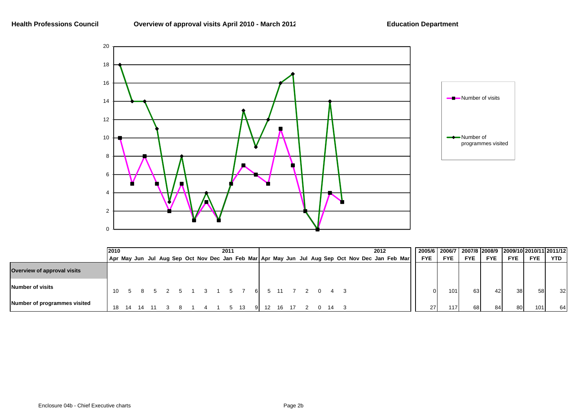

|                              | 12010 |  |  |  | 2011 |    |    |     |  |    |  | 2012 |                                                                                                 |            |            |            |            |                 |            | 2005/6 2006/7 2007/8 2008/9 2009/10 2010/11 2011/12 |
|------------------------------|-------|--|--|--|------|----|----|-----|--|----|--|------|-------------------------------------------------------------------------------------------------|------------|------------|------------|------------|-----------------|------------|-----------------------------------------------------|
|                              |       |  |  |  |      |    |    |     |  |    |  |      | Apr May Jun Jul Aug Sep Oct Nov Dec Jan Feb Mar Apr May Jun Jul Aug Sep Oct Nov Dec Jan Feb Mar | <b>FYE</b> | <b>FYE</b> | <b>FYE</b> | <b>FYE</b> | <b>FYE</b>      | <b>FYE</b> | <b>YTD</b>                                          |
| Overview of approval visits  |       |  |  |  |      |    |    |     |  |    |  |      |                                                                                                 |            |            |            |            |                 |            |                                                     |
| Number of visits             | 10    |  |  |  | - 5  |    | 61 |     |  |    |  |      |                                                                                                 |            | 101.       | 63         | 42         | 38 <sup>l</sup> | 58         | 32                                                  |
| Number of programmes visited | 18    |  |  |  |      | 13 |    | 16. |  | 14 |  |      |                                                                                                 | 27         |            | 68         |            | 80              | 101        | 64                                                  |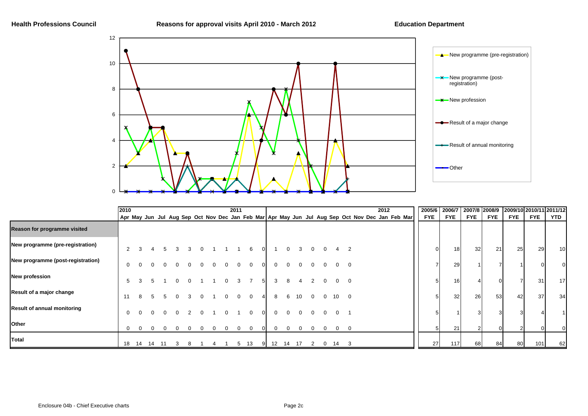

|                                    | 2010     |                |    |  |  |  | 2011 |          |  |    |    |                 |   |              |                 |                         | 2012 |  | 2005/6                                                                                          |            |    |                 | 2006/7 2007/8 2008/9 |            |            | 2009/10 2010/11 2011/12 |                 |
|------------------------------------|----------|----------------|----|--|--|--|------|----------|--|----|----|-----------------|---|--------------|-----------------|-------------------------|------|--|-------------------------------------------------------------------------------------------------|------------|----|-----------------|----------------------|------------|------------|-------------------------|-----------------|
|                                    |          |                |    |  |  |  |      |          |  |    |    |                 |   |              |                 |                         |      |  | Apr May Jun Jul Aug Sep Oct Nov Dec Jan Feb Mar Apr May Jun Jul Aug Sep Oct Nov Dec Jan Feb Mar | <b>FYE</b> |    | <b>FYE</b>      | <b>FYE</b>           | <b>FYE</b> | <b>FYE</b> | <b>FYE</b>              | YTD             |
| Reason for programme visited       |          |                |    |  |  |  |      |          |  |    |    |                 |   |              |                 |                         |      |  |                                                                                                 |            |    |                 |                      |            |            |                         |                 |
| New programme (pre-registration)   |          | $\overline{2}$ |    |  |  |  |      | 6        |  |    |    | 3               |   |              |                 |                         |      |  |                                                                                                 |            |    | 18 <sup>l</sup> | 32                   | 21         | 25         | 29                      | 10 <sub>l</sub> |
| New programme (post-registration)  | $\Omega$ |                |    |  |  |  |      |          |  |    |    |                 |   |              |                 |                         |      |  |                                                                                                 |            |    | 29              |                      |            |            |                         |                 |
| <b>New profession</b>              | 5        |                |    |  |  |  |      |          |  |    |    |                 |   |              |                 |                         |      |  |                                                                                                 |            |    | 16 <sub>l</sub> |                      |            |            | 31                      | 17              |
| Result of a major change           | 11       |                |    |  |  |  |      | $\Omega$ |  |    | 6  | 10 <sup>°</sup> |   | $\Omega$     | 10 <sup>1</sup> | $\overline{\mathbf{0}}$ |      |  |                                                                                                 |            |    | 32              | 26                   | 53         | 42         | 37                      | 34              |
| <b>Result of annual monitoring</b> | $\Omega$ |                |    |  |  |  |      | $\Omega$ |  |    |    |                 |   |              |                 |                         |      |  |                                                                                                 |            |    |                 |                      |            |            |                         |                 |
| Other                              |          | $\Omega$       |    |  |  |  |      |          |  |    |    |                 |   |              |                 | $\Omega$                |      |  |                                                                                                 |            |    | 21              |                      |            |            |                         |                 |
| Total                              | 18       | 14             | 14 |  |  |  | 5    | 13       |  | 12 | 14 | 17              | 2 | $\mathbf{0}$ | 14              | 3                       |      |  |                                                                                                 |            | 27 | 117             | 68                   | 84         | 80         | 101                     | 62              |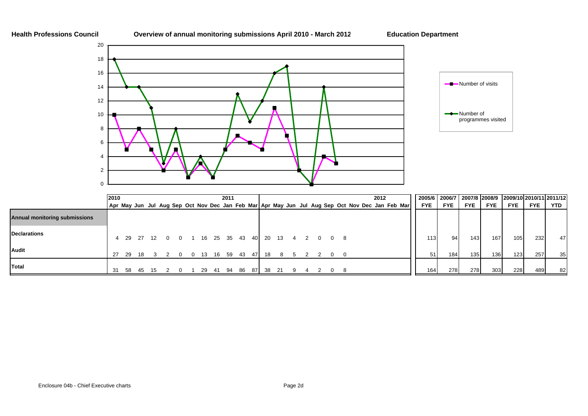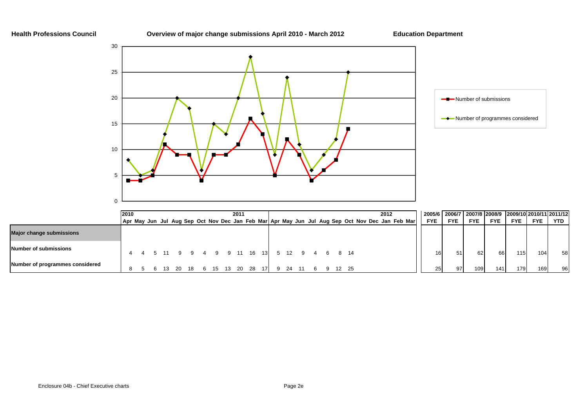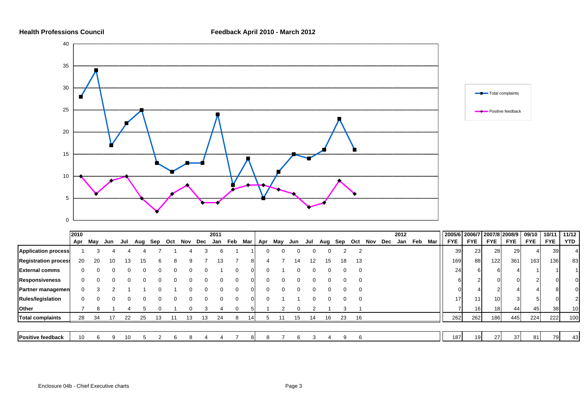



|                             | 2010 |     |          |     |     |         |    |              |    | 2011 |     |            |              |     |     |     |     |     |     |     |     | 2012 |     |       | 2005/6 2006/7 2007/8 2008/9 |            |                 |            | 09/10      | 10/11      | 11/12      |
|-----------------------------|------|-----|----------|-----|-----|---------|----|--------------|----|------|-----|------------|--------------|-----|-----|-----|-----|-----|-----|-----|-----|------|-----|-------|-----------------------------|------------|-----------------|------------|------------|------------|------------|
|                             | Apr  | May | Jun      | Jul | Aug | Sep Oct |    | Nov Dec      |    | Jan  | Feb | Mar        | Apr          | May | Jun | Jul | Aug | Sep | Oct | Nov | Dec | Jan  | Feb | Mar I | <b>FYE</b>                  | <b>FYE</b> | <b>FYE</b>      | <b>FYE</b> | <b>FYE</b> | <b>FYE</b> | <b>YTD</b> |
| <b>Application process</b>  |      |     |          |     |     |         |    |              |    |      |     |            | 0            |     |     |     |     |     | -2  |     |     |      |     |       | 39                          | 23         | 28              | 29         |            | 39         | 41         |
| <b>Registration process</b> | 20   | 20  | 10       | 13  | ıь  |         |    |              |    | 13   |     | 81         |              |     | 14  | 12  | 15  | 18  | 13  |     |     |      |     |       | 169                         | 88         | 122             | 361        | 163        | 136        | 83         |
| <b>External comms</b>       |      |     | O        |     |     |         |    |              |    |      |     | ΩL         | 0            |     |     |     |     |     |     |     |     |      |     |       | 24                          | 61         |                 |            |            |            |            |
| <b>Responsiveness</b>       |      |     |          |     |     |         |    |              |    |      |     |            | <sup>n</sup> |     |     |     |     |     |     |     |     |      |     |       |                             |            |                 |            |            |            |            |
| <b>Partner managemen</b>    | 0    |     |          |     |     |         |    |              |    |      | 0   | $^{\circ}$ | 0            |     |     |     |     |     |     |     |     |      |     |       |                             |            |                 |            |            |            |            |
| <b>Rules/legislation</b>    | 0    |     | $\Omega$ |     |     |         |    | $\mathbf{0}$ |    |      | 0   | ΩL         | 0            |     |     |     |     | 0   | 0   |     |     |      |     |       | 17                          | 11         | 10 <sup>1</sup> |            |            |            |            |
| Other                       |      | 8   |          |     |     |         |    |              |    |      |     |            |              |     |     |     |     |     |     |     |     |      |     |       |                             | 16         | 18 <sup>l</sup> | 44         | 45         | 38         | 10         |
| <b>Total complaints</b>     | 28   | 34  | 17       | 22  | 25  | 13      | 11 | 13           | 13 | 24   | 8   | 141        |              |     | 15  | 14  | 16  | 23  | 16  |     |     |      |     |       | 262                         | 262        | 186             | 445        | 224        | 222        | 100        |
|                             |      |     |          |     |     |         |    |              |    |      |     |            |              |     |     |     |     |     |     |     |     |      |     |       |                             |            |                 |            |            |            |            |
| <b>Positive feedback</b>    | 10   |     |          |     |     |         |    |              |    |      |     |            |              |     |     |     |     |     |     |     |     |      |     |       | 187                         | 19         | <b>27</b>       | 37         | 81 I       | 79         | 43         |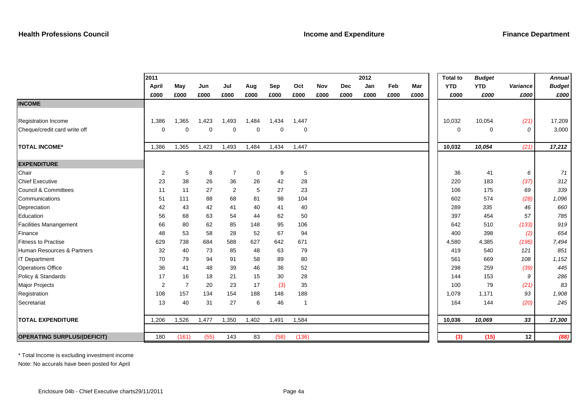|                                    | 2011           |                |       |       |             |             |                          |      |            | 2012 |      |      | <b>Total to</b> | <b>Budget</b> |          | <b>Annual</b> |
|------------------------------------|----------------|----------------|-------|-------|-------------|-------------|--------------------------|------|------------|------|------|------|-----------------|---------------|----------|---------------|
|                                    | April          | May            | Jun   | Jul   | Aug         | Sep         | Oct                      | Nov  | <b>Dec</b> | Jan  | Feb  | Mar  | <b>YTD</b>      | <b>YTD</b>    | Variance | <b>Budget</b> |
|                                    | £000           | £000           | £000  | £000  | £000        | £000        | £000                     | £000 | £000       | £000 | £000 | £000 | £000            | £000          | £000     | £000          |
| <b>INCOME</b>                      |                |                |       |       |             |             |                          |      |            |      |      |      |                 |               |          |               |
|                                    |                |                |       |       |             |             |                          |      |            |      |      |      |                 |               |          |               |
| <b>Registration Income</b>         | 1,386          | 1,365          | 1,423 | 1,493 | 1,484       | 1,434       | 1,447                    |      |            |      |      |      | 10,032          | 10,054        | (21)     | 17,209        |
| Cheque/credit card write off       | 0              | $\mathbf 0$    | 0     | 0     | $\mathbf 0$ | $\mathbf 0$ | 0                        |      |            |      |      |      | 0               | 0             | 0        | 3,000         |
|                                    |                |                |       |       |             |             |                          |      |            |      |      |      |                 |               |          |               |
| <b>TOTAL INCOME*</b>               | 1,386          | 1,365          | 1,423 | 1,493 | 1,484       | 1,434       | 1,447                    |      |            |      |      |      | 10,032          | 10,054        | (21)     | 17,212        |
|                                    |                |                |       |       |             |             |                          |      |            |      |      |      |                 |               |          |               |
| <b>EXPENDITURE</b>                 |                |                |       |       |             |             |                          |      |            |      |      |      |                 |               |          |               |
| Chair                              | $\overline{2}$ | 5              | 8     | 7     | $\mathbf 0$ | 9           | 5                        |      |            |      |      |      | 36              | 41            | 6        | 71            |
| <b>Chief Executive</b>             | 23             | 38             | 26    | 36    | 26          | 42          | 28                       |      |            |      |      |      | 220             | 183           | (37)     | 312           |
| <b>Council &amp; Committees</b>    | 11             | 11             | 27    | 2     | 5           | 27          | 23                       |      |            |      |      |      | 106             | 175           | 69       | 339           |
| Communications                     | 51             | 111            | 88    | 68    | 81          | 98          | 104                      |      |            |      |      |      | 602             | 574           | (28)     | 1,096         |
| Depreciation                       | 42             | 43             | 42    | 41    | 40          | 41          | 40                       |      |            |      |      |      | 289             | 335           | 46       | 660           |
| Education                          | 56             | 68             | 63    | 54    | 44          | 62          | 50                       |      |            |      |      |      | 397             | 454           | 57       | 785           |
| <b>Facilities Manangement</b>      | 66             | 80             | 62    | 85    | 148         | 95          | 106                      |      |            |      |      |      | 642             | 510           | (133)    | 919           |
| Finance                            | 48             | 53             | 58    | 28    | 52          | 67          | 94                       |      |            |      |      |      | 400             | 398           | (2)      | 654           |
| <b>Fitness to Practise</b>         | 629            | 738            | 684   | 588   | 627         | 642         | 671                      |      |            |      |      |      | 4,580           | 4,385         | (195)    | 7,494         |
| Human Resources & Partners         | 32             | 40             | 73    | 85    | 48          | 63          | 79                       |      |            |      |      |      | 419             | 540           | 121      | 851           |
| <b>IT Department</b>               | 70             | 79             | 94    | 91    | 58          | 89          | 80                       |      |            |      |      |      | 561             | 669           | 108      | 1,152         |
| <b>Operations Office</b>           | 36             | 41             | 48    | 39    | 46          | 36          | 52                       |      |            |      |      |      | 298             | 259           | (39)     | 445           |
| Policy & Standards                 | 17             | 16             | 18    | 21    | 15          | 30          | 28                       |      |            |      |      |      | 144             | 153           | 9        | 286           |
| Major Projects                     | $\overline{2}$ | $\overline{7}$ | 20    | 23    | 17          | (3)         | 35                       |      |            |      |      |      | 100             | 79            | (21)     | 83            |
| Registration                       | 108            | 157            | 134   | 154   | 188         | 148         | 188                      |      |            |      |      |      | 1,078           | 1,171         | 93       | 1,908         |
| Secretariat                        | 13             | 40             | 31    | 27    | 6           | 46          | $\overline{\phantom{a}}$ |      |            |      |      |      | 164             | 144           | (20)     | 245           |
|                                    |                |                |       |       |             |             |                          |      |            |      |      |      |                 |               |          |               |
| <b>TOTAL EXPENDITURE</b>           | 1,206          | 1,526          | 1,477 | 1,350 | 1,402       | 1,491       | 1,584                    |      |            |      |      |      | 10,036          | 10,069        | 33       | 17,300        |
|                                    |                |                |       |       |             |             |                          |      |            |      |      |      |                 |               |          |               |
| <b>OPERATING SURPLUS/(DEFICIT)</b> | 180            | (161)          | (55)  | 143   | 83          | (58)        | (136)                    |      |            |      |      |      | (3)             | (15)          | 12       | (88)          |

\* Total Income is excluding investment income

Note: No accurals have been posted for April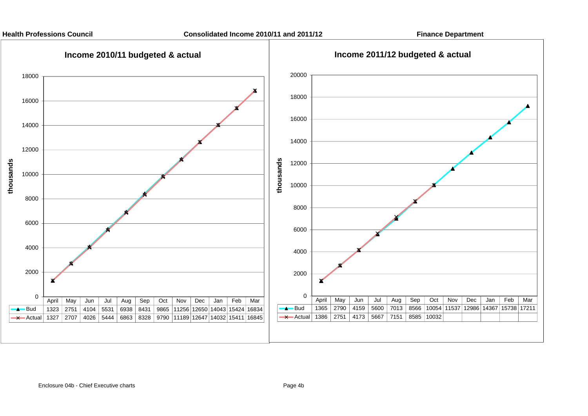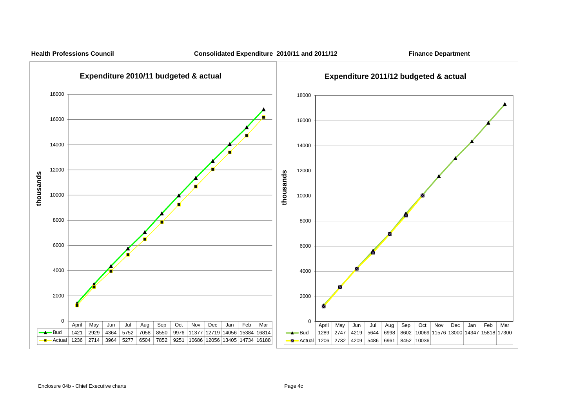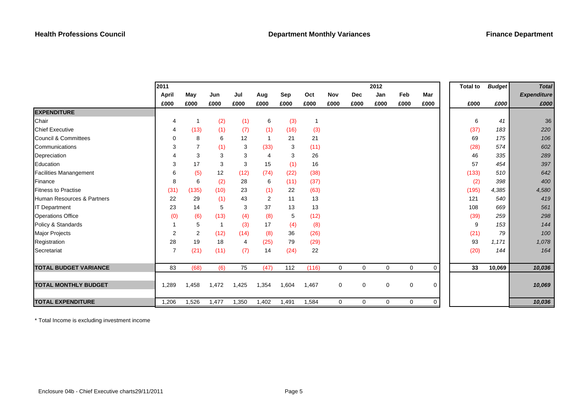|                               | 2011           |                |       |       |       |       |              |             |             | 2012        |             |      | <b>Total to</b> | <b>Budget</b> | <b>Total</b>       |
|-------------------------------|----------------|----------------|-------|-------|-------|-------|--------------|-------------|-------------|-------------|-------------|------|-----------------|---------------|--------------------|
|                               | April          | May            | Jun   | Jul   | Aug   | Sep   | Oct          | Nov         | <b>Dec</b>  | Jan         | Feb         | Mar  |                 |               | <b>Expenditure</b> |
|                               | £000           | £000           | £000  | £000  | £000  | £000  | £000         | £000        | £000        | £000        | £000        | £000 | £000            | £000          | £000               |
| <b>EXPENDITURE</b>            |                |                |       |       |       |       |              |             |             |             |             |      |                 |               |                    |
| Chair                         | 4              | -1             | (2)   | (1)   | 6     | (3)   | $\mathbf{1}$ |             |             |             |             |      | 6               | 41            | 36                 |
| <b>Chief Executive</b>        | 4              | (13)           | (1)   | (7)   | (1)   | (16)  | (3)          |             |             |             |             |      | (37)            | 183           | 220                |
| Council & Committees          | 0              | 8              | 6     | 12    |       | 21    | 21           |             |             |             |             |      | 69              | 175           | 106                |
| Communications                | 3              | 7              | (1)   | 3     | (33)  | 3     | (11)         |             |             |             |             |      | (28)            | 574           | 602                |
| Depreciation                  | 4              | 3              | 3     | 3     | 4     | 3     | 26           |             |             |             |             |      | 46              | 335           | 289                |
| Education                     | 3              | 17             | 3     | 3     | 15    | (1)   | 16           |             |             |             |             |      | 57              | 454           | 397                |
| <b>Facilities Manangement</b> | 6              | (5)            | 12    | (12)  | (74)  | (22)  | (38)         |             |             |             |             |      | (133)           | 510           | 642                |
| Finance                       | 8              | 6              | (2)   | 28    | 6     | (11)  | (37)         |             |             |             |             |      | (2)             | 398           | 400                |
| <b>Fitness to Practise</b>    | (31)           | (135)          | (10)  | 23    | (1)   | 22    | (63)         |             |             |             |             |      | (195)           | 4,385         | 4,580              |
| Human Resources & Partners    | 22             | 29             | (1)   | 43    | 2     | 11    | 13           |             |             |             |             |      | 121             | 540           | 419                |
| <b>IT Department</b>          | 23             | 14             | 5     | 3     | 37    | 13    | 13           |             |             |             |             |      | 108             | 669           | 561                |
| <b>Operations Office</b>      | (0)            | (6)            | (13)  | (4)   | (8)   | 5     | (12)         |             |             |             |             |      | (39)            | 259           | 298                |
| Policy & Standards            | 1              | 5              | 1     | (3)   | 17    | (4)   | (8)          |             |             |             |             |      | 9               | 153           | 144                |
| <b>Major Projects</b>         | $\overline{2}$ | $\overline{2}$ | (12)  | (14)  | (8)   | 36    | (26)         |             |             |             |             |      | (21)            | 79            | 100                |
| Registration                  | 28             | 19             | 18    | 4     | (25)  | 79    | (29)         |             |             |             |             |      | 93              | 1,171         | 1,078              |
| Secretariat                   | $\overline{7}$ | (21)           | (11)  | (7)   | 14    | (24)  | 22           |             |             |             |             |      | (20)            | 144           | 164                |
|                               |                |                |       |       |       |       |              |             |             |             |             |      |                 |               |                    |
| <b>TOTAL BUDGET VARIANCE</b>  | 83             | (68)           | (6)   | 75    | (47)  | 112   | (116)        | $\mathbf 0$ | $\mathbf 0$ | 0           | $\mathbf 0$ | 0    | 33              | 10,069        | 10,036             |
|                               |                |                |       |       |       |       |              |             |             |             |             |      |                 |               |                    |
| <b>TOTAL MONTHLY BUDGET</b>   | 1,289          | 1,458          | 1,472 | 1,425 | 1,354 | 1,604 | 1,467        | 0           | 0           | $\mathbf 0$ | $\mathbf 0$ | 0    |                 |               | 10,069             |
|                               |                |                |       |       |       |       |              |             |             |             |             |      |                 |               |                    |
| <b>TOTAL EXPENDITURE</b>      | 1,206          | 1,526          | 1,477 | 1,350 | 1,402 | 1,491 | 1,584        | 0           | 0           | 0           | 0           | 0    |                 |               | 10,036             |

\* Total Income is excluding investment income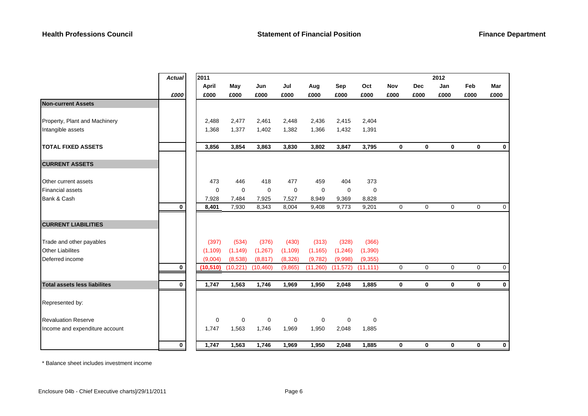|                                     | <b>Actual</b> | 2011        |             |             |             |             |             |             |             |             | 2012        |             |             |
|-------------------------------------|---------------|-------------|-------------|-------------|-------------|-------------|-------------|-------------|-------------|-------------|-------------|-------------|-------------|
|                                     |               | April       | May         | Jun         | Jul         | Aug         | Sep         | Oct         | <b>Nov</b>  | <b>Dec</b>  | Jan         | Feb         | Mar         |
|                                     | £000          | £000        | £000        | £000        | £000        | £000        | £000        | £000        | £000        | £000        | £000        | £000        | £000        |
| <b>Non-current Assets</b>           |               |             |             |             |             |             |             |             |             |             |             |             |             |
|                                     |               |             |             |             |             |             |             |             |             |             |             |             |             |
| Property, Plant and Machinery       |               | 2,488       | 2,477       | 2,461       | 2,448       | 2,436       | 2,415       | 2,404       |             |             |             |             |             |
| Intangible assets                   |               | 1,368       | 1,377       | 1,402       | 1,382       | 1,366       | 1,432       | 1,391       |             |             |             |             |             |
| <b>TOTAL FIXED ASSETS</b>           |               | 3,856       | 3,854       | 3,863       | 3,830       | 3,802       | 3,847       | 3,795       | $\mathbf 0$ | $\bf{0}$    | $\mathbf 0$ | $\mathbf 0$ | $\mathbf 0$ |
| <b>CURRENT ASSETS</b>               |               |             |             |             |             |             |             |             |             |             |             |             |             |
| Other current assets                |               | 473         | 446         | 418         | 477         | 459         | 404         | 373         |             |             |             |             |             |
| <b>Financial assets</b>             |               | $\mathbf 0$ | $\mathbf 0$ | $\mathbf 0$ | $\mathbf 0$ | $\mathbf 0$ | $\mathbf 0$ | $\mathbf 0$ |             |             |             |             |             |
| Bank & Cash                         |               | 7,928       | 7,484       | 7,925       | 7,527       | 8,949       | 9,369       | 8,828       |             |             |             |             |             |
|                                     | $\bf{0}$      | 8,401       | 7,930       | 8,343       | 8,004       | 9,408       | 9,773       | 9,201       | $\mathbf 0$ | $\mathbf 0$ | $\mathbf 0$ | 0           | 0           |
| <b>CURRENT LIABILITIES</b>          |               |             |             |             |             |             |             |             |             |             |             |             |             |
| Trade and other payables            |               | (397)       | (534)       | (376)       | (430)       | (313)       | (328)       | (366)       |             |             |             |             |             |
| <b>Other Liabilites</b>             |               | (1, 109)    | (1, 149)    | (1, 267)    | (1, 109)    | (1, 165)    | (1, 246)    | (1, 390)    |             |             |             |             |             |
| Deferred income                     |               | (9,004)     | (8,538)     | (8, 817)    | (8,326)     | (9,782)     | (9,998)     | (9,355)     |             |             |             |             |             |
|                                     | $\mathbf 0$   | (10, 510)   | (10, 221)   | (10, 460)   | (9,865)     | (11,260)    | (11, 572)   | (11, 111)   | $\Omega$    | $\Omega$    | $\Omega$    | $\Omega$    | $\mathbf 0$ |
| <b>Total assets less liabilites</b> | $\bf{0}$      | 1,747       | 1,563       | 1,746       | 1,969       | 1,950       | 2,048       | 1,885       | $\mathbf 0$ | $\mathbf 0$ | $\mathbf 0$ | $\mathbf 0$ | $\mathbf 0$ |
|                                     |               |             |             |             |             |             |             |             |             |             |             |             |             |
| Represented by:                     |               |             |             |             |             |             |             |             |             |             |             |             |             |
| <b>Revaluation Reserve</b>          |               | $\mathbf 0$ | $\mathbf 0$ | $\mathbf 0$ | $\mathbf 0$ | $\mathbf 0$ | $\mathbf 0$ | 0           |             |             |             |             |             |
| Income and expenditure account      |               | 1,747       | 1,563       | 1,746       | 1,969       | 1,950       | 2,048       | 1,885       |             |             |             |             |             |
|                                     | 0             | 1,747       | 1,563       | 1,746       | 1,969       | 1,950       | 2,048       | 1,885       | $\bf{0}$    | $\bf{0}$    | $\bf{0}$    | $\bf{0}$    | $\bf{0}$    |

\* Balance sheet includes investment income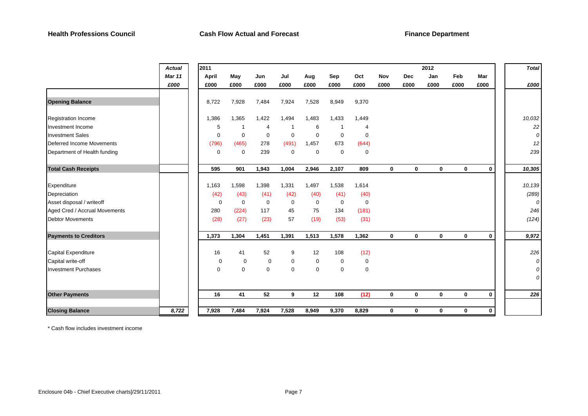|                               | <b>Actual</b> | 2011        |             |             |             |             |                |             |             |              | 2012        |             |             | <b>Total</b> |
|-------------------------------|---------------|-------------|-------------|-------------|-------------|-------------|----------------|-------------|-------------|--------------|-------------|-------------|-------------|--------------|
|                               | <b>Mar 11</b> | April       | May         | Jun         | Jul         | Aug         | Sep            | Oct         | Nov         | <b>Dec</b>   | Jan         | Feb         | Mar         |              |
|                               | £000          | £000        | £000        | £000        | £000        | £000        | £000           | £000        | £000        | £000         | £000        | £000        | £000        | £000         |
|                               |               |             |             |             |             |             |                |             |             |              |             |             |             |              |
| <b>Opening Balance</b>        |               | 8,722       | 7,928       | 7,484       | 7,924       | 7,528       | 8,949          | 9,370       |             |              |             |             |             |              |
| <b>Registration Income</b>    |               | 1,386       | 1,365       | 1,422       | 1,494       | 1,483       | 1,433          | 1,449       |             |              |             |             |             | 10,032       |
| Investment Income             |               | 5           |             | 4           | -1          | 6           | $\overline{1}$ | 4           |             |              |             |             |             | 22           |
| <b>Investment Sales</b>       |               | $\mathbf 0$ | $\mathbf 0$ | $\mathbf 0$ | $\mathbf 0$ | 0           | $\mathbf 0$    | $\mathbf 0$ |             |              |             |             |             | 0            |
| Deferred Income Movements     |               | (796)       | (465)       | 278         | (491)       | 1,457       | 673            | (644)       |             |              |             |             |             | 12           |
| Department of Health funding  |               | $\mathbf 0$ | $\mathbf 0$ | 239         | $\mathbf 0$ | 0           | $\mathbf 0$    | $\mathbf 0$ |             |              |             |             |             | 239          |
| <b>Total Cash Receipts</b>    |               | 595         | 901         | 1,943       | 1,004       | 2,946       | 2,107          | 809         | 0           | $\mathbf{0}$ | $\mathbf 0$ | $\mathbf 0$ | $\mathbf 0$ | 10,305       |
| Expenditure                   |               | 1,163       | 1,598       | 1,398       | 1,331       | 1,497       | 1,538          | 1,614       |             |              |             |             |             | 10,139       |
| Depreciation                  |               | (42)        | (43)        | (41)        | (42)        | (40)        | (41)           | (40)        |             |              |             |             |             | (289)        |
| Asset disposal / writeoff     |               | $\mathbf 0$ | $\mathbf 0$ | $\mathbf 0$ | $\mathbf 0$ | $\mathbf 0$ | $\mathbf 0$    | $\mathbf 0$ |             |              |             |             |             | 0            |
| Aged Cred / Accrual Movements |               | 280         | (224)       | 117         | 45          | 75          | 134            | (181)       |             |              |             |             |             | 246          |
| <b>Debtor Movements</b>       |               | (28)        | (27)        | (23)        | 57          | (19)        | (53)           | (31)        |             |              |             |             |             | (124)        |
| <b>Payments to Creditors</b>  |               | 1,373       | 1,304       | 1,451       | 1,391       | 1,513       | 1,578          | 1,362       | $\mathbf 0$ | $\mathbf{0}$ | $\mathbf 0$ | $\mathbf 0$ | $\mathbf 0$ | 9,972        |
| Capital Expenditure           |               | 16          | 41          | 52          | 9           | 12          | 108            | (12)        |             |              |             |             |             | 226          |
| Capital write-off             |               | 0           | 0           | 0           | 0           | 0           | $\mathbf 0$    | 0           |             |              |             |             |             | 0            |
| <b>Investment Purchases</b>   |               | $\mathbf 0$ | $\mathbf 0$ | $\mathbf 0$ | $\mathbf 0$ | 0           | $\mathbf 0$    | $\mathbf 0$ |             |              |             |             |             | 0            |
|                               |               |             |             |             |             |             |                |             |             |              |             |             |             | 0            |
| <b>Other Payments</b>         |               | 16          | 41          | 52          | 9           | 12          | 108            | (12)        | $\mathbf 0$ | $\mathbf{0}$ | $\mathbf 0$ | $\mathbf 0$ | $\mathbf 0$ | 226          |
| <b>Closing Balance</b>        | 8,722         | 7,928       | 7,484       | 7,924       | 7,528       | 8,949       | 9,370          | 8,829       | $\bf{0}$    | $\mathbf 0$  | 0           | $\mathbf 0$ | $\mathbf 0$ |              |

\* Cash flow includes investment income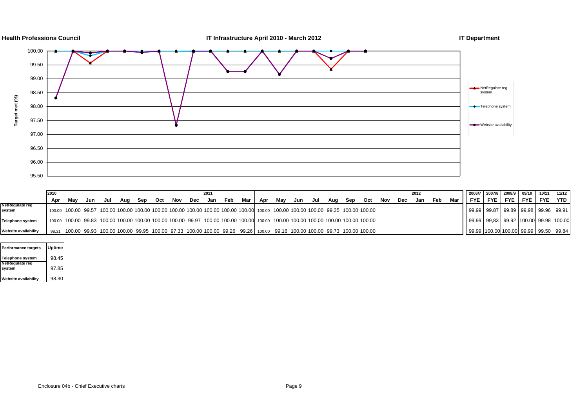

|                             | 2010 |     |     |        |     |     |     |     |     | 2011 |     |     |     |                                                                                                                                    |     |     |     |     |     |     |     | 2012 |     |       | 2006/7 2007/8 2008/9 09/10                      |              |            |            | $10/11$ 11/12 |
|-----------------------------|------|-----|-----|--------|-----|-----|-----|-----|-----|------|-----|-----|-----|------------------------------------------------------------------------------------------------------------------------------------|-----|-----|-----|-----|-----|-----|-----|------|-----|-------|-------------------------------------------------|--------------|------------|------------|---------------|
|                             | Apr  | Mav | Jun | Jul Ju | Aua | Sep | Oct | Nov | Dec | Jan  | Feb | Mar | Apr | Mav                                                                                                                                | Jun | Jul | Aug | Sep | Oct | Nov | Dec | Jan  | Feb | Mar l | FYE                                             | <b>FYE</b> I | <b>FYE</b> | <b>FYE</b> | FYE I YTD I   |
| NetRegulate reg<br>system   |      |     |     |        |     |     |     |     |     |      |     |     |     | 100.00 100.00 99.57 100.00 100.00 100.00 100.00 100.00 100.00 100.00 100.00 100.00 100.00 100.00 100.00 100.00 99.35 100.00 100.00 |     |     |     |     |     |     |     |      |     |       | 99.99   99.87   99.89   99.98   99.96   99.91   |              |            |            |               |
| <b>Telephone system</b>     |      |     |     |        |     |     |     |     |     |      |     |     |     | 100.00 100.00 99.83 100.00 100.00 100.00 100.00 100.00 99.97 100.00 100.00 100.00 100.00 100.00 100.00 100.00 100.00 100.00 100.00 |     |     |     |     |     |     |     |      |     |       | 99.99   99.83   99.92   100.00   99.98   100.00 |              |            |            |               |
| <b>Website availability</b> |      |     |     |        |     |     |     |     |     |      |     |     |     | 98.31 100.00 99.93 100.00 100.00 99.95 100.00 97.33 100.00 100.00 99.26 99.26 100.00 99.16 100.00 100.00 99.73 100.00 100.00       |     |     |     |     |     |     |     |      |     |       | 99.99   100.00   100.00   99.99   99.50   99.84 |              |            |            |               |

| Performance targets       | <b>Uptime</b> |
|---------------------------|---------------|
| Telephone system          | 98.45         |
| NetRegulate reg<br>system | 97.85         |
| Website availability      | 98.30         |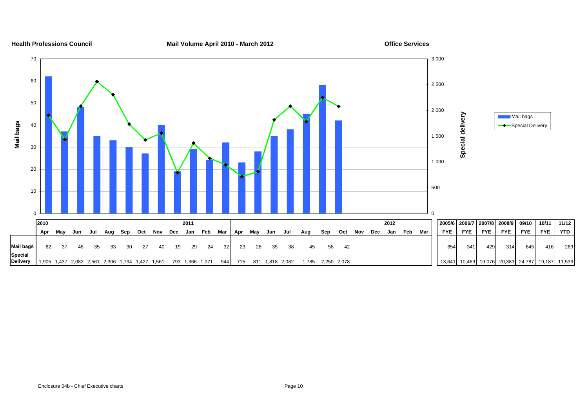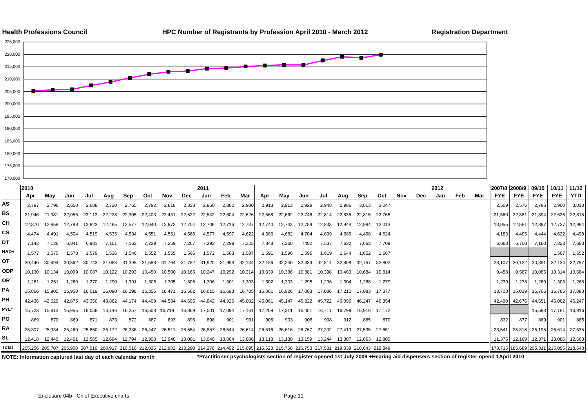



|            | 2010                                                                                                                                                    |                |        |               |        |        |                        |        |                                        | 2011                   |               |        |        |                        |               |                                                        |        |               |        |     |     | 2012 |     |     | 2007/8 2008/9 09/10                                                                                                                                                                                                            |                      |               | 10/11                                   | 11/12         |
|------------|---------------------------------------------------------------------------------------------------------------------------------------------------------|----------------|--------|---------------|--------|--------|------------------------|--------|----------------------------------------|------------------------|---------------|--------|--------|------------------------|---------------|--------------------------------------------------------|--------|---------------|--------|-----|-----|------|-----|-----|--------------------------------------------------------------------------------------------------------------------------------------------------------------------------------------------------------------------------------|----------------------|---------------|-----------------------------------------|---------------|
|            | Apr                                                                                                                                                     | Mav            | Jun    | Jul           | Aug    | Sep    | Oct                    | Nov    | <b>Dec</b>                             | Jan                    | Feb           | Mar    | Apr    | Mav                    | Jun           | Jul                                                    | Aug    | Sep           | Oct    | Nov | Dec | Jan  | Feb | Mar | FYE                                                                                                                                                                                                                            | FYE                  | FYE           | <b>FYE</b>                              | YTD           |
| AS         | 2.797                                                                                                                                                   | 2.796          | 2.650  | 2.688         | 2.720  | 2.765  | 2.792                  | 2,818  | 2,838                                  | 2,860                  | 2.880         | 2,900  | 2.913  | 2,913                  | 2,928         | 2,948                                                  | 2.986  | 3,013         | 3.047  |     |     |      |     |     | 2.509                                                                                                                                                                                                                          | 2,576                | 2.785         | 2,900                                   | 3,013         |
| <b>BS</b>  | 21.946                                                                                                                                                  | 21.981         | 22.056 | 22.113        | 22.228 | 22.305 | 22.403                 | 22.431 | 22,522                                 | 22,542 22,604          |               | 22,626 | 22.668 | 22.662 22.746          |               | 22.814                                                 | 22.835 | 22.815 22.765 |        |     |     |      |     |     | 21.560                                                                                                                                                                                                                         | 22,381 21,894        |               | 22,626                                  | 22,815        |
| CН         |                                                                                                                                                         |                |        |               |        |        |                        |        |                                        |                        |               |        |        |                        |               |                                                        |        |               |        |     |     |      |     |     |                                                                                                                                                                                                                                |                      |               |                                         |               |
| CS         | 12.870                                                                                                                                                  | 12.858         | 12.788 | 12.823        | 12.465 | 12.577 | 12.640                 |        | 12.673  12.704  12.706  12.716  12.737 |                        |               |        |        | 12.740  12.743  12.759 |               | 12.833                                                 | 12.944 | 12.984        | 13.013 |     |     |      |     |     | 13.055                                                                                                                                                                                                                         |                      | 12,581 12,897 | 12,737                                  | 12,984        |
|            | 4.474                                                                                                                                                   | 4.491          | 4.504  | 4.519         | 4.535  | 4.534  | 4.551                  | 4,551  | 4.566                                  | 4.577                  | 4.597         | 4,622  | 4.666  | 4,682                  | 4.704         | 4.699                                                  | 4.686  | 4.498         | 4.524  |     |     |      |     |     | 4.183                                                                                                                                                                                                                          | 4,405                | 4,444         | 4,622                                   | 4,498         |
| DT         | 7.142                                                                                                                                                   | 7.126          | 6.841  | 6.981         | 7.101  | 7.163  | 7.229                  | 7.259  | 7.267                                  | 7.293                  | 7.299         | 7,323  | 7.348  | 7.360                  | 7402          | 7.537                                                  | 7.632  | 7.663         | 7.709  |     |     |      |     |     | 6,663                                                                                                                                                                                                                          |                      | 6,700 7,160   | 7,323                                   | 7,663         |
| HAD+       | 1.577                                                                                                                                                   | 1.575          | 1.578  | 1.579         | 1.536  | 1,546  | 1.552                  | 1.555  | 1.565                                  | 1.572                  | 1.583         | 1,587  | 1.591  | 1.596                  | 1.596         | 1.619                                                  | 1.644  | 1.652         | 1.667  |     |     |      |     |     |                                                                                                                                                                                                                                |                      |               | 1.587                                   | 1,652         |
| ОТ         | 30.440                                                                                                                                                  | 30.494         | 30.562 | 30.743        | 31.083 | 31.395 | 31.588                 |        | 31.764 31.782                          | 31.920 31.998          |               | 32.134 | 32.186 | 32.240                 | 32.334        | 32.514                                                 | 32.808 | 32.757        | 32.802 |     |     |      |     |     |                                                                                                                                                                                                                                | 28,107 30,122 30,351 |               | 32,134                                  | 32,757        |
| <b>ODP</b> | 10.130                                                                                                                                                  | 10.134         | 10.099 | 10.087        | 10.122 | 10.293 | 10.450                 | 10.500 | 10.165                                 | 10.247                 | 10,292 10,314 |        | 10.339 | 10.336                 | 10.381        | 10.398                                                 | 10.463 | 10.684        | 10.814 |     |     |      |     |     | 9.458                                                                                                                                                                                                                          |                      | 9,587 10,085  | 10,314                                  | 10,684        |
| OR         | 1.261                                                                                                                                                   | 1.261          | 1.260  | 1.270         | 1.290  | 1.301  | 1.306                  | 1.305  | 1.305                                  | 1.306                  | 1.301         | 1,303  | 1.302  | 1.303                  | 1.295         | 1,296                                                  | 1.304  | 1.268         | 1.279  |     |     |      |     |     | 1.239                                                                                                                                                                                                                          | 1.278                | 1,260         | 1,303                                   | 1,268         |
| PA         | 15.866                                                                                                                                                  | 15.905         | 15.950 | 16.019        | 16.090 | 16.198 | 16.355                 |        |                                        | 16,615  16,693  16,785 |               |        | 16.861 |                        | 16.926 17.003 | 17.086 17.210                                          |        |               |        |     |     |      |     |     | 13.703                                                                                                                                                                                                                         | 15,019 15,766        |               |                                         | 16,785 17,083 |
| PН         | 42.436                                                                                                                                                  | 42.629         | 42.875 | 43.350        | 43.862 | 44.174 | 44.409                 | 44.584 | 44.695                                 | 44.842 44.926          |               | 45.002 | 45.061 | 45.147 45.322          |               | 45.722 46.096                                          |        | 46.247 46.354 |        |     |     |      |     |     |                                                                                                                                                                                                                                | 42,490 42,676 44,651 |               |                                         | 45,002 46,247 |
| PYL*       | 15.723                                                                                                                                                  | 15.813         | 15.955 | 16.058        | 16.146 | 16.257 | 16.508 16.719          |        | 16,869                                 | 17,001  17,094  17,161 |               |        |        |                        |               | 16.711 16.799                                          |        | 16,916 17,172 |        |     |     |      |     |     |                                                                                                                                                                                                                                |                      | 15,583        |                                         | 17,161 16,916 |
| PO         | 869                                                                                                                                                     | 870            | 869    | 871           | 873    | 872    | 887                    | 893    | 895                                    | 898                    | 901           | 901    | 905    | 903                    | 906           | 908                                                    | 912    | 865           | 870    |     |     |      |     |     | 832                                                                                                                                                                                                                            | 877                  | 869           | 901                                     | 865           |
| <b>RA</b>  | 25,307                                                                                                                                                  | 25,334         | 25.460 | 25.850        | 26.172 | 26.336 | 26.447                 | 26,511 | 26,554                                 | 26.857                 | 26,544        | 26,614 |        | 26,616 26,616 26,767   |               | 27,202 27,413 27,535 27,651                            |        |               |        |     |     |      |     |     |                                                                                                                                                                                                                                |                      |               | 23,541 25,318 25,195 26,614             | 27,535        |
| SL         | 12.418                                                                                                                                                  | 12.440  12.461 |        | 12,565 12,694 |        | 12.794 | 12,908  12,948  13,001 |        |                                        | 13,040  13,064  13,086 |               |        |        |                        |               | 13,118  13,130  13,159  13,244  13,307  12,663  12,805 |        |               |        |     |     |      |     |     |                                                                                                                                                                                                                                |                      |               | 11,375 12,169 12,371 13,086 12,663      |               |
| Total      | 205,256 205,707 205,908 207,516 208,917 210,510 212,025 212,982 213,290 214,276 214,492 215,095 215,523 215,768 215,753 217,531 219,039 218,643 219,849 |                |        |               |        |        |                        |        |                                        |                        |               |        |        |                        |               |                                                        |        |               |        |     |     |      |     |     |                                                                                                                                                                                                                                |                      |               | 178,715 185,689 205,311 215,095 218,643 |               |
|            |                                                                                                                                                         |                |        |               |        |        |                        |        |                                        |                        |               |        |        |                        |               |                                                        |        |               |        |     |     |      |     |     | . About the computer of the continue of the computer of the Dile Distribution of the computer of continuous and a book and Distribution of the computer of the computer of the computer of the computer of the computer of the |                      |               |                                         |               |

**NOTE: Information captured last day of each calendar month \*Practitioner psychologists section of register opened 1st July 2009 +Hearing aid dispensers section of register opend 1April 2010**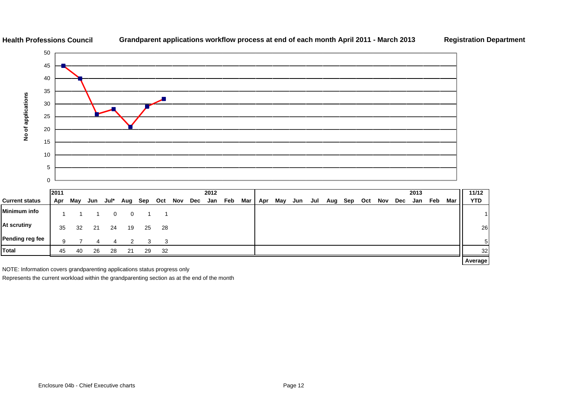

# **Grandparent applications workflow process at end of each month April 2011 - March 2013 Registration Department**

|                       | <b>2011</b> |     |     |      |     |     |      |     |     | 2012 |     |     |     |     |     |     |     |     |     |     |            | 2013 |     |     | 11/12      |
|-----------------------|-------------|-----|-----|------|-----|-----|------|-----|-----|------|-----|-----|-----|-----|-----|-----|-----|-----|-----|-----|------------|------|-----|-----|------------|
| <b>Current status</b> | Apr         | May | Jun | Jul* | Aug | Sep | Oct  | Nov | Dec | Jan  | Feb | Mar | Apr | May | Jun | Jul | Aug | Sep | Oct | Nov | <b>Dec</b> | Jan  | Feb | Mar | <b>YTD</b> |
| <b>Minimum info</b>   |             |     |     |      | 0   |     |      |     |     |      |     |     |     |     |     |     |     |     |     |     |            |      |     |     |            |
| At scrutiny           | 35          | 32  | 21  | 24   | 19  | 25  | - 28 |     |     |      |     |     |     |     |     |     |     |     |     |     |            |      |     |     | 26         |
| Pending reg fee       | 9           |     | 4   | 4    | 2   | 3   | 3    |     |     |      |     |     |     |     |     |     |     |     |     |     |            |      |     |     | 51         |
| <b>Total</b>          | 45          | 40  | 26  | 28   | 21  | 29  | 32   |     |     |      |     |     |     |     |     |     |     |     |     |     |            |      |     |     | 32         |
|                       |             |     |     |      |     |     |      |     |     |      |     |     |     |     |     |     |     |     |     |     |            |      |     |     | Average    |

NOTE: Information covers grandparenting applications status progress only

**Health Professions Council**

Represents the current workload within the grandparenting section as at the end of the month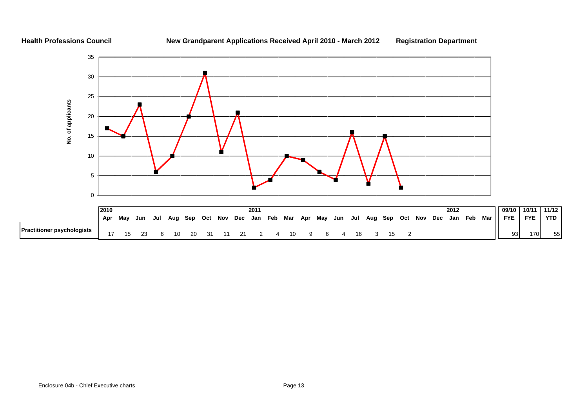# **New Grandparent Applications Received April 2010 - March 2012 Registration Department**

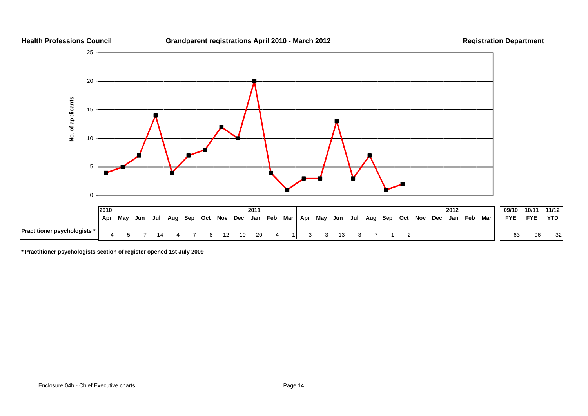

**\* Practitioner psychologists section of register opened 1st July 2009**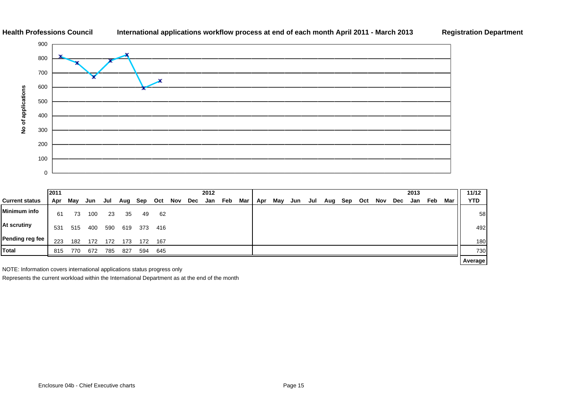# **International applications workflow process at end of each month April 2011 - March 2013 Registration Department**



|                       | 2011 |     |     |     |     |     |     |     |     | 2012 |     |     |     |     |     |     |     |     |     |     |     | 2013 |     |     | 11/12      |
|-----------------------|------|-----|-----|-----|-----|-----|-----|-----|-----|------|-----|-----|-----|-----|-----|-----|-----|-----|-----|-----|-----|------|-----|-----|------------|
| <b>Current status</b> | Apr  | May | Jun | Jul | Aug | Sep | Oct | Nov | Dec | Jan  | Feb | Mar | Apr | May | Jun | Jul | Aug | Sep | Oct | Nov | Dec | Jan  | Feb | Mar | <b>YTD</b> |
| <b>Minimum info</b>   | 61   | 73  | 100 | 23  | 35  | 49  | 62  |     |     |      |     |     |     |     |     |     |     |     |     |     |     |      |     |     | 58         |
| <b>At scrutiny</b>    | 531  | 515 | 400 | 590 | 619 | 373 | 416 |     |     |      |     |     |     |     |     |     |     |     |     |     |     |      |     |     | 492        |
| Pending reg fee       | 223  | 182 | 172 | 172 | 173 | 172 | 167 |     |     |      |     |     |     |     |     |     |     |     |     |     |     |      |     |     | 180        |
| <b>Total</b>          | 815  | 770 | 672 | 785 | 827 | 594 | 645 |     |     |      |     |     |     |     |     |     |     |     |     |     |     |      |     |     | 730        |
|                       |      |     |     |     |     |     |     |     |     |      |     |     |     |     |     |     |     |     |     |     |     |      |     |     | Average    |

NOTE: Information covers international applications status progress only

Represents the current workload within the International Department as at the end of the month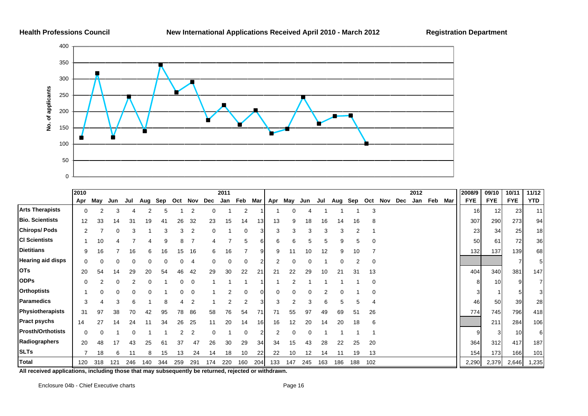# **New International Applications Received April 2010 - March 2012 Registration Department**



|                          | 2010     |          |     |     |     |     |                |          |     | 2011 |     |     |     |          |          |     |     |     |          |         |     | 2012 |         | 2008/9          | 09/10      | 10/11      | 11/12          |
|--------------------------|----------|----------|-----|-----|-----|-----|----------------|----------|-----|------|-----|-----|-----|----------|----------|-----|-----|-----|----------|---------|-----|------|---------|-----------------|------------|------------|----------------|
|                          | Apr      | May      | Jun | Jul | Aug | Sep | Oct            | Nov      | Dec | Jan  | Feb | Mar | Apr | May      | Jun      | Jul | Aug | Sep |          | Oct Nov | Dec | Jan  | Feb Mar | <b>FYE</b>      | <b>FYE</b> | <b>FYE</b> | <b>YTD</b>     |
| <b>Arts Therapists</b>   | 0        |          |     |     |     |     |                |          |     |      | 2   |     |     |          |          |     |     |     | 3        |         |     |      |         | 16 <sup>l</sup> | 12         | 23         | 11             |
| <b>Bio. Scientists</b>   | 12       | 33       | 14  | 31  | 19  | 41  | 26             | 32       | 23  | 15   | 14  | 13  | 13  | 9        | 18       | 16  | 14  | 16  |          |         |     |      |         | 307             | 290        | 273        | 94             |
| <b>Chirops/Pods</b>      | 2        |          | O   | 3   |     | 3   | 3              | 2        | 0   |      | 0   |     | 3   | 3        | 3        | 3   | 3   | 2   |          |         |     |      |         | 23              | 34         | 25         | 18             |
| <b>CI Scientists</b>     |          | 10       |     |     |     | 9   | 8              |          |     |      | 5   |     | 6   | 6        | 5        |     | 9   |     |          |         |     |      |         | 50              | 61         | 72         | 36             |
| <b>Dietitians</b>        | 9        | 16       |     | 16  | 6   | 16  | 15             | 16       | 6   | 16   |     |     | 9   | 11       | 10       | 12  | 9   | 10  |          |         |     |      |         | 132             | 137        | 139        | 68             |
| <b>Hearing aid disps</b> | $\Omega$ | $\Omega$ |     |     |     |     |                | 4        | 0   | C    | 0   |     | 2   |          | 0        |     |     |     | $\Omega$ |         |     |      |         |                 |            |            | 51             |
| <b>OTs</b>               | 20       | 54       | 14  | 29  | 20  | 54  | 46             | 42       | 29  | 30   | 22  | 21  | 21  | 22       | 29       | 10  | 21  | 31  | 13       |         |     |      |         | 404             | 340        | 381        | 147            |
| <b>ODPs</b>              |          |          |     |     |     |     | 0              | 0        |     |      |     |     |     |          |          |     |     |     | $\Omega$ |         |     |      |         |                 | 10         |            | 71             |
| <b>Orthoptists</b>       |          | $\Omega$ |     |     |     |     |                | $\Omega$ |     |      | O   |     |     |          |          |     |     |     |          |         |     |      |         |                 |            |            | 3 <sup>1</sup> |
| <b>Paramedics</b>        | 3        |          |     |     |     |     |                | 2        |     | 2    | 2   |     |     |          |          |     | 5   |     |          |         |     |      |         | 46              | 50         | 39         | 28             |
| Physiotherapists         | 31       | 97       | 38  | 70  | 42  | 95  | 78             | 86       | 58  | 76   | 54  | 71  | 71  | 55       | 97       | 49  | 69  | 51  | 26       |         |     |      |         | 774             | 745        | 796        | 418            |
| <b>Pract psychs</b>      | 14       | 27       | 14  | 24  | 11  | 34  | 26             | 25       | 11  | 20   | 14  | 16  | 16  | 12       | 20       | 14  | 20  | 18  | 6        |         |     |      |         |                 | 211        | 284        | 106            |
| <b>Prosth/Orthotists</b> | 0        | $\Omega$ |     |     |     |     | $\overline{2}$ | 2        | 0   |      | 0   |     | 2   | $\Omega$ | $\Omega$ |     |     |     |          |         |     |      |         |                 |            | 10         | 6              |
| Radiographers            | 20       | 48       | 17  | 43  | 25  | 61  | 37             | 47       | 26  | 30   | 29  | 34  | 34  | 15       | 43       | 28  | 22  | 25  | 20       |         |     |      |         | 364             | 312        | 417        | 187            |
| <b>SLTs</b>              |          | 18       | 6   | 11  | 8   | 15  | 13             | 24       | 14  | 18   | 10  | 22  | 22  | 10       | 12       | 14  |     | 19  | 13       |         |     |      |         | 154             | 173        | 166        | 101            |
| <b>Total</b>             | 120      | 318      | 121 | 246 | 140 | 344 | 259            | 291      | 174 | 220  | 160 | 204 | 133 | 147      | 245      | 163 | 186 | 188 | 102      |         |     |      |         | 2,290           | 2,379      | 2,646      | 1,235          |

**All received applications, including those that may subsequently be returned, rejected or withdrawn.**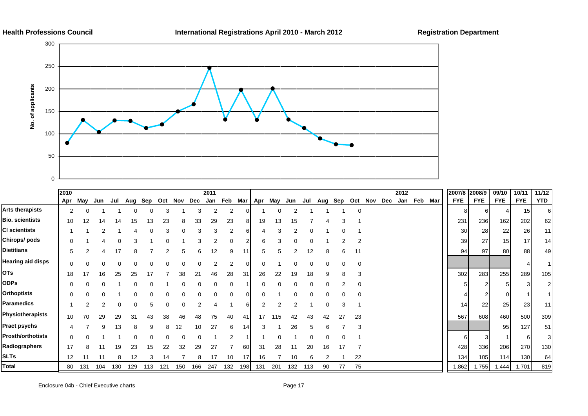



|                          | 2010 |     |     |     |     |     |     |     |     | 2011 |     |          |          |     |     |     |     |     |          |         |     | 2012 |     |     | 2007/8     | 2008/9     | 09/10      | 10/11            | 11/12          |
|--------------------------|------|-----|-----|-----|-----|-----|-----|-----|-----|------|-----|----------|----------|-----|-----|-----|-----|-----|----------|---------|-----|------|-----|-----|------------|------------|------------|------------------|----------------|
|                          | Apr  | May | Jun | Jul | Aug | Sep | Oct | Nov | Dec | Jan  | Feb | Mar      | Apr      | May | Jun | Jul | Aug | Sep |          | Oct Nov | Dec | Jan  | Feb | Mar | <b>FYE</b> | <b>FYE</b> | <b>FYE</b> | <b>FYE</b>       | <b>YTD</b>     |
| Arts therapists          | 2    |     |     |     |     |     |     |     |     |      |     |          |          |     |     |     |     |     | $\Omega$ |         |     |      |     |     |            |            |            | 15               | 6              |
| Bio. scientists          | 10   | 12  | 14  |     |     | 13  | 23  |     | 33  | 29   | 23  |          | 19       | 13  | 15  |     |     |     |          |         |     |      |     |     | 231        | 236        | 162        | 202              | 62             |
| <b>CI scientists</b>     |      |     |     |     |     |     |     |     |     |      |     |          |          |     |     |     |     |     |          |         |     |      |     |     | 30         | 28         | 22         | 26               | 11             |
| Chirops/ pods            |      |     |     |     |     |     |     |     |     |      |     |          |          |     |     |     |     |     |          |         |     |      |     |     | 39         | 27         | 15         | 17               | 14             |
| Dietitians               | 5    |     |     |     | 8   |     |     | 5   |     | 12   | 9   |          | 5        | 5   |     | 12  | 8   | 6   | 11       |         |     |      |     |     | 94         | 97         | 80         | 88               | 49             |
| <b>Hearing aid disps</b> | 0    |     |     |     |     |     | 0   | 0   |     |      | 2   | $\Omega$ | $\Omega$ |     |     |     |     |     | 0        |         |     |      |     |     |            |            |            |                  |                |
| OTs                      | 18   | 17  | 16  | 25  | 25  |     |     | 38  |     | 46   | 28  | 31       | 26       | 22  | 19  | 18  |     |     | 3        |         |     |      |     |     | 302        | 283        | 255        | 289              | 105            |
| <b>ODPs</b>              |      |     |     |     |     |     |     |     |     |      |     |          |          |     |     |     |     |     |          |         |     |      |     |     |            |            |            |                  | $\overline{2}$ |
| <b>Orthoptists</b>       | 0    |     |     |     |     |     |     |     |     |      |     |          |          |     |     |     |     |     |          |         |     |      |     |     |            |            |            |                  |                |
| Paramedics               |      |     |     |     |     |     |     | ŋ   |     |      |     |          |          |     |     |     |     | 3   |          |         |     |      |     |     | 14         | 22         | 25         | 23               | 11             |
| Physiotherapists         | 10   | 70  | 29  | 29  | 31  | 43  | 38  | 46  | 48  | 75   | 40  | 41       | 17       | 115 | 42  | 43  | 42  | 27  | 23       |         |     |      |     |     | 567        | 608        | 460        | 500              | 309            |
| Pract psychs             | 4    |     | 9   | 13  | 8   | 9   | 8   | 12  | 10  | 27   | 6   | 14       | 3        |     | 26  |     | 6   |     | 3        |         |     |      |     |     |            |            | 95         | 127              | 51             |
| <b>Prosth/orthotists</b> | 0    |     |     |     |     |     |     | ∩   |     |      |     |          |          |     |     |     |     |     |          |         |     |      |     |     |            |            |            |                  | 31             |
| Radiographers            | 17   | я   |     | 19  | 23  | 15  | 22  | 32  | 29  | 27   |     | 60       | 31       | 28  |     | 20  | 16  | 17  |          |         |     |      |     |     | 428        | 336        | 206        | 270              | 130            |
| <b>SLTs</b>              | 12   | 11  |     |     | 12  | 3   | 14  |     |     | 17   | 10  | 17       | 16       |     | 10  |     | 2   |     | 22       |         |     |      |     |     | 134        | 105        | 114        | 130 <sup>l</sup> | 64             |
| Total                    | 80   | 131 | 104 | 130 | 129 | 113 | 121 | 150 | 166 | 247  | 132 | 198      | 131      | 201 | 132 | 113 | 90  | 77  | 75       |         |     |      |     |     | 1,862      | 1,755      | 1,444      | 1,701            | 819            |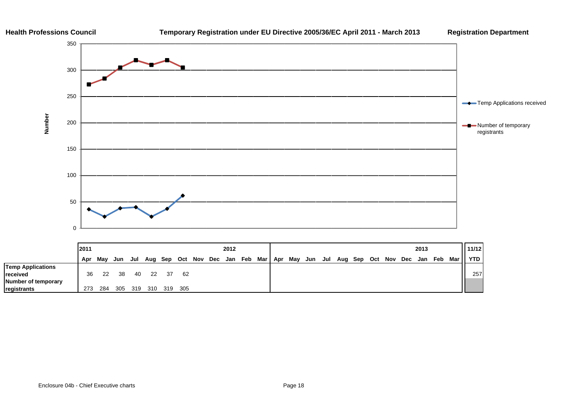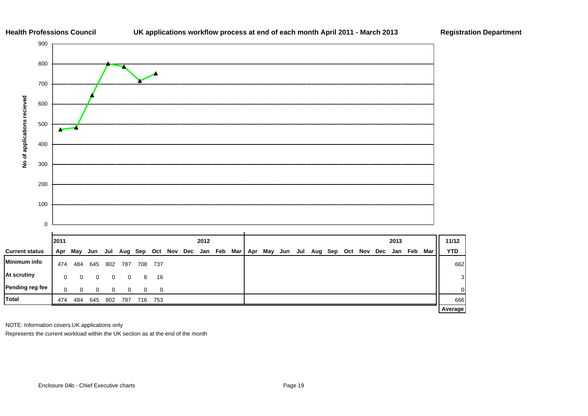



|                       | 12011 |     |          |     |          |         |          |             | 2012 |         |         |     |     |     |         |     |     |     | 2013 |     |     | 11/12          |
|-----------------------|-------|-----|----------|-----|----------|---------|----------|-------------|------|---------|---------|-----|-----|-----|---------|-----|-----|-----|------|-----|-----|----------------|
| <b>Current status</b> | Apr   | May | Jun      | Jul |          | Aug Sep |          | Oct Nov Dec |      | Jan Feb | Mar Apr | May | Jun | Jul | Aug Sep | Oct | Nov | Dec | Jan  | Feb | Mar | <b>YTD</b>     |
| Minimum info          | 474   | 484 | 645      | 802 | 787      | 708     | - 737    |             |      |         |         |     |     |     |         |     |     |     |      |     |     | 662            |
| At scrutiny           | 0     | 0   | $\Omega$ | 0   | $\Omega$ | 8       | 16       |             |      |         |         |     |     |     |         |     |     |     |      |     |     | 3 <sup>1</sup> |
| Pending reg fee       | 0     | 0   | 0        | 0   | 0        | 0       | $\Omega$ |             |      |         |         |     |     |     |         |     |     |     |      |     |     | $\circ$        |
| <b>Total</b>          | 474   | 484 | 645      | 802 | 787      | 716     | 753      |             |      |         |         |     |     |     |         |     |     |     |      |     |     | 666            |
|                       |       |     |          |     |          |         |          |             |      |         |         |     |     |     |         |     |     |     |      |     |     | <b>Average</b> |

NOTE: Information covers UK applications only

Represents the current workload within the UK section as at the end of the month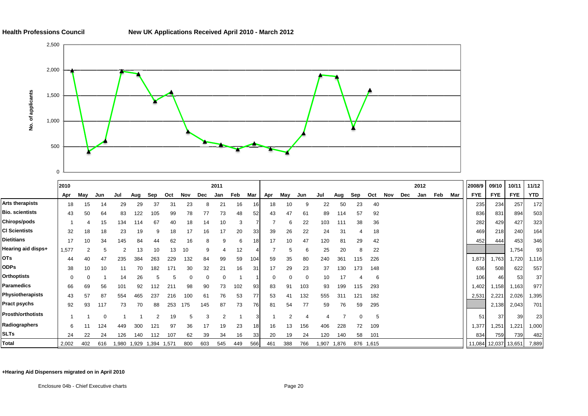

|                          | 2010     |     |     |      |       |       |       |     |     | 2011 |     |                 |          |     |          |      |       |          |           |     |     | 2012 |     |     | 2008/9               | 09/10      | 10/11      | 11/12      |
|--------------------------|----------|-----|-----|------|-------|-------|-------|-----|-----|------|-----|-----------------|----------|-----|----------|------|-------|----------|-----------|-----|-----|------|-----|-----|----------------------|------------|------------|------------|
|                          | Apr      | May | Jun | Jul  | Aug   | Sep   | Oct   | Nov | Dec | Jan  | Feb | Mar             | Apr      | May | Jun      | Jul  | Aug   | Sep      | Oct       | Nov | Dec | Jan  | Feb | Mar | <b>FYE</b>           | <b>FYE</b> | <b>FYE</b> | <b>YTD</b> |
| <b>Arts therapists</b>   | 18       | 15  | 14  | 29   | 29    | 37    | 31    | 23  |     | 21   | 16  | 16              | 18       | 10  |          | 22   | 50    | 23       | 40        |     |     |      |     |     | 235                  | 234        | 257        | 172        |
| <b>Bio. scientists</b>   | 43       | 50  | 64  | 83   | 122   | 105   | 99    | 78  | 77  | 73   | 48  | 52              | 43       | 47  | 61       | 89   | 114   | 57       | 92        |     |     |      |     |     | 836                  | 831        | 894        | 503        |
| <b>Chirops/pods</b>      |          |     | 15  | 134  | 114   | 67    | 40    | 18  | 14  | 10   | 3   |                 |          |     | 22       | 103  | 111   | 38       | 36        |     |     |      |     |     | 282                  | 429        | 427        | 323        |
| <b>CI Scientists</b>     | 32       | 18  | 18  | 23   | 19    | 9     | 18    |     | 16  | 17   | 20  | 33              | 39       | 26  | 22       | 24   | 31    |          | 18        |     |     |      |     |     | 469                  | 218        | 240        | 164        |
| <b>Dietitians</b>        | 17       | 10  | 34  | 145  | 84    | 44    | 62    | 16  |     |      | 6   | 18.             | 17       | 10  | 47       | 120  | 81    | 29       | 42        |     |     |      |     |     | 452                  | 444        | 453        | 346        |
| Hearing aid disps+       | 1,577    |     |     |      | 13    | 10    | 13    | 10  | 9   |      | 12  |                 |          |     | 6        | 25   | 20    | 8        | 22        |     |     |      |     |     |                      |            | 1,754      | 93         |
| <b>OTs</b>               | 44       | 40  | 47  | 235  | 384   | 263   | 229   | 132 | 84  | 99   | 59  | 104.            | 59       | 35  | 80       | 240  | 361   | 115      | 226       |     |     |      |     |     | 1,873                | 1,763      | 1,720      | 1,116      |
| <b>ODPs</b>              | 38       | 10  | 10  | 11   | 70    | 182   | 171   | 30  | 32  | 21   | 16  | 31              | 17       | 29  | 23       | 37   | 130   | 173      | 148       |     |     |      |     |     | 636                  | 508        | 622        | 557        |
| <b>Orthoptists</b>       | $\Omega$ |     |     | 14   | 26    | 5     |       |     |     |      |     |                 | $\Omega$ |     | $\Omega$ | 10   | 17    |          | 6         |     |     |      |     |     | 106                  | 46         | 53         | 37         |
| <b>Paramedics</b>        | 66       | 69  | 56  | 101  | 92    | 112   | 21'   | 98  | 90  | 73   | 102 | 93              | 83       | 91  | 103      | 93   | 199   | 115      | 293       |     |     |      |     |     | 1,402                | 1,158      | 1,163      | 977        |
| Physiotherapists         | 43       | 57  | 87  | 554  | 465   | 237   | 216   | 100 | 61  | 76   | 53  | 77              | 53       | 41  | 132      | 555  | 311   | 121      | 182       |     |     |      |     |     | 2,531                | 2,221      | 2,026      | 1,395      |
| <b>Pract psychs</b>      | 92       | 93  | 117 | 73   | 70    | 88    | 253   | 175 | 145 | 87   | 73  | 76              | 81       | 54  | 77       | 59   | 76    | 59       | 295       |     |     |      |     |     |                      | 2,138      | 2,043      | 701        |
| <b>Prosth/orthotists</b> |          |     |     |      |       |       | 19    |     | 3   |      |     |                 |          |     |          |      |       | $\Omega$ | 5         |     |     |      |     |     | 51                   | 37         | 39         | 23         |
| Radiographers            | 6        |     | 124 | 449  | 300   | 121   | 97    | 36  | 17  | 19   | 23  | 18 <sub>1</sub> | 16       | 13  | 156      | 406  | 228   | 72       | 109       |     |     |      |     |     | 1,377                | 1,251      | 1,221      | 1,000      |
| <b>SLTs</b>              | 24       | 22  | 24  | 126  | 140   | 112   | 107   | 62  | 39  | 34   | 16  | 33              | 20       | 19  | 24       | 120  | 140   | 58       | 101       |     |     |      |     |     | 834                  | 759        | 739        | 482        |
| Total                    | 2,002    | 402 | 616 | .980 | 1,929 | 1,394 | 1,571 | 800 | 603 | 545  | 449 | 566             | 461      | 388 | 766      | ,907 | 1,876 |          | 876 1,615 |     |     |      |     |     | 11,084 12,037 13,651 |            |            | 7,889      |

**+Hearing Aid Dispensers migrated on in April 2010**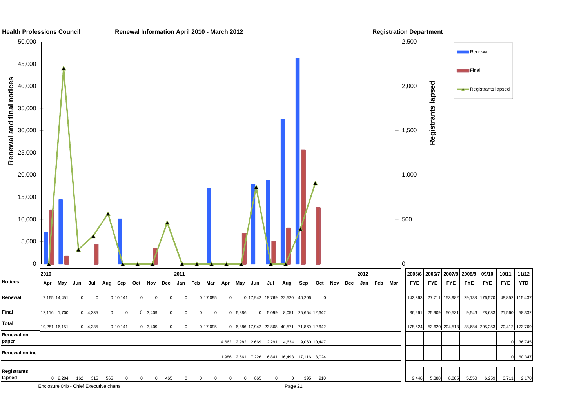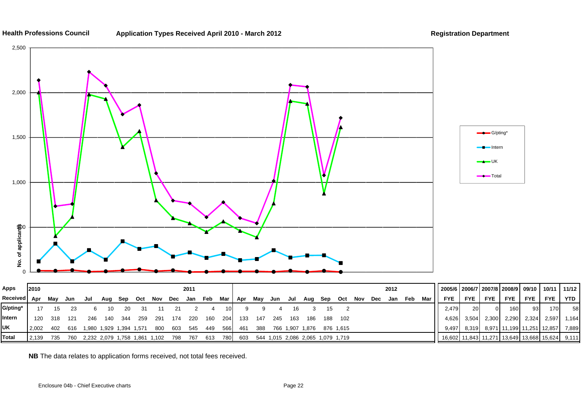

**Application Types Received April 2010 - March 2012 Registration Department**



| Apps         | 2010  |     |     |                                   |                         |     |      |      |     | 2011    |                 |       |                                           |     |     |         |                 |     |           |     |     | 2012    |     | 2005/6   2006/7   2007/8   2008/9   09/10   10/11   11/12 |            |            |            |            |                                  |    |
|--------------|-------|-----|-----|-----------------------------------|-------------------------|-----|------|------|-----|---------|-----------------|-------|-------------------------------------------|-----|-----|---------|-----------------|-----|-----------|-----|-----|---------|-----|-----------------------------------------------------------|------------|------------|------------|------------|----------------------------------|----|
| Received Apr |       | Mav | Jun | Jul                               | Aug Sep Oct Nov         |     |      |      | Dec |         | Jan Feb Mar Apr |       |                                           | Mav | Jun | Jul     | Aug Sep         |     | Oct       | Nov | Dec | Jan Feb | Mar | <b>FYE</b>                                                | <b>FYE</b> | <b>FYE</b> | <b>FYE</b> | <b>FYE</b> | FYE TYTD                         |    |
| G/pting*     |       |     |     |                                   | 10.                     | -20 | 31   |      |     |         |                 |       |                                           |     |     |         |                 |     |           |     |     |         |     | 2.479                                                     | <b>20</b>  | $\Omega$   | 160        | 93         | 170                              | 58 |
| Intern       | 120   | 318 | 121 | 246                               | 140                     | 344 | -259 | -291 | 174 | -220    | 160             | 204 L | 133                                       | 147 |     | 245 163 | 186             | 188 | - 102     |     |     |         |     | 4.626                                                     | 3.504      | 2,300      | 2,290      |            | 2,324 2,597 1,164                |    |
| <b>UK</b>    | 2.002 | 402 | 616 |                                   | 1,980 1,929 1,394 1,571 |     |      | -800 |     | 603 545 | - 449           | 566   | 461                                       | 388 |     |         | 766 1,907 1,876 |     | 876 1.615 |     |     |         |     | 9.497                                                     | 8.319      |            |            |            | 8,971 11,199 11,251 12,857 7,889 |    |
| Total        | 2.139 | 735 | 760 | 2,232 2,079 1,758 1,861 1,102 798 |                         |     |      |      |     |         | 767 613         |       | 780 603 544 1,015 2,086 2,065 1,079 1,719 |     |     |         |                 |     |           |     |     |         |     | 16,602 11,843 11,271 13,649 13,668 15,624 9,111           |            |            |            |            |                                  |    |

**NB** The data relates to application forms received, not total fees received.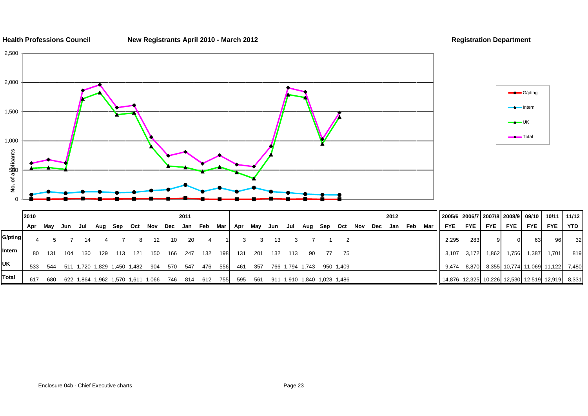**New Registrants April 2010 - March 2012 Registration Department**





|            | 2010 |     |     |     |         |                                 |     |       |     | 2011                            |     |     |       |     |     |     |     |                             |      |     |     | 2012 |     |     | 2005/6   2006/7   2007/8   2008/9   09/10   10/11 |            |            |            |       |                                           | 11/12 l |
|------------|------|-----|-----|-----|---------|---------------------------------|-----|-------|-----|---------------------------------|-----|-----|-------|-----|-----|-----|-----|-----------------------------|------|-----|-----|------|-----|-----|---------------------------------------------------|------------|------------|------------|-------|-------------------------------------------|---------|
|            | Apr  | May | Jun | Jul | Aug Sep |                                 | Oct | Nov   |     | Dec Jan Feb Mar Apr May Jun Jul |     |     |       |     |     |     | Aug | Sep                         | Oct  | Nov | Dec | Jan  | Feb | Mar | FYE                                               | <b>FYE</b> | <b>FYE</b> | <b>FYE</b> | FYE I | <b>FYE</b>                                | YTD I   |
| G/pting    |      |     |     |     |         |                                 |     | 12    | 10  | 20                              |     |     |       |     |     |     |     |                             |      |     |     |      |     |     | 2,295                                             | 283        |            |            | 631   | 96                                        | 32      |
| Intern     | 80   | 131 | 104 | 130 | 129     | 113                             | 121 | 150   | 166 | 247                             | 132 | 198 | 131   | 201 | 132 | 113 | -90 | 77                          | - 75 |     |     |      |     |     | 3.107                                             | 3,172      | .862       | 1,756      | 1,387 | 1,701                                     | 819     |
| <b>IUK</b> | 533  | 544 |     |     |         | 511 1,720 1,829 1,450 1,482 904 |     |       | 570 | 547                             | 476 | 556 | - 461 | 357 |     |     |     | 766 1,794 1,743 950 1,409   |      |     |     |      |     |     | 9.474                                             |            |            |            |       | 8,870 8,355 10,774 11,069 11,122          | 7,480   |
| Total      | 617  | 680 |     |     |         | 622 1.864 1.962 1.570 1.611     |     | 1.066 | 746 | 814                             | 612 | 755 | 595   | 561 |     |     |     | 911 1,910 1,840 1,028 1,486 |      |     |     |      |     |     |                                                   |            |            |            |       | 14,876 12,325 10,226 12,530 12,519 12,919 | 8,331   |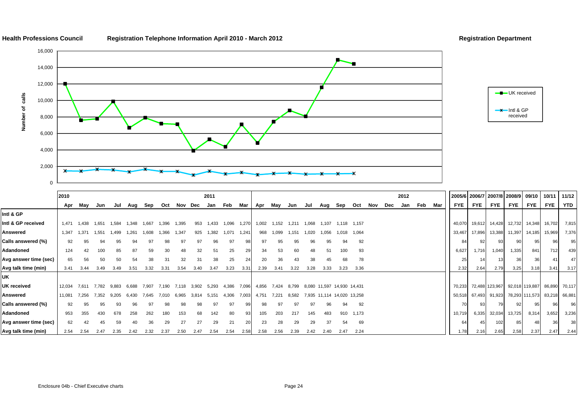

**Health Professions Council Registration Telephone Information April 2010 - March 2012 Registration Department**





|                       | 2010   |       |       |       |       |       |       |         |             | 2011  |       |       |       |       |       |                            |                            |             |           |     |     | 2012 |     |     |            | 2005/6 2006/7 2007/8 2008/9 |               |                               | 09/10      | 10/11 11/12 |            |
|-----------------------|--------|-------|-------|-------|-------|-------|-------|---------|-------------|-------|-------|-------|-------|-------|-------|----------------------------|----------------------------|-------------|-----------|-----|-----|------|-----|-----|------------|-----------------------------|---------------|-------------------------------|------------|-------------|------------|
|                       | Apr    | May   | Jun   | Jul   | Aug   | Sep   | Oct   | Nov Dec |             | Jan   | Feb   | Mar   | Apr   | May   | Jun   | Jul                        | Aug                        | Sep         | Oct       | Nov | Dec | Jan  | Feb | Mar | <b>FYE</b> | <b>FYE</b>                  | <b>FYE</b>    | <b>FYE</b>                    | <b>FYE</b> | <b>FYE</b>  | <b>YTD</b> |
| Intl & GP             |        |       |       |       |       |       |       |         |             |       |       |       |       |       |       |                            |                            |             |           |     |     |      |     |     |            |                             |               |                               |            |             |            |
| Intl & GP received    | 1,471  | 1.438 | 1.651 | 1,584 | 1,348 | 1,667 | 396   | 1,395   | 953         | 1,433 | 1,096 | 1,270 | 1,002 | 1.152 | 1.211 | 1,068                      | 1,107                      | 1,118 1,157 |           |     |     |      |     |     | 40,070     |                             | 19,612 14,428 | 12,732                        | 14,348     | 16,702      | 7,815      |
| Answered              | 1,347  | 1.371 | 1.551 | 1.499 | 1,261 | 1,608 | 1,366 | 1,347   | 925         | 1.382 | 1,071 | 1,241 | 968   | 1,099 | 1.151 | 1.020                      | .056                       | 1.018       | 1,064     |     |     |      |     |     | 33,467     | 17,896                      | 13,388        | 11,397                        | 14,185     | 15,969      | 7,376      |
| Calls answered (%)    | 92     | 95    | 94    |       | 94    | 97    | 98    | 97      | 97          | 96    | 97    |       | 97    | 95    | 95    | 96                         | 95                         | 94          | 92        |     |     |      |     |     |            | 92                          | 93            |                               | 95         | 96          | 95         |
| Adandoned             | 124    | 42    | 100   | 85    | 87    | 59    | 30    | 48      | 32          |       | 25    |       | 34    | 53    | 60    | 48                         | 51                         | 100         | 93        |     |     |      |     |     | 6,627      | 1,716                       | 1.040         | 1,335                         | 841        | 712         | 439        |
| Avg answer time (sec) | 65     | 56    | 50    | 50    | 54    | 38    | 31    | 32      | 31          | 38    | 25    | 24    | 20    | 36    | 43    | 38                         | 45                         | 68          | 78        |     |     |      |     |     | 25         | 14                          |               | 36                            | 36         | 41          | 47         |
| Avg talk time (min)   | 3.41   | 3.44  | 3.49  | 3.49  | 3.51  | 3.32  | 3.31  | 3.54    | 3.40        | 3.47  | 3.23  | 3.31  | 2.39  | 3.41  | 3.22  | 3.28                       | 3.33                       | 3.23        | 3.36      |     |     |      |     |     | 2.32       | 2.64                        | 2.79          | 3,25                          | 3.18       | 3.41        | 3.17       |
| UK                    |        |       |       |       |       |       |       |         |             |       |       |       |       |       |       |                            |                            |             |           |     |     |      |     |     |            |                             |               |                               |            |             |            |
| UK received           | 12,034 | 7.611 | 7.782 | 9,883 | 6,688 | 7.907 | 7,190 | 7.118   | 3,902 5,293 |       | 4,386 | 7,096 | 4,856 | 7.424 | 8,799 | 8,080 11,597 14,930 14,431 |                            |             |           |     |     |      |     |     | 70,233     |                             |               | 72,488 123,967 92,018 119,887 |            | 86,890      | 70,117     |
| Answered              | 11,081 | 7.256 | 7.352 | 9.205 | 6.430 | 7.645 | 7.010 | 6.965   | 3.814       | 5.151 | 4,306 | 7,003 | 4,751 | 7,221 | 8,582 |                            | 7,935 11,114 14,020 13,258 |             |           |     |     |      |     |     | 50,518     |                             | 67,493 91,923 | 78,293 111,573                |            | 83,218      | 66,881     |
| Calls answered (%)    | 92     | 95    | 95    |       |       | 97    | 98    | 98      |             |       | 97    |       | 98    | 97    |       | 97                         | 96                         | 94          | 92        |     |     |      |     |     |            | 93                          |               |                               |            | 96          | 96         |
| Adandoned             | 953    | 355   | 430   | 678   | 258   | 262   | 180   | 153     | 68          | 142   | 80    |       | 105   | 203   | 217   | 145                        | 483                        |             | 910 1,173 |     |     |      |     |     | 10,719     |                             | 6,335 32,034  | 13,725                        | 8,314      | 3,652       | 3,236      |
| Avg answer time (sec) | 62     | 42    | 45    | 59    |       | 36    | 29    | 27      | 27          | 29    | 21    |       | 23    | 28    | 29    | 29                         | 37                         | 54          | 69        |     |     |      |     |     | 64         | 45                          | 102           | 85                            |            | 36          | 38         |
| Avg talk time (min)   | 2.54   | 2.54  | 2.47  | 2.35  | 2.42  | 2.32  | 2.37  | 2.50    | 2.47        | 2.54  | 2.54  | 2.58  | 2.58  | 2.56  | 2.39  | 2.42                       | 2.40                       | 2.47        | 2.24      |     |     |      |     |     | 1.78       | 2.16                        | 2.65          | 2,58                          | 2.37       | 2.47        | 2.44       |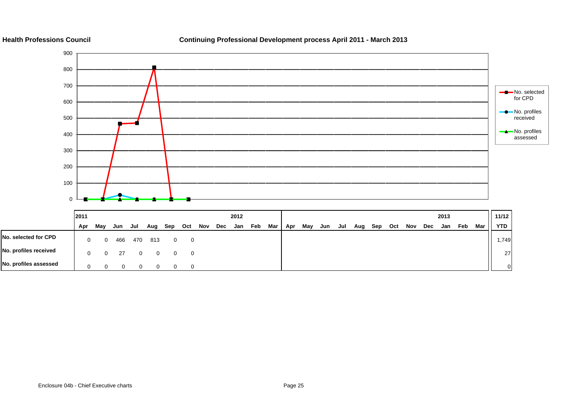**Continuing Professional Development process April 2011 - March 2013**

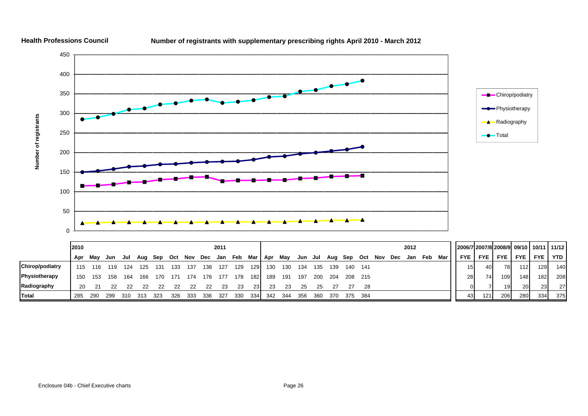

### **Number of registrants with supplementary prescribing rights April 2010 - March 2012**

**Total**

**Health Professions Council**

**Radiography** 20 21 22 22 22 22 22 22 22 23 23 23 23 23 25 25 27 27 28 0 7 19 20 23 27

 $4$ 

285 290 299 310 313 323 326 333 336 327 330 334 342 344 356 360 370 375 384

27

43 121 206 280 334 375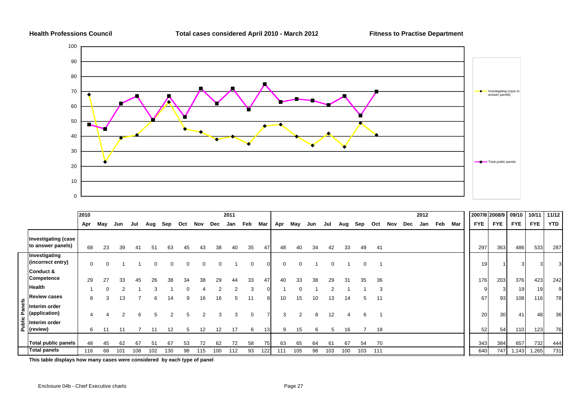**Health Professions Council Total cases considered April 2010 - March 2012 Fitness to Practise Department**



|              |                                          | 2010        |          |     |     |     |     |          |     |     | 2011 |          |          |              |     |     |          |     |     |     |     |     | 2012 |     |     |            | 2007/8 2008/9 | 09/10      | 10/11      | 11/12 |
|--------------|------------------------------------------|-------------|----------|-----|-----|-----|-----|----------|-----|-----|------|----------|----------|--------------|-----|-----|----------|-----|-----|-----|-----|-----|------|-----|-----|------------|---------------|------------|------------|-------|
|              |                                          | Apr         | May      | Jun | Jul | Aug | Sep | Oct      | Nov | Dec | Jan  | Feb      | Mar      | Apr          | May | Jun | Jul      | Aug | Sep | Oct | Nov | Dec | Jan  | Feb | Mar | <b>FYE</b> | <b>FYE</b>    | <b>FYE</b> | <b>FYE</b> | YTD   |
|              | Investigating (case<br>to answer panels) | 68          | 23       | 39  | 41  | 51  | 63  | 45       | 43  | 38  | 40   | 35       | 47       | 48           | 40  | 34  | 42       | 33  | 49  | 41  |     |     |      |     |     | 297        | 363           | 486        | 533        | 287   |
|              | Investigating<br>(incorrect entry)       | $\mathbf 0$ | $\Omega$ |     |     |     |     | $\Omega$ |     |     |      | $\Omega$ | $\Omega$ | $\mathbf{0}$ | 0   |     | $\Omega$ |     |     |     |     |     |      |     |     | 19         |               |            |            |       |
|              | Conduct &<br><b>Competence</b>           | 29          | 27       | 33  | 45  | 26  | 38  | 34       | 38  | 29  | 44   | 33       | 47       | 40           | 33  | 38  | 29       | 31  | 35  | 36  |     |     |      |     |     | 176        | 203           | 376        | 423        | 242   |
|              | Health                                   |             | $\Omega$ |     |     |     |     | $\Omega$ |     |     | ົ    |          | $\Omega$ |              |     |     |          |     |     | 3   |     |     |      |     |     |            |               | 19         | 19         | 9     |
|              | <b>Review cases</b>                      | 8           | 3        | 13  |     | 6   | 14  | 9        | 16  | 16  | 5    |          | 8        | 10           | 15  | 10  | 13       | 14  | -5  | 11  |     |     |      |     |     | 67         | 93            | 108        | 116        | 78    |
| ublic Panels | Interim order<br>(application)           | 4           |          |     |     | 5   | 2   | 5        |     | 3   | 3    | 5        |          | 3            | 2   | 8   | 12       | 4   | 6   |     |     |     |      |     |     | 20         | 30            | 41         | 48         | 36    |
| $\sim$       | Interim order<br>(review)                | 6           |          |     |     | 11  | 12  | 5        | 12  | 12  | 17   | 6        | 131      | 9            | 15  | 6   | 5        | 16  |     | 18  |     |     |      |     |     | 52         | 54            | 110        | 123        | 76    |
|              | <b>Total public panels</b>               | 48          | 45       | 62  | 67  | 51  | 67  | 53       | 72  | 62  | 72   | 58       | 75       | 63           | 65  | 64  | 61       | 67  | 54  | 70  |     |     |      |     |     | 343        | 384           | 657        | 732        | 444   |
|              | <b>Total panels</b>                      | 116         | 68       | 101 | 108 | 102 | 30  | 98       | 115 | 100 | 112  | 93       | 122      | 111          | 105 | 98  | 103      | 100 | 103 | 111 |     |     |      |     |     | 640        | 747           | 1,143      | 1,265      | 731   |

**This table displays how many cases were considered by each type of panel**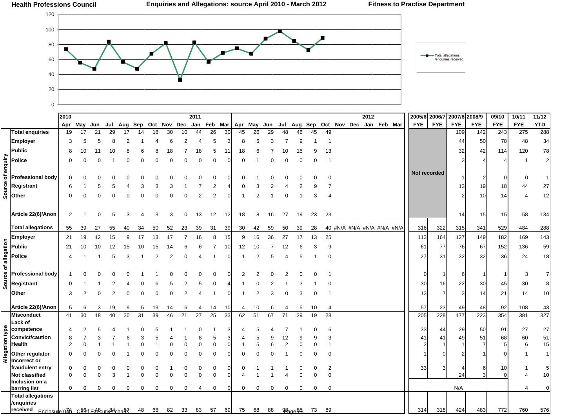

| <b>FYE</b><br><b>FYE</b><br><b>FYE</b><br><b>FYE</b><br>Jul Aug Sep Oct Nov Dec Jan<br>Feb Mar<br>Apr May<br>Jul Aug Sep<br>Oct Nov Dec Jan Feb Mar<br>Apr May<br>Jun<br>Jun<br><b>Total enquiries</b><br>26<br>26<br>19<br>17<br>21<br>29<br>18<br>30<br>10<br>30<br>45<br>29<br>46<br>45<br>49<br>109<br>142<br>17<br>44<br>48<br>14<br>Employer<br>8<br>$\overline{2}$<br>5<br>5<br>$\overline{7}$<br>9<br>5<br>5<br>6<br>$\overline{2}$<br>$\overline{4}$<br>8<br>3<br>44<br>3<br>$\overline{4}$<br>$\overline{1}$<br>$\mathbf 1$<br>-1<br><b>Public</b><br>32<br>18<br>5<br>13<br>8<br>7<br>10<br>18<br>11<br>18<br>15<br>9<br>10<br>11<br>8<br>6<br>8<br>6<br>10<br>enquiry<br><b>Police</b><br>$\Omega$<br>$\Omega$<br>$\Omega$<br>$\Omega$<br>$\Omega$<br>$\mathbf 0$<br>$\Omega$<br>$\Omega$<br>0<br>0<br>-1<br>Not recorded<br>Source of<br>Professional bodv<br><sup>0</sup><br>0<br>Registrant<br>$\overline{2}$<br>13<br>3<br>3<br>6<br>5<br>3<br>5<br>Other<br>$\overline{2}$<br>$\overline{2}$<br>10<br>$\Omega$<br>$\Omega$<br>$\Omega$<br>3<br>$\Omega$<br>4<br>Article 22(6)/Anon<br>2<br>23<br>14<br>15<br>12<br>12<br>18<br>8<br>27<br>23<br>0<br>5<br>3<br>0<br>13<br>16<br>19<br>3<br>3<br>4 | <b>FYE</b><br><b>YTD</b><br><b>FYE</b><br>275 |
|--------------------------------------------------------------------------------------------------------------------------------------------------------------------------------------------------------------------------------------------------------------------------------------------------------------------------------------------------------------------------------------------------------------------------------------------------------------------------------------------------------------------------------------------------------------------------------------------------------------------------------------------------------------------------------------------------------------------------------------------------------------------------------------------------------------------------------------------------------------------------------------------------------------------------------------------------------------------------------------------------------------------------------------------------------------------------------------------------------------------------------------------------------------------------------------------------------------------|-----------------------------------------------|
|                                                                                                                                                                                                                                                                                                                                                                                                                                                                                                                                                                                                                                                                                                                                                                                                                                                                                                                                                                                                                                                                                                                                                                                                                    |                                               |
|                                                                                                                                                                                                                                                                                                                                                                                                                                                                                                                                                                                                                                                                                                                                                                                                                                                                                                                                                                                                                                                                                                                                                                                                                    | 288<br>243                                    |
|                                                                                                                                                                                                                                                                                                                                                                                                                                                                                                                                                                                                                                                                                                                                                                                                                                                                                                                                                                                                                                                                                                                                                                                                                    | 34<br>48<br>50<br>78                          |
|                                                                                                                                                                                                                                                                                                                                                                                                                                                                                                                                                                                                                                                                                                                                                                                                                                                                                                                                                                                                                                                                                                                                                                                                                    | 78<br>42<br>120<br>114                        |
|                                                                                                                                                                                                                                                                                                                                                                                                                                                                                                                                                                                                                                                                                                                                                                                                                                                                                                                                                                                                                                                                                                                                                                                                                    | $\overline{2}$                                |
|                                                                                                                                                                                                                                                                                                                                                                                                                                                                                                                                                                                                                                                                                                                                                                                                                                                                                                                                                                                                                                                                                                                                                                                                                    |                                               |
|                                                                                                                                                                                                                                                                                                                                                                                                                                                                                                                                                                                                                                                                                                                                                                                                                                                                                                                                                                                                                                                                                                                                                                                                                    |                                               |
|                                                                                                                                                                                                                                                                                                                                                                                                                                                                                                                                                                                                                                                                                                                                                                                                                                                                                                                                                                                                                                                                                                                                                                                                                    | $27\,$<br>19<br>18<br>44                      |
|                                                                                                                                                                                                                                                                                                                                                                                                                                                                                                                                                                                                                                                                                                                                                                                                                                                                                                                                                                                                                                                                                                                                                                                                                    | 12<br>14                                      |
|                                                                                                                                                                                                                                                                                                                                                                                                                                                                                                                                                                                                                                                                                                                                                                                                                                                                                                                                                                                                                                                                                                                                                                                                                    |                                               |
|                                                                                                                                                                                                                                                                                                                                                                                                                                                                                                                                                                                                                                                                                                                                                                                                                                                                                                                                                                                                                                                                                                                                                                                                                    |                                               |
|                                                                                                                                                                                                                                                                                                                                                                                                                                                                                                                                                                                                                                                                                                                                                                                                                                                                                                                                                                                                                                                                                                                                                                                                                    | 58<br>134<br>15                               |
| <b>Total allegations</b><br>40 #N/A #N/A #N/A #N/A #N/A<br>322<br>39<br>59<br>28<br>315<br>341<br>55<br>27<br>55<br>34<br>50<br>52<br>23<br>39<br>31<br>39<br>30<br>42<br>50<br>39<br>316<br>40                                                                                                                                                                                                                                                                                                                                                                                                                                                                                                                                                                                                                                                                                                                                                                                                                                                                                                                                                                                                                    | 484<br>288<br>529                             |
| 127<br><b>Employer</b><br>8<br>36<br>25<br>19<br>15<br>13<br>16<br>15<br>16<br>27<br>17<br>13<br>149<br>21<br>12<br>9<br>17<br>17<br>7<br>9<br>113<br>164                                                                                                                                                                                                                                                                                                                                                                                                                                                                                                                                                                                                                                                                                                                                                                                                                                                                                                                                                                                                                                                          | 143<br>169<br>182                             |
| Source of allegation<br>Public<br>76<br>67<br>10<br>3<br>9<br>61<br>77<br>21<br>12<br>10<br>-12<br>12<br>10<br>15<br>10<br>15                                                                                                                                                                                                                                                                                                                                                                                                                                                                                                                                                                                                                                                                                                                                                                                                                                                                                                                                                                                                                                                                                      | 59<br>152<br>136                              |
| 27<br>32<br>Police<br>3<br>$\overline{2}$<br>$\overline{2}$<br>5<br>31<br>5<br>5<br>$\Omega$                                                                                                                                                                                                                                                                                                                                                                                                                                                                                                                                                                                                                                                                                                                                                                                                                                                                                                                                                                                                                                                                                                                       | 32<br>36<br>24<br>18                          |
|                                                                                                                                                                                                                                                                                                                                                                                                                                                                                                                                                                                                                                                                                                                                                                                                                                                                                                                                                                                                                                                                                                                                                                                                                    |                                               |
| <b>Professional body</b><br>$\Omega$<br>2<br>0<br>6                                                                                                                                                                                                                                                                                                                                                                                                                                                                                                                                                                                                                                                                                                                                                                                                                                                                                                                                                                                                                                                                                                                                                                |                                               |
|                                                                                                                                                                                                                                                                                                                                                                                                                                                                                                                                                                                                                                                                                                                                                                                                                                                                                                                                                                                                                                                                                                                                                                                                                    |                                               |
| Registrant<br>22<br>$\Omega$<br>30<br>5<br>16                                                                                                                                                                                                                                                                                                                                                                                                                                                                                                                                                                                                                                                                                                                                                                                                                                                                                                                                                                                                                                                                                                                                                                      | 30<br>45<br>30<br>8                           |
| Other<br>2<br>2<br>3<br>3<br>13<br>3<br>$\Omega$<br>$\Omega$<br>∩<br>$\Omega$<br>-7<br>З<br>O<br>4<br>-1                                                                                                                                                                                                                                                                                                                                                                                                                                                                                                                                                                                                                                                                                                                                                                                                                                                                                                                                                                                                                                                                                                           | 21<br>10<br>14<br>14                          |
| Article 22(6)/Anon<br>57<br>10<br>23<br>49<br>5<br>19<br>14<br>10<br>13<br>10<br>5<br>4<br>6<br>3<br>14<br>6<br>6<br>5                                                                                                                                                                                                                                                                                                                                                                                                                                                                                                                                                                                                                                                                                                                                                                                                                                                                                                                                                                                                                                                                                             | 48<br>92<br>108<br>43                         |
| 30<br>18<br>30<br>39<br>25<br>51<br>67<br>29<br>Misconduct<br>40<br>31<br>46<br>21<br>27<br>33<br>62<br>71<br>19<br>28<br>228<br>177<br>223<br>41<br>205                                                                                                                                                                                                                                                                                                                                                                                                                                                                                                                                                                                                                                                                                                                                                                                                                                                                                                                                                                                                                                                           | 327<br>354<br>381                             |
| Lack of                                                                                                                                                                                                                                                                                                                                                                                                                                                                                                                                                                                                                                                                                                                                                                                                                                                                                                                                                                                                                                                                                                                                                                                                            |                                               |
| competence<br>33<br>29<br>44                                                                                                                                                                                                                                                                                                                                                                                                                                                                                                                                                                                                                                                                                                                                                                                                                                                                                                                                                                                                                                                                                                                                                                                       | 27<br>27<br>50<br>91                          |
| <b>Convict/caution</b><br>49<br>5<br>9<br>41<br>8<br>12<br>9<br>41                                                                                                                                                                                                                                                                                                                                                                                                                                                                                                                                                                                                                                                                                                                                                                                                                                                                                                                                                                                                                                                                                                                                                 | 51<br>60<br>68<br>51<br>15                    |
| Health<br>$\mathbf 0$<br>$\overline{2}$<br>$\Omega$<br>$\Omega$<br>$\Omega$<br>6<br>$\mathbf 1$                                                                                                                                                                                                                                                                                                                                                                                                                                                                                                                                                                                                                                                                                                                                                                                                                                                                                                                                                                                                                                                                                                                    | 5                                             |
| Allegation type<br>Other regulator<br>$\Omega$<br>$\Omega$<br>∩<br>Incorrect or                                                                                                                                                                                                                                                                                                                                                                                                                                                                                                                                                                                                                                                                                                                                                                                                                                                                                                                                                                                                                                                                                                                                    |                                               |
| fraudulent entry<br>$\mathbf 0$<br>$\overline{2}$<br>33<br>$\Omega$<br>$\Omega$<br>3<br>∩<br>0<br>0                                                                                                                                                                                                                                                                                                                                                                                                                                                                                                                                                                                                                                                                                                                                                                                                                                                                                                                                                                                                                                                                                                                | 6<br>10<br>5                                  |
| <b>Not classified</b><br>3<br>$\Omega$<br>24<br>$\Omega$<br>$\Omega$<br>$\Omega$<br>$\Omega$<br>$\Omega$<br>$\Omega$<br>$\Omega$<br>$\mathbf 0$<br>$\Omega$<br>$\Omega$                                                                                                                                                                                                                                                                                                                                                                                                                                                                                                                                                                                                                                                                                                                                                                                                                                                                                                                                                                                                                                            | 10<br>3                                       |
| Inclusion on a                                                                                                                                                                                                                                                                                                                                                                                                                                                                                                                                                                                                                                                                                                                                                                                                                                                                                                                                                                                                                                                                                                                                                                                                     | $\Omega$                                      |
| N/A<br>$\mathbf 0$<br>0<br>0<br>0<br>0<br>0<br>0<br>0<br>0<br>0<br>0<br>0<br>0<br>0<br>0<br>barring list<br>0<br>0<br>4<br><b>Total allegations</b>                                                                                                                                                                                                                                                                                                                                                                                                                                                                                                                                                                                                                                                                                                                                                                                                                                                                                                                                                                                                                                                                |                                               |
| /enquiries                                                                                                                                                                                                                                                                                                                                                                                                                                                                                                                                                                                                                                                                                                                                                                                                                                                                                                                                                                                                                                                                                                                                                                                                         |                                               |
| received<br>68<br>82<br>33<br>89<br>314<br>318<br>424<br>483<br>$Fnclos$ une $046 - C$ her $F48$ cutiv $84$ chan $55$<br>48<br>83<br>57<br>69<br>75<br>68<br>88<br>$\frac{96}{200}$<br>73                                                                                                                                                                                                                                                                                                                                                                                                                                                                                                                                                                                                                                                                                                                                                                                                                                                                                                                                                                                                                          | 760<br>576<br>772                             |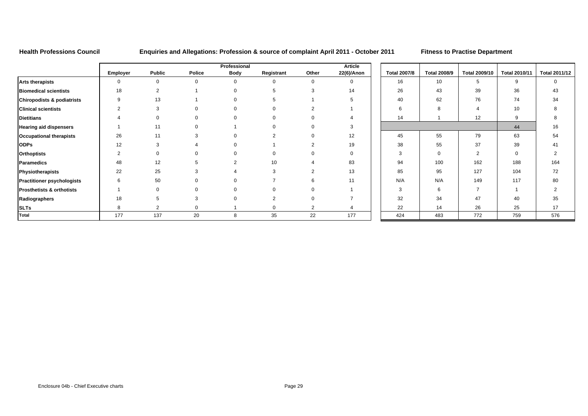## **Health Professions Council Enquiries and Allegations: Profession & source of complaint April 2011 - October 2011 Fitness to Practise Department**

|                                       |                 |                |             | Professional |            |                | Article      |                     |                     |                      |                      |               |
|---------------------------------------|-----------------|----------------|-------------|--------------|------------|----------------|--------------|---------------------|---------------------|----------------------|----------------------|---------------|
|                                       | <b>Employer</b> | <b>Public</b>  | Police      | Body         | Registrant | Other          | 22(6)/Anon   | <b>Total 2007/8</b> | <b>Total 2008/9</b> | <b>Total 2009/10</b> | <b>Total 2010/11</b> | Total 2011/12 |
| <b>Arts therapists</b>                | 0               | $\mathbf 0$    | $\mathbf 0$ | $\Omega$     | $\Omega$   | $\mathbf 0$    | $\mathbf{0}$ | 16                  | 10 <sup>1</sup>     | 5                    | 9                    | $\Omega$      |
| <b>Biomedical scientists</b>          | 18              | $\overline{2}$ |             |              |            |                | 14           | 26                  | 43                  | 39                   | 36                   | 43            |
| <b>Chiropodists &amp; podiatrists</b> | 9               | 13             |             |              |            |                |              | 40                  | 62                  | 76                   | 74                   | 34            |
| <b>Clinical scientists</b>            | $\overline{2}$  | 3              | $\Omega$    |              |            |                |              |                     | 8                   |                      | 10                   |               |
| <b>Dietitians</b>                     |                 |                |             |              |            |                |              | 14                  |                     | 12                   | 9                    |               |
| <b>Hearing aid dispensers</b>         |                 | 11             |             |              |            |                |              |                     |                     |                      | 44                   | 16            |
| <b>Occupational therapists</b>        | 26              | 11             |             |              |            |                | 12           | 45                  | 55                  | 79                   | 63                   | 54            |
| <b>ODPs</b>                           | 12              |                |             |              |            |                | 19           | 38                  | 55                  | 37                   | 39                   | 41            |
| <b>Orthoptists</b>                    |                 |                |             |              |            |                | $\mathbf 0$  | 3                   | $\mathbf 0$         | ◠                    | $\mathbf 0$          |               |
| <b>Paramedics</b>                     | 48              | 12             | 5           | ∠            | 10         |                | 83           | 94                  | 100                 | 162                  | 188                  | 164           |
| Physiotherapists                      | 22              | 25             | 3           |              | 3          |                | 13           | 85                  | 95                  | 127                  | 104                  | 72            |
| <b>Practitioner psychologists</b>     | 6               | 50             | $\Omega$    |              |            |                | 11           | N/A                 | N/A                 | 149                  | 117                  | 80            |
| <b>Prosthetists &amp; orthotists</b>  |                 | $\Omega$       | $\Omega$    |              |            |                |              | 3                   | 6                   | $\overline{ }$       |                      | ◠             |
| Radiographers                         | 18              |                | 3           |              | $\Omega$   |                |              | 32                  | 34                  | 47                   | 40                   | 35            |
| <b>SLTs</b>                           | 8               |                | $\mathbf 0$ |              |            | $\overline{2}$ |              | 22                  | 14                  | 26                   | 25                   | 17            |
| Total                                 | 177             | 137            | 20          | 8            | 35         | 22             | 177          | 424                 | 483                 | 772                  | 759                  | 576           |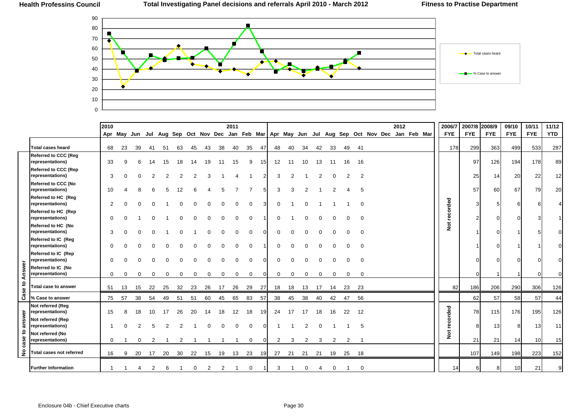

|         |                                                 | 2010        |                                                                                                   |     |    |    |    |    |    |    | 2011 |              |    |          |    |     |    |    |          |          |  | 2012 |  | 2006/7               | 2007/8     | 2008/9     | 09/10           | 10/11      | 11/12      |
|---------|-------------------------------------------------|-------------|---------------------------------------------------------------------------------------------------|-----|----|----|----|----|----|----|------|--------------|----|----------|----|-----|----|----|----------|----------|--|------|--|----------------------|------------|------------|-----------------|------------|------------|
|         |                                                 |             | Apr May Jun Jul Aug Sep Oct Nov Dec Jan Feb Mar   Apr May Jun Jul Aug Sep Oct Nov Dec Jan Feb Mar |     |    |    |    |    |    |    |      |              |    |          |    |     |    |    |          |          |  |      |  | <b>FYE</b>           | <b>FYE</b> | <b>FYE</b> | <b>FYE</b>      | <b>FYE</b> | <b>YTD</b> |
|         | <b>Total cases heard</b>                        | 68          | 23                                                                                                | 39  | 41 | 51 | 63 | 45 | 43 | 38 | 40   | 35           | 47 | 48       | 40 | 34  | 42 | 33 | 49       | - 41     |  |      |  | 178                  | 299        | 363        | 499             | 533        | 287        |
|         | <b>Referred to CCC (Reg</b><br>representations) | 33          |                                                                                                   | 6   | 14 | 15 | 18 | 14 | 19 | 11 | 15   | 9            | 15 | 12       | 11 | 10  | 13 | 11 | 16       | 16       |  |      |  |                      | 97         | 126        | 194             | 178        | 89         |
|         | <b>Referred to CCC (Rep</b><br>representations) | 3           |                                                                                                   |     |    |    |    |    |    |    |      |              |    | 3        |    |     |    |    | 2        | 2        |  |      |  |                      | 25         | 14         | 20              | 22         | 12         |
|         | <b>Referred to CCC (No</b><br>representations)  | 10          |                                                                                                   |     |    |    |    |    |    |    |      |              | 5  | 3        | 3  |     |    |    |          | 5        |  |      |  |                      | 57         | 60         | 67              | 79         | 20         |
|         | Referred to HC (Reg<br>representations)         | 2           |                                                                                                   |     |    |    |    |    |    |    |      | $\Omega$     |    | $\Omega$ |    |     |    |    |          | $\Omega$ |  |      |  |                      |            | 5          | 6               |            |            |
|         | Referred to HC (Rep<br>representations)         | 0           |                                                                                                   |     |    |    |    |    |    |    |      | $\Omega$     |    | O        |    |     |    |    | $\Omega$ | $\Omega$ |  |      |  | recorded             |            | $\Omega$   |                 |            |            |
|         | Referred to HC (No<br>representations)          | 3           |                                                                                                   |     |    |    |    |    |    |    |      | $\Omega$     |    | 0        |    |     |    |    | $\Omega$ | $\Omega$ |  |      |  | $\breve{\mathbf{z}}$ |            | $\Omega$   |                 |            |            |
|         | Referred to IC (Reg<br>representations)         | $\Omega$    |                                                                                                   |     |    |    |    |    |    |    |      | ∩            |    | 0        |    |     |    |    |          | $\Omega$ |  |      |  |                      |            | $\Omega$   |                 |            |            |
|         | Referred to IC (Rep<br>representations)         | $\Omega$    |                                                                                                   |     |    |    |    |    |    |    |      |              |    |          |    |     |    |    |          |          |  |      |  |                      |            | $\cap$     |                 |            |            |
| Answer  | Referred to IC (No<br>representations)          | $\mathbf 0$ | 0                                                                                                 | 0   | 0  |    |    | 0  |    |    | 0    | 0            | O  | 0        | 0  | 0   | 0  | 0  | 0        | 0        |  |      |  |                      |            |            |                 |            |            |
| Case to | Total case to answer                            | 51          | 13                                                                                                | -15 | 22 | 25 | 32 | 23 | 26 | 17 | 26   | 29           | 27 | 18       | 18 | 13  | 17 | 14 | 23       | -23      |  |      |  | 82                   | 186        | 206        | 290             | 306        | 126        |
|         | % Case to answer                                | 75          | 57                                                                                                | 38  | 54 | 49 | 51 | 51 | 60 | 45 | 65   | 83           | 57 | 38       | 45 | 38  | 40 | 42 | 47       | 56       |  |      |  |                      | 62         | 57         | 58              | 57         | 44         |
|         | Not referred (Reg<br>representations)           | 15          |                                                                                                   | 18  | 10 | 17 | 26 | 20 |    | 18 | 12   | 18           | 19 | 24       | 17 | -17 | 18 | 16 | 22       | 12       |  |      |  |                      | 78         | 115        | 176             | 195        | 126        |
| answer  | Not referred (Rep<br>representations)           |             |                                                                                                   |     |    |    |    |    |    |    |      | $\Omega$     |    |          |    |     |    |    |          | 5        |  |      |  | recorded             |            | 13         | 8               | 13         | 11         |
| case to | Not referred (No<br>representations)            | $\mathbf 0$ |                                                                                                   | 0   | 2  |    |    |    |    |    |      | $\mathbf{0}$ | O  | 2        | 3  | 2   | 3  | 2  | 2        |          |  |      |  | $\breve{\mathbf{z}}$ | 21         | 21         | 14              | 10         | 15         |
| ż       | Total cases not referred                        | 16          | 9                                                                                                 | -20 | 17 | 20 | 30 | 22 | 15 | 19 | 13   | 23           | 19 | 27       | 21 | 21  | 21 | 19 | 25       | 18       |  |      |  |                      | 107        | 149        | 198             | 223        | 152        |
|         | <b>Further Information</b>                      |             |                                                                                                   |     |    |    |    |    |    |    |      | 0            |    | 3        |    |     |    | 0  |          | 0        |  |      |  | 14                   |            | 8          | 10 <sup>1</sup> | 21         | 9          |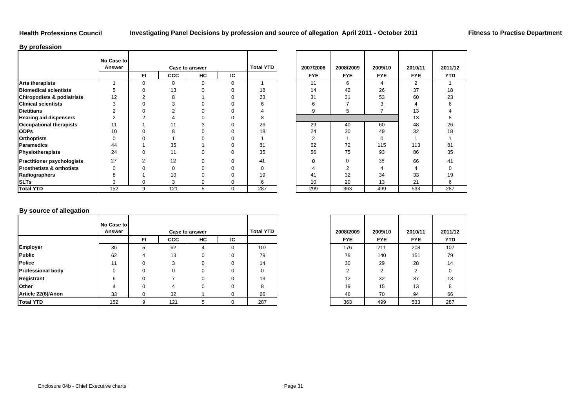### **By profession**

|                                       | No Case to<br>Answer |     |            | <b>Case to answer</b> |    | <b>Total YTD</b> | 2007/2008    | 2008/2009   | 2009/10    | 2010/11    | 2011/      |
|---------------------------------------|----------------------|-----|------------|-----------------------|----|------------------|--------------|-------------|------------|------------|------------|
|                                       |                      | FI. | <b>CCC</b> | HC                    | IC |                  | <b>FYE</b>   | <b>FYE</b>  | <b>FYE</b> | <b>FYE</b> | <b>YTE</b> |
| <b>Arts therapists</b>                |                      | 0   |            | 0                     | 0  |                  | 11           | 6           | 4          | 2          |            |
| <b>Biomedical scientists</b>          | 5                    |     | 13         |                       | 0  | 18               | 14           | 42          | 26         | 37         | 18         |
| <b>Chiropodists &amp; podiatrists</b> | 12                   |     |            |                       | 0  | 23               | 31           | 31          | 53         | 60         | 23         |
| <b>Clinical scientists</b>            | 3                    |     |            |                       |    | 6                | 6            |             |            |            | 6          |
| <b>Dietitians</b>                     | ົ                    |     |            |                       |    |                  | 9            | 5           |            | 13         |            |
| <b>Hearing aid dispensers</b>         | 2                    |     |            |                       |    | 8                |              |             |            | 13         |            |
| <b>Occupational therapists</b>        | 11                   |     |            |                       |    | 26               | 29           | 40          | 60         | 48         | 26         |
| <b>ODPs</b>                           | 10                   |     |            |                       |    | 18               | 24           | 30          | 49         | 32         | 18         |
| <b>Orthoptists</b>                    | $\Omega$             |     |            |                       | U  |                  | 2            |             | 0          |            |            |
| <b>Paramedics</b>                     | 44                   |     | 35         |                       | ი  | 81               | 62           | 72          | 115        | 113        | 81         |
| Physiotherapists                      | 24                   | 0   | 11         |                       | 0  | 35               | 56           | 75          | 93         | 86         | 35         |
| <b>Practitioner psychologists</b>     | 27                   | ◠   | 12         |                       | 0  | 41               | <sup>0</sup> | $\mathbf 0$ | 38         | 66         | 41         |
| <b>Prosthetists &amp; orthotists</b>  | $\Omega$             |     |            |                       | O  | $\Omega$         |              |             | 4          | 4          |            |
| Radiographers                         | 8                    |     | 10         |                       | O  | 19               | 41           | 32          | 34         | 33         | 19         |
| <b>SLTs</b>                           | 3                    | 0   | 3          |                       | 0  | 6                | 10           | 20          | 13         | 21         | 6          |
| <b>Total YTD</b>                      | 152                  | 9   | 121        | 5                     | 0  | 287              | 299          | 363         | 499        | 533        | 287        |

|                | Case to answer |          |             | <b>Total YTD</b> |
|----------------|----------------|----------|-------------|------------------|
| -1             | <b>CCC</b>     | HC       | IC          |                  |
| 0              | $\Omega$       | $\Omega$ | $\Omega$    |                  |
| 0              | 13             | 0        | $\Omega$    | 18               |
| 2              | 8              |          | $\Omega$    | 23               |
| 0              | 3              |          | U           | 6                |
| 0              | 2              |          | 0           | 4                |
| 2              | 4              |          | U           | 8                |
|                | ۱1             | 3        | $\Omega$    | 26               |
| 0              | 8              |          | O           | 18               |
| 0              |                |          |             |                  |
|                | 35             |          | 0           | 81               |
| 0              | 11             | 0        | $\Omega$    | 35               |
| $\overline{2}$ | 12             | 0        | $\Omega$    | 41               |
| 0              | $\Omega$       | U        | U           | $\Omega$         |
|                | 10             | 0        | 0           | 19               |
| 0              | 3              | 0        | 0           | 6                |
| 9              | 121            | 5        | $\mathbf 0$ | 287              |

 $\sim$ 

## **By source of allegation**

|                          | No Case to |     |            |                       |    |                  |            |            |            |            |
|--------------------------|------------|-----|------------|-----------------------|----|------------------|------------|------------|------------|------------|
|                          | Answer     |     |            | <b>Case to answer</b> |    | <b>Total YTD</b> | 2008/2009  | 2009/10    | 2010/11    | 2011/      |
|                          |            | FI. | <b>CCC</b> | HC                    | IC |                  | <b>FYE</b> | <b>FYE</b> | <b>FYE</b> | <b>YTD</b> |
| <b>Employer</b>          | 36         | b.  | 62         | 4                     |    | 107              | 176        | 211        | 208        | 107        |
| Public                   | 62         |     | 13         | 0                     |    | 79               | 78         | 140        | 151        | 79         |
| <b>Police</b>            | 11         |     | 3          |                       |    | 14               | 30         | 29         | 28         | 14         |
| <b>Professional body</b> | $\Omega$   |     | $\Omega$   |                       |    | 0                | ົ          | າ          | ◠          | 0          |
| Registrant               | 6          |     |            |                       |    | 13               | 12         | 32         | 37         | 13         |
| Other                    | 4          |     |            |                       |    | 8                | 19         | 15         | 13         | 8          |
| Article 22(6)/Anon       | 33         |     | 32         |                       |    | 66               | 46         | 70         | 94         | 66         |
| <b>Total YTD</b>         | 152        |     | 121        | 5.                    |    | 287              | 363        | 499        | 533        | 287        |

| D | 2008/2009      | 2009/10    | 2010/11    | 2011/12    |
|---|----------------|------------|------------|------------|
|   | <b>FYE</b>     | <b>FYE</b> | <b>FYE</b> | <b>YTD</b> |
|   | 176            | 211        | 208        | 107        |
|   | 78             | 140        | 151        | 79         |
|   | 30             | 29         | 28         | 14         |
|   | $\overline{2}$ | 2          | 2          | $\Omega$   |
|   | 12             | 32         | 37         | 13         |
|   | 19             | 15         | 13         | 8          |
|   | 46             | 70         | 94         | 66         |
|   | 363            | 499        | 533        | 287        |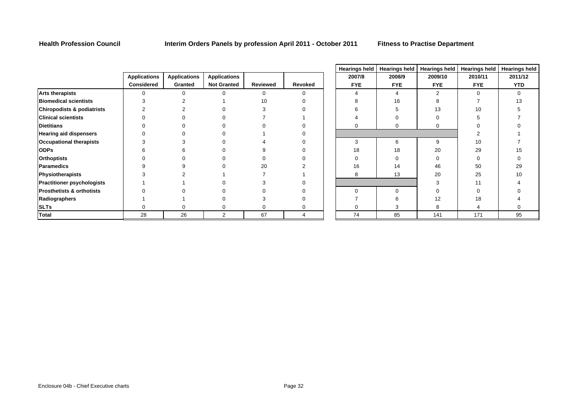|                                       |                     |                     |                     |          |          |            |            |            | nearings neight nearings neight nearings neight nearings neight nearings in |            |
|---------------------------------------|---------------------|---------------------|---------------------|----------|----------|------------|------------|------------|-----------------------------------------------------------------------------|------------|
|                                       | <b>Applications</b> | <b>Applications</b> | <b>Applications</b> |          |          | 2007/8     | 2008/9     | 2009/10    | 2010/11                                                                     | 2011/12    |
|                                       | <b>Considered</b>   | Granted             | <b>Not Granted</b>  | Reviewed | Revoked  | <b>FYE</b> | <b>FYE</b> | <b>FYE</b> | <b>FYE</b>                                                                  | <b>YTD</b> |
| <b>Arts therapists</b>                | 0                   |                     |                     |          | $\Omega$ |            |            |            | $\Omega$                                                                    | 0          |
| <b>Biomedical scientists</b>          |                     |                     |                     | 10       |          |            | 16         |            |                                                                             | 13         |
| <b>Chiropodists &amp; podiatrists</b> |                     |                     |                     |          |          |            |            | 13         | 10                                                                          |            |
| <b>Clinical scientists</b>            |                     |                     |                     |          |          |            |            |            |                                                                             |            |
| <b>Dietitians</b>                     |                     |                     |                     |          |          |            |            |            |                                                                             |            |
| <b>Hearing aid dispensers</b>         |                     |                     |                     |          |          |            |            |            |                                                                             |            |
| <b>Occupational therapists</b>        |                     |                     |                     |          |          | 3          |            | 9          | 10                                                                          |            |
| <b>ODPs</b>                           |                     |                     |                     |          |          | 18         | 18         | 20         | 29                                                                          | 15         |
| <b>Orthoptists</b>                    |                     |                     |                     |          |          |            |            |            |                                                                             |            |
| <b>Paramedics</b>                     |                     |                     |                     | 20       |          | 16         | 14         | 46         | 50                                                                          | 29         |
| Physiotherapists                      |                     |                     |                     |          |          | 8          | 13         | 20         | 25                                                                          | 10         |
| <b>Practitioner psychologists</b>     |                     |                     |                     |          |          |            |            |            |                                                                             |            |
| <b>Prosthetists &amp; orthotists</b>  |                     |                     |                     |          |          | $\Omega$   |            |            |                                                                             |            |
| Radiographers                         |                     |                     |                     |          |          |            |            | 12         | 18                                                                          |            |
| <b>SLTs</b>                           | 0                   |                     |                     |          |          |            |            | 8          |                                                                             |            |
| <b>Total</b>                          | 28                  | 26                  | 2                   | 67       |          | 74         | 85         | 141        | 171                                                                         | 95         |

|   | <b>Hearings held</b> | <b>Hearings held</b> | Hearings held  | <b>Hearings held</b> | <b>Hearings held</b>    |
|---|----------------------|----------------------|----------------|----------------------|-------------------------|
|   | 2007/8               | 2008/9               | 2009/10        | 2010/11              | 2011/12                 |
| d | <b>FYE</b>           | <b>FYE</b>           | <b>FYE</b>     | <b>FYE</b>           | <b>YTD</b>              |
|   | $\overline{4}$       | $\overline{4}$       | $\overline{2}$ | $\mathbf 0$          | $\mathbf 0$             |
|   | 8                    | 16                   | 8              | 7                    | 13                      |
|   | 6                    | 5                    | 13             | 10                   | 5                       |
|   | $\overline{4}$       | 0                    | 0              | 5                    | $\overline{7}$          |
|   | 0                    | 0                    | 0              | $\mathbf 0$          | 0                       |
|   |                      |                      |                | $\overline{2}$       | 1                       |
|   | 3                    | 6                    | 9              | 10                   | 7                       |
|   | 18                   | 18                   | 20             | 29                   | 15                      |
|   | $\mathbf 0$          | 0                    | $\mathbf 0$    | $\mathbf 0$          | $\mathbf 0$             |
|   | 16                   | 14                   | 46             | 50                   | 29                      |
|   | 8                    | 13                   | 20             | 25                   | 10                      |
|   |                      |                      | 3              | 11                   | $\overline{\mathbf{4}}$ |
|   | 0                    | $\mathbf 0$          | $\overline{0}$ | $\mathbf 0$          | $\pmb{0}$               |
|   | 7                    | 6                    | 12             | 18                   | 4                       |
|   | 0                    | 3                    | 8              | 4                    | $\mathbf 0$             |
|   | 74                   | 85                   | 141            | 171                  | 95                      |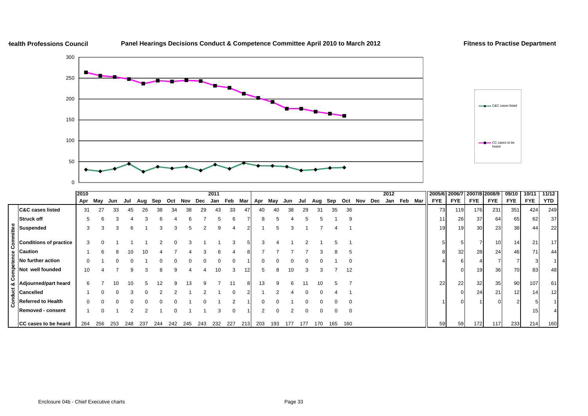

## **Panel Hearings Decisions Conduct & Competence Committee April 2010 to March 2012 Fitness to Practise Department**



|                             |                               | 2010     |     |     |     |     |     |         |     |     | 2011     |          |     |     |     |     |     |     |     |          |     |     | 2012 |     |     | 2005/6   2006/7 |            | 2007/8 2008/9 |            | 09/10      | 10/11      | 11/12      |
|-----------------------------|-------------------------------|----------|-----|-----|-----|-----|-----|---------|-----|-----|----------|----------|-----|-----|-----|-----|-----|-----|-----|----------|-----|-----|------|-----|-----|-----------------|------------|---------------|------------|------------|------------|------------|
|                             |                               | Apr      | May | Jun | Jul | Aug | Sep | Oct     | Nov | Dec | Jan      | Feb      | Mar | Apr | May | Jun | Jul | Aug | Sep | Oct      | Nov | Dec | Jan  | Feb | Mar | <b>FYE</b>      | <b>FYE</b> | <b>FYE</b>    | <b>FYE</b> | <b>FYE</b> | <b>FYE</b> | <b>YTD</b> |
|                             | <b>C&amp;C cases listed</b>   | 31       | 27  | 33  | 45  | 26  | 38  | 34      | 38  | 29  | 43       | 33       | 47  | 40  | 40  | 38  | 29  | 31  | 35  | 36       |     |     |      |     |     | 73              | 119        | 176           | 231        | 351        | 424        | 249        |
|                             | <b>Struck off</b>             |          |     |     |     |     |     |         |     |     |          | 6        |     |     |     |     |     |     |     | 9        |     |     |      |     |     | 11              | 26         | 37            | 64         | 65         | 62         | 37         |
|                             | <b>Suspended</b>              |          |     |     |     |     |     |         |     |     | 9        |          | ↷   |     | 5   |     |     |     |     |          |     |     |      |     |     | 19              | 19         | 30            | 23         | 38         | 44         | 22         |
| <b>Competence Committee</b> | <b>Conditions of practice</b> |          |     |     |     |     |     |         |     |     |          |          |     |     |     |     |     |     |     |          |     |     |      |     |     |                 |            |               | 10         | 14         | 21         | 17         |
|                             | <b>Caution</b>                |          |     |     |     |     |     |         |     |     |          |          |     |     |     |     |     |     |     |          |     |     |      |     |     |                 | 32         | 28            | 24         | 46         | 71         | 44         |
|                             | No further action             | $\Omega$ |     |     |     |     |     |         |     |     | $\Omega$ | $\Omega$ |     |     |     |     |     |     |     | $\Omega$ |     |     |      |     |     |                 |            |               |            |            |            |            |
|                             | Not well founded              | 10       |     |     |     |     |     |         |     |     | 10       | 3        |     |     |     | 10  |     |     |     | 12       |     |     |      |     |     |                 |            | 19            | 36         | 70         | 83         | 48         |
|                             | Adjourned/part heard          | 6.       |     | 10  |     |     |     | $\circ$ | 13  |     |          |          |     | 13  | 9   |     |     |     |     |          |     |     |      |     |     | 22              | 22         | 32            | 35         | 90         | 107        | 61         |
|                             | <b>Cancelled</b>              |          |     |     |     |     |     |         |     |     |          |          |     |     |     |     |     |     |     |          |     |     |      |     |     |                 |            | 24            | 21         | 12         | 14         | 12         |
| Conduct                     | <b>Referred to Health</b>     |          |     |     |     |     |     |         |     |     |          | ົ        |     |     |     |     |     |     |     | $\Omega$ |     |     |      |     |     |                 |            |               |            |            |            |            |
|                             | Removed - consent             |          |     |     |     |     |     |         |     |     |          | 0        |     |     |     |     |     |     |     | 0        |     |     |      |     |     |                 |            |               |            |            |            |            |
|                             | <b>CC cases to be heard</b>   | 264      | 256 | 253 | 248 | 237 | 244 | 242     | 245 | 243 | 232      | 227      | 213 | 203 | 193 |     |     | 170 | 165 | 160      |     |     |      |     |     | 59              | 59         | 172           | 117        | 233        | 214        | 160        |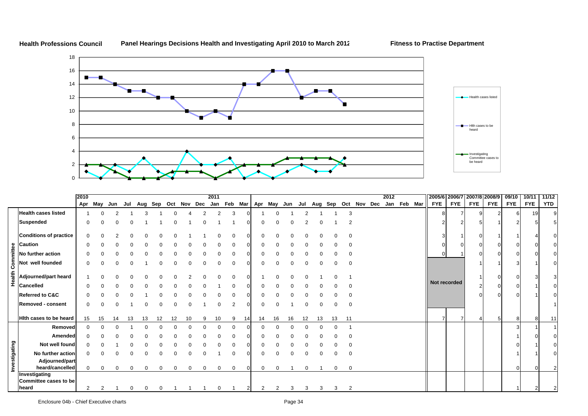

**Health Professions CouncilPanel Hearings Decisions Health and Investigating April 2010 to March 2012 Fitness to Practise Department**

|               |                                                 | 2010           |          |          |              |          |                                     |          |             |              | 2011 |          |    |             |             |    |          |                     |          |                |  | 2012 |         |              |            |            | 2005/6 2006/7 2007/8 2008/9 | 09/10      | 10/11      | 11/12    |
|---------------|-------------------------------------------------|----------------|----------|----------|--------------|----------|-------------------------------------|----------|-------------|--------------|------|----------|----|-------------|-------------|----|----------|---------------------|----------|----------------|--|------|---------|--------------|------------|------------|-----------------------------|------------|------------|----------|
|               |                                                 | Apr            | May      | Jun      |              |          | Jul Aug Sep Oct Nov Dec Jan Feb Mar |          |             |              |      |          |    |             | Apr May Jun |    | Jul      | Aug Sep Oct Nov Dec |          |                |  | Jan  | Feb Mar | <b>FYE</b>   | <b>FYE</b> | <b>FYE</b> | <b>FYE</b>                  | <b>FYE</b> | <b>FYE</b> | YTD      |
|               | <b>Health cases listed</b>                      |                |          |          |              |          |                                     |          |             |              |      |          |    |             |             |    |          |                     |          | 3              |  |      |         |              |            |            |                             |            | 19         | $\Omega$ |
|               | <b>Suspended</b>                                |                |          |          |              |          |                                     |          |             |              |      |          |    |             |             |    |          |                     |          | 2              |  |      |         |              |            |            |                             |            |            |          |
|               | <b>Conditions of practice</b>                   |                |          |          |              |          |                                     |          |             |              |      |          |    |             |             |    |          |                     |          |                |  |      |         |              |            |            |                             |            |            |          |
|               |                                                 |                |          |          |              |          |                                     |          |             |              |      |          |    |             |             |    |          |                     |          |                |  |      |         |              |            |            |                             |            |            |          |
|               | $\frac{9}{5}$ Caution<br>No further action      |                |          |          |              |          |                                     |          |             |              |      |          |    |             |             |    |          |                     |          | $\Omega$       |  |      |         | C            |            |            |                             |            |            |          |
|               | <b>E</b><br>O Not well founded                  |                |          |          |              |          |                                     |          |             |              |      |          |    |             |             |    |          |                     |          | 0              |  |      |         |              |            |            |                             |            |            |          |
|               | E<br>= Adjourned/part heard<br>= Cancelled      |                |          |          |              |          |                                     |          |             |              |      |          |    |             |             |    |          |                     |          |                |  |      |         |              |            |            |                             |            |            |          |
|               | <b>Cancelled</b>                                |                |          |          |              |          |                                     |          |             |              |      |          |    |             |             |    |          |                     |          | n              |  |      |         | Not recorded |            |            |                             |            |            |          |
|               | <b>Referred to C&amp;C</b>                      |                |          |          |              |          |                                     |          |             |              |      |          |    |             |             |    |          |                     |          | $\Omega$       |  |      |         |              |            |            |                             |            |            |          |
|               | Removed - consent                               | 0              |          |          |              |          |                                     |          |             |              |      |          |    |             |             |    |          |                     |          | 0              |  |      |         |              |            |            |                             |            |            |          |
|               | Hith cases to be heard                          | 15             | 15       | 14       | 13           |          |                                     |          | 10          |              | 10   | 9        | 14 | 14          | 16          | 16 | 12.      | 13                  | 13       | 11             |  |      |         |              |            |            |                             | 8          |            | 11       |
|               | Removed                                         |                |          |          |              |          |                                     |          |             |              |      | $\Omega$ |    |             |             |    |          |                     | $\Omega$ |                |  |      |         |              |            |            |                             |            |            |          |
|               | Amended                                         |                |          |          |              |          |                                     |          |             |              |      |          |    |             |             |    |          |                     |          | 0              |  |      |         |              |            |            |                             |            |            |          |
|               | Not well found                                  |                |          |          |              |          |                                     |          |             |              |      |          |    |             |             |    |          |                     |          |                |  |      |         |              |            |            |                             |            |            |          |
|               | No further action                               |                |          |          |              |          |                                     |          |             |              |      |          |    |             |             |    |          |                     |          | $\mathbf 0$    |  |      |         |              |            |            |                             |            |            |          |
| lnvestigating | Adjourned/part                                  |                |          |          |              |          |                                     |          |             |              |      |          |    |             |             |    |          |                     |          |                |  |      |         |              |            |            |                             |            |            |          |
|               | heard/cancelled                                 |                | $\Omega$ | $\Omega$ | <sup>0</sup> | $\Omega$ | $\Omega$                            | $\Omega$ | $\mathbf 0$ | $\mathbf{0}$ | 0    | 0        |    | $\mathbf 0$ | $\mathbf 0$ |    | $\Omega$ |                     | 0        | $\mathbf 0$    |  |      |         |              |            |            |                             | $\Omega$   |            |          |
|               | Investigating<br>Committee cases to be<br>heard | $\overline{2}$ | 2        |          |              |          |                                     |          |             |              |      |          |    |             |             | 3  | 3        | 3                   | 3        | $\overline{2}$ |  |      |         |              |            |            |                             |            |            |          |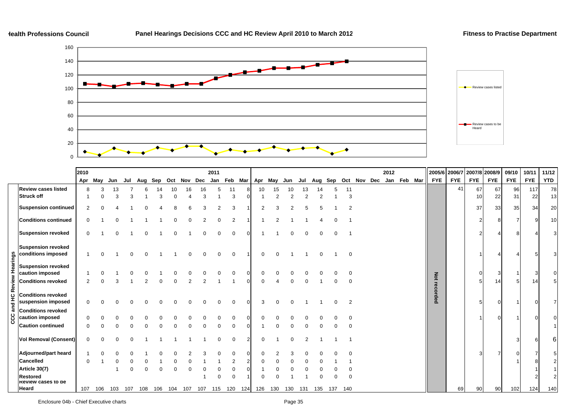

|            |                                                 | 2010           |          |     |          |          |             |          |                |          | 2011     |                     |     |     |     |     |     |                         |     |                |  | 2012 |             |              |            | 2005/6 2006/7 2007/8 2008/9 |            | 09/10      | 10/11      | 11/12      |
|------------|-------------------------------------------------|----------------|----------|-----|----------|----------|-------------|----------|----------------|----------|----------|---------------------|-----|-----|-----|-----|-----|-------------------------|-----|----------------|--|------|-------------|--------------|------------|-----------------------------|------------|------------|------------|------------|
|            |                                                 | Apr            | May      | Jun |          |          | Jul Aug Sep |          | Oct Nov Dec    |          |          | Jan Feb Mar Apr May |     |     |     | Jun |     | Jul Aug Sep Oct Nov Dec |     |                |  |      | Jan Feb Mar | <b>FYE</b>   | <b>FYE</b> | <b>FYE</b>                  | <b>FYE</b> | <b>FYE</b> | <b>FYE</b> | <b>YTD</b> |
|            | <b>Review cases listed</b>                      | 8              | 3        | 13  |          |          |             |          |                | 16       | 5        | 11                  |     | 10  | 15  |     | 13  |                         |     | 11             |  |      |             |              | 41         | 67                          | 67         | 96         | 117        | 78         |
|            | <b>Struck off</b>                               |                | $\Omega$ | 3   | 3        |          |             |          |                | 3        |          | 3                   |     |     | 2   | 2   |     |                         |     | 3              |  |      |             |              |            | 10                          | 22         | 31         | 22         | 13         |
|            | <b>Suspension continued</b>                     |                |          |     |          |          |             |          |                | 3        |          | 3                   |     | າ   |     |     |     |                         |     | $\mathcal{P}$  |  |      |             |              |            | 37                          | 33         | 35         | 34         | 20         |
|            | <b>Conditions continued</b>                     |                |          |     |          |          |             |          |                |          |          | $\overline{2}$      |     |     |     |     |     |                         |     |                |  |      |             |              |            | $\overline{2}$              |            |            | -9         | 10         |
|            | <b>Suspension revoked</b>                       | $\Omega$       |          |     |          |          |             |          |                |          |          | $\mathbf 0$         |     |     |     |     |     |                         |     |                |  |      |             |              |            |                             |            |            |            |            |
|            | <b>Suspension revoked</b><br>conditions imposed |                |          |     |          |          |             |          |                | $\Omega$ | $\Omega$ | $\mathbf 0$         |     |     |     |     |     |                         |     | $\mathbf{0}$   |  |      |             |              |            |                             | Δ          |            | 5          |            |
| Hearings   | <b>Suspension revoked</b><br>caution imposed    |                |          |     |          |          |             |          |                |          |          | $\Omega$            |     |     |     |     |     |                         |     | $\Omega$       |  |      |             |              |            |                             | 3          |            |            |            |
| Review     | <b>Conditions revoked</b>                       | $\overline{2}$ |          | 3   |          |          |             |          | $\overline{2}$ |          |          |                     |     |     |     |     |     |                         |     | 0              |  |      |             | Not recorded |            |                             | 14         |            | 14         |            |
| 잎          | <b>Conditions revoked</b><br>suspension imposed | 0              |          |     |          |          |             |          |                |          |          | $\Omega$            |     | 3   |     |     |     |                         |     | $\overline{2}$ |  |      |             |              |            |                             |            |            |            |            |
| and<br>ပ္ပ | <b>Conditions revoked</b><br>caution imposed    |                |          |     |          |          |             |          |                |          |          | O                   |     |     |     |     |     |                         |     |                |  |      |             |              |            |                             |            |            |            |            |
|            | <b>Caution continued</b>                        | $\Omega$       |          |     |          |          |             |          |                | $\Omega$ | $\Omega$ | $\Omega$            |     |     |     |     |     |                         |     | $\Omega$       |  |      |             |              |            |                             |            |            |            |            |
|            | <b>Vol Removal (Consent)</b>                    |                |          |     |          |          |             |          |                |          | $\Omega$ | $\Omega$            |     | 0   |     |     |     |                         |     |                |  |      |             |              |            |                             |            |            |            |            |
|            | Adjourned/part heard                            |                |          |     |          |          |             |          |                |          |          |                     |     |     |     |     |     |                         |     |                |  |      |             |              |            | 3                           | 7          |            |            |            |
|            | Cancelled                                       | $\Omega$       |          |     |          |          |             |          |                |          |          | $\overline{2}$      |     |     |     |     |     |                         |     |                |  |      |             |              |            |                             |            |            |            |            |
|            | Article 30(7)                                   |                |          |     | $\Omega$ | $\Omega$ |             | $\Omega$ | $\Omega$       | 0        | 0        | $\mathbf 0$         |     |     |     |     |     |                         |     | 0              |  |      |             |              |            |                             |            |            |            |            |
|            | <b>Restored</b><br><b>Review cases to be</b>    |                |          |     |          |          |             |          |                |          | 0        | 0                   |     |     |     |     |     |                         |     | $\mathbf 0$    |  |      |             |              |            |                             |            |            |            |            |
|            | <b>Heard</b>                                    | 107            | 106      | 103 | 107      | 108      | 106         | 104      | 107            | 107      | 115      | 120                 | 124 | 126 | 130 | 130 | 131 | 135                     | 137 | 140            |  |      |             |              | 69         | 90                          | 90         | 102        | 124        | 140        |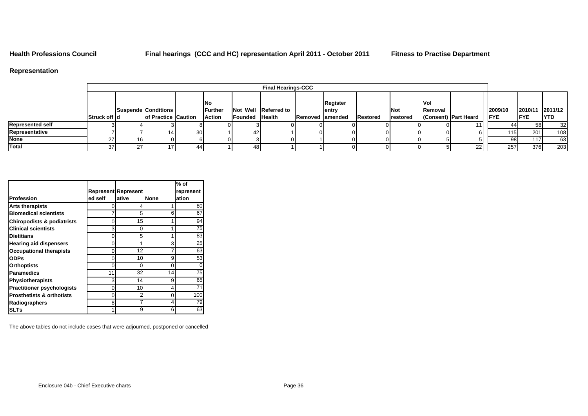### **Representation**

|                         |               |     |                     |                 |                               |                       | <b>Final Hearings-CCC</b> |                         |                 |                   |                                |                      |             |                 |             |
|-------------------------|---------------|-----|---------------------|-----------------|-------------------------------|-----------------------|---------------------------|-------------------------|-----------------|-------------------|--------------------------------|----------------------|-------------|-----------------|-------------|
|                         |               |     | Suspende Conditions |                 | <b>INo</b><br><b>IFurther</b> |                       | Not Well Referred to      | Register<br>entry       |                 | <b>Not</b>        | <b>IVol</b><br><b>IRemoval</b> |                      | 2009/10     | 2010/11 2011/12 |             |
|                         | Struck off Id |     | of Practice Caution |                 | <b>Action</b>                 | <b>Founded Health</b> |                           | <b>Removed lamended</b> | <b>Restored</b> | <b>I</b> restored |                                | (Consent) Part Heard | <b>IFYE</b> | <b>FYE</b>      | <b>IYTD</b> |
| <b>Represented self</b> |               |     |                     |                 |                               |                       |                           |                         |                 |                   |                                |                      |             |                 | 32          |
| Representative          |               |     |                     | 30 <sup>1</sup> |                               |                       |                           |                         |                 |                   |                                |                      | 1151        | 201             | 108         |
| <b>None</b>             | 27            | 161 |                     |                 |                               |                       |                           |                         |                 |                   |                                |                      | 98 I        |                 | 63          |
| Total                   | 371           |     |                     |                 |                               |                       |                           |                         |                 |                   |                                |                      | 257         | 376             | 203         |

|                                      |         |                            |             | % of      |
|--------------------------------------|---------|----------------------------|-------------|-----------|
|                                      |         | <b>Represent Represent</b> |             | represent |
| Profession                           | ed self | ative                      | <b>None</b> | ation     |
| <b>Arts therapists</b>               |         | 4                          |             | 80        |
| <b>Biomedical scientists</b>         |         | 5                          | 6           | 67        |
| Chiropodists & podiatrists           | 0       | 15                         |             | 94        |
| <b>Clinical scientists</b>           | 3       | 0                          |             | 75        |
| <b>Dietitians</b>                    | 0       | 5                          |             | 83        |
| <b>Hearing aid dispensers</b>        | 0       | 1                          | 3           | 25        |
| <b>Occupational therapists</b>       | 0       | 12                         | 7           | 63        |
| <b>ODPs</b>                          | 0       | 10                         | 9           | 53        |
| <b>Orthoptists</b>                   | 0       | $\Omega$                   | 0           |           |
| Paramedics                           | 11      | 32                         | 14          | 75        |
| <b>Physiotherapists</b>              | 3       | 14                         | 9           | 65        |
| <b>Practitioner psychologists</b>    | O       | 10                         | 4           | 71        |
| <b>Prosthetists &amp; orthotists</b> | O       | 2                          | 0           | 100       |
| Radiographers                        | 8       |                            | 4           | 79        |
| <b>ISLTs</b>                         |         | 9                          | 6           | 63        |

The above tables do not include cases that were adjourned, postponed or cancelled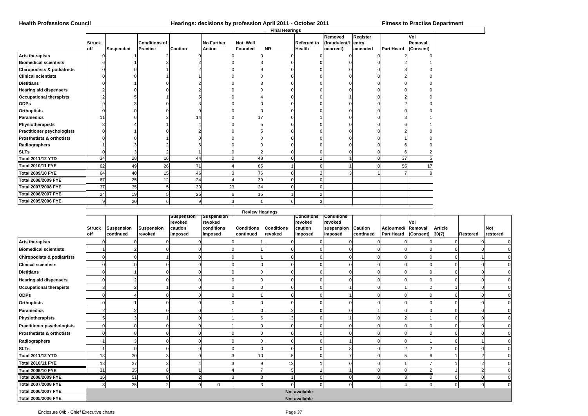# **Health Professions Council Hearings: decisions by profession April 2011 - October 2011 Fitness to Practise Department**

|                                       |               |                  |                      |                |                   |          | <b>Final Hearings</b> |                    |                     |          |                   |           |
|---------------------------------------|---------------|------------------|----------------------|----------------|-------------------|----------|-----------------------|--------------------|---------------------|----------|-------------------|-----------|
|                                       |               |                  |                      |                |                   |          |                       |                    | Removed             | Register |                   | Vol       |
|                                       | <b>Struck</b> |                  | <b>Conditions of</b> |                | <b>No Further</b> | Not Well |                       | <b>Referred to</b> | (fraudulent/i entry |          |                   | Removal   |
|                                       | <b>off</b>    | <b>Suspended</b> | Practice             | <b>Caution</b> | <b>Action</b>     | Founded  | <b>NR</b>             | <b>Health</b>      | ncorrect)           | amended  | <b>Part Heard</b> | (Consent) |
| <b>Arts therapists</b>                |               |                  |                      |                |                   |          |                       |                    |                     |          |                   |           |
| <b>Biomedical scientists</b>          |               |                  |                      |                |                   |          |                       |                    |                     |          |                   |           |
| <b>Chiropodists &amp; podiatrists</b> |               |                  |                      |                |                   |          |                       |                    |                     |          |                   |           |
| <b>Clinical scientists</b>            |               |                  |                      |                |                   |          |                       |                    |                     |          |                   |           |
| <b>Dietitians</b>                     |               |                  |                      |                |                   |          |                       |                    |                     |          |                   |           |
| <b>Hearing aid dispensers</b>         |               |                  |                      |                |                   |          |                       |                    |                     |          |                   |           |
| <b>Occupational therapists</b>        |               |                  |                      |                |                   |          |                       |                    |                     |          |                   |           |
| <b>ODPs</b>                           |               |                  |                      |                |                   |          |                       |                    |                     |          |                   |           |
| <b>Orthoptists</b>                    |               |                  |                      |                |                   |          |                       |                    |                     |          |                   |           |
| Paramedics                            | 11            |                  |                      | 14             |                   |          |                       |                    |                     |          |                   |           |
| Physiotherapists                      |               |                  |                      |                |                   |          |                       |                    |                     |          |                   |           |
| <b>Practitioner psychologists</b>     |               |                  |                      |                |                   |          |                       |                    |                     |          |                   |           |
| <b>Prosthetists &amp; orthotists</b>  |               |                  |                      |                |                   |          |                       |                    |                     |          |                   |           |
| Radiographers                         |               |                  |                      |                |                   |          |                       |                    |                     |          |                   |           |
| <b>SLTs</b>                           | 0             | 3                | $\overline{c}$       |                |                   |          |                       |                    |                     |          |                   |           |
| <b>Total 2011/12 YTD</b>              | 34            | 28               | 16                   | 44             |                   | 48       |                       |                    |                     | $\Omega$ | 37                |           |
| <b>Total 2010/11 FYE</b>              | 62            | 49               | 26                   | 71             |                   | 85       |                       | 6                  |                     | o        | 55                |           |
| <b>Total 2009/10 FYE</b>              | 64            | 40               | 15                   | 46             |                   | 76       |                       |                    |                     |          |                   |           |
| <b>Total 2008/2009 FYE</b>            | 67            | 25               | 12                   | 24             |                   | 39       |                       | $\Omega$           |                     |          |                   |           |
| <b>Total 2007/2008 FYE</b>            | 37            | 35               |                      | 30             | 23                | 24       |                       | $\Omega$           |                     |          |                   |           |
| <b>Total 2006/2007 FYE</b>            | 24            | 19               |                      | 25             |                   | 15       |                       | $\overline{2}$     |                     |          |                   |           |
| Total 2005/2006 FYE                   | 9             | 20               | 6                    |                |                   |          | 6                     | 3                  |                     |          |                   |           |

|                                       | <b>Struck</b><br>off | <b>Suspension</b><br>continued | <b>Suspension</b><br>revoked | <b>Suspension</b><br>revoked<br>caution<br>imposed | Suspension<br>revoked<br>conditions<br>imposed | <b>Conditions</b><br>continued | <b>Conditions</b><br>revoked | Conditions<br>revoked<br>caution<br>imposed | <b>Conditions</b><br>revoked<br>suspension<br>imposed | <b>Caution</b><br>continued | Adjourned/ Removal<br>Part Heard (Consent) | Vol | <b>Article</b><br>30(7) | Restored       | <b>Not</b><br>restored |
|---------------------------------------|----------------------|--------------------------------|------------------------------|----------------------------------------------------|------------------------------------------------|--------------------------------|------------------------------|---------------------------------------------|-------------------------------------------------------|-----------------------------|--------------------------------------------|-----|-------------------------|----------------|------------------------|
| <b>Arts therapists</b>                |                      |                                |                              |                                                    |                                                |                                |                              |                                             | 0                                                     |                             |                                            |     |                         |                |                        |
| <b>Biomedical scientists</b>          |                      |                                |                              |                                                    | $\Omega$                                       |                                |                              |                                             | $\Omega$                                              | C                           | $\Omega$                                   |     | $\Omega$                | $\Omega$       |                        |
| <b>Chiropodists &amp; podiatrists</b> |                      |                                |                              |                                                    | $\Omega$                                       |                                | ∩                            |                                             | $\Omega$                                              | $\Omega$                    | $\Omega$                                   |     | $\Omega$                |                |                        |
| <b>Clinical scientists</b>            |                      |                                |                              |                                                    |                                                |                                |                              |                                             | C                                                     |                             |                                            |     |                         | $\Omega$       |                        |
| <b>Dietitians</b>                     |                      |                                |                              |                                                    |                                                |                                |                              |                                             | $\Omega$                                              |                             |                                            |     |                         | $\Omega$       |                        |
| <b>Hearing aid dispensers</b>         |                      |                                |                              |                                                    |                                                |                                |                              |                                             | $\Omega$                                              |                             |                                            |     |                         | $\Omega$       |                        |
| <b>Occupational therapists</b>        |                      |                                |                              |                                                    |                                                |                                |                              |                                             |                                                       |                             |                                            |     |                         | $\Omega$       |                        |
| <b>ODPs</b>                           |                      |                                |                              |                                                    |                                                |                                |                              |                                             |                                                       | $\Omega$                    |                                            |     |                         |                |                        |
| <b>Orthoptists</b>                    |                      |                                |                              |                                                    |                                                |                                |                              |                                             | $\Omega$                                              | C                           |                                            |     |                         | $\Omega$       |                        |
| <b>Paramedics</b>                     |                      |                                |                              |                                                    |                                                |                                |                              |                                             | C                                                     |                             |                                            |     |                         |                |                        |
| Physiotherapists                      |                      |                                |                              |                                                    |                                                |                                |                              |                                             |                                                       |                             |                                            |     |                         |                |                        |
| <b>Practitioner psychologists</b>     |                      |                                | ∩                            |                                                    |                                                |                                |                              |                                             | C                                                     | $\Omega$                    |                                            |     |                         |                |                        |
| Prosthetists & orthotists             |                      |                                |                              |                                                    |                                                |                                |                              |                                             |                                                       |                             |                                            |     |                         |                |                        |
| Radiographers                         |                      |                                |                              |                                                    |                                                |                                |                              |                                             |                                                       |                             |                                            |     |                         |                |                        |
| <b>SLTs</b>                           |                      |                                |                              |                                                    |                                                |                                |                              |                                             | Ĩ.                                                    |                             |                                            |     |                         |                |                        |
| Total 2011/12 YTD                     | 13                   | 20                             |                              |                                                    | 3                                              |                                |                              |                                             | 7                                                     | $\Omega$                    |                                            |     |                         | $\overline{2}$ |                        |
| <b>Total 2010/11 FYE</b>              | 18                   | 27                             |                              |                                                    |                                                |                                | 12                           |                                             |                                                       | $\Omega$                    |                                            |     |                         | 2              |                        |
| <b>Total 2009/10 FYE</b>              | 31                   | 35                             | 8                            |                                                    |                                                |                                | 5                            |                                             |                                                       | $\Omega$                    | $\Omega$                                   |     |                         | $\overline{2}$ |                        |
| <b>Total 2008/2009 FYE</b>            | 16                   | 51                             | 8                            |                                                    | 3                                              |                                |                              |                                             | $\mathbf 0$                                           | $\mathbf 0$                 | 3                                          |     | 0                       | 0              |                        |
| Total 2007/2008 FYE                   | 8                    | 25                             | $\overline{2}$               | $\Omega$                                           | 0                                              |                                | $\Omega$                     |                                             | $\mathbf 0$                                           |                             | Δ                                          |     | $\Omega$                | $\mathbf 0$    | $\Omega$               |
| Total 2006/2007 FYE                   |                      |                                |                              |                                                    |                                                |                                |                              | Not available                               |                                                       |                             |                                            |     |                         |                |                        |
| Total 2005/2006 FYE                   |                      |                                |                              |                                                    |                                                |                                |                              | Not available                               |                                                       |                             |                                            |     |                         |                |                        |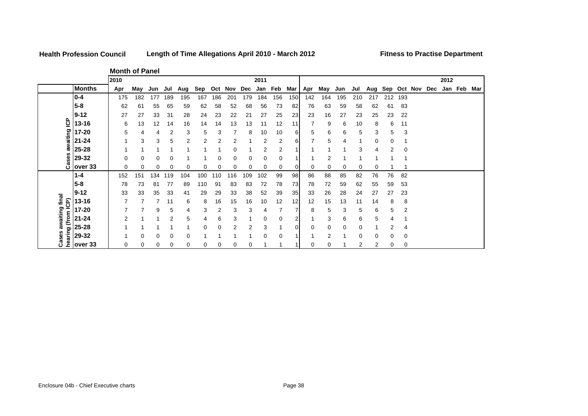### **Health Profession Council**

**Length of Time Allegations April 2010 - March 2012 Fitness to Practise Department**

**Month of Panel**

|                  |               | 2010 |          |     |     |     |     |         |     |          | 2011    |     |     |     |     |     |     |                             |     |          |  | 2012 |     |
|------------------|---------------|------|----------|-----|-----|-----|-----|---------|-----|----------|---------|-----|-----|-----|-----|-----|-----|-----------------------------|-----|----------|--|------|-----|
|                  | <b>Months</b> | Apr  | Mav      | Jun | Jul | Aug | Sep | Oct Nov |     | Dec      | Jan Feb |     | Mar | Apr | May | Jun | Jul | Aug Sep Oct Nov Dec Jan Feb |     |          |  |      | Mar |
|                  | $10 - 4$      | 175  | 182      | 177 | 189 | 195 | 167 | 186     | 201 | 179      | 184     | 156 | 150 | 142 | 164 | 195 | 210 | 217                         | 212 | 193      |  |      |     |
|                  | $5-8$         | 62   | 61       | 55  | 65  | 59  | 62  | 58      | 52  | 68       | 56      | 73  | 82  | 76  | 63  | 59  | 58  | 62                          | 61  | 83       |  |      |     |
|                  | $9 - 12$      | 27   | 27       | 33  | 31  | 28  | 24  | 23      | 22  | 21       | 27      | 25  | 23  | 23  | 16  | 27  | 23  | 25                          | 23  | 22       |  |      |     |
| င်               | 13-16         | 6    | 13       | 12  | 14  | 16  | 14  | 14      | 13  | 13       | 11      | 12  | 11  |     | 9   | 6   | 10  | 8                           | 6   | 11       |  |      |     |
|                  | 17-20         | 5    | 4        | 4   | 2   | 3   | 5   | 3       |     | 8        | 10      | 10  | 61  | 5   | 6   | 6   | 5   | 3                           | 5   | 3        |  |      |     |
| awaiting         | $21 - 24$     |      | 3        | 3   | 5   | 2   | 2   | 2       | 2   |          | 2       | 2   | 61  |     | 5   | 4   |     | 0                           | 0   |          |  |      |     |
|                  | 25-28         |      |          |     |     |     |     |         | 0   |          | 2       | 2   |     |     |     |     | 3   | 4                           | 2   | 0        |  |      |     |
| ases             | 29-32         |      | $\Omega$ | 0   | 0   |     |     | 0       | 0   | 0        | 0       | 0   |     |     | 2   |     |     |                             |     |          |  |      |     |
|                  | over 33       |      | 0        | 0   | 0   | 0   | 0   | 0       | 0   | $\Omega$ | 0       | 0   |     | 0   | 0   |     | 0   | 0                           |     |          |  |      |     |
|                  | $1 - 4$       | 152  | 151      | 134 | 119 | 104 | 100 | 110     | 116 | 109      | 102     | 99  | 98  | 86  | 88  | 85  | 82  | 76                          | 76  | 82       |  |      |     |
|                  | $5 - 8$       | 78   | 73       | 81  | 77  | 89  | 110 | 91      | 83  | 83       | 72      | 78  | 73  | 78  | 72  | 59  | 62  | 55                          | 59  | 53       |  |      |     |
|                  | $9 - 12$      | 33   | 33       | 35  | 33  | 41  | 29  | 29      | 33  | 38       | 52      | 39  | 35  | 33  | 26  | 28  | 24  | 27                          | 27  | 23       |  |      |     |
| awaiting final   | 13-16         |      |          |     | 11  | 6   | 8   | 16      | 15  | 16       | 10      | 12  | 12  | 12  | 15  | 13  | 11  | 14                          | 8   | 8        |  |      |     |
| (from ICP)       | 17-20         |      |          | 9   | 5   | 4   | 3   | 2       | 3   | 3        | 4       |     |     | 8   | 5   | 3   | 5   | 6                           | 5   | 2        |  |      |     |
|                  | $21 - 24$     |      |          |     | 2   | 5   | 4   | 6       | 3   |          | 0       | 0   |     |     | 3   | 6   | 6   | 5                           | 4   |          |  |      |     |
|                  | 25-28         |      |          |     |     |     | 0   | 0       | 2   | 2        | 3       |     | ΩI  | 0   | 0   | 0   | 0   |                             | 2   | 4        |  |      |     |
| hearing<br>Cases | 29-32         |      | $\Omega$ | 0   | 0   | 0   |     |         |     |          | 0       | 0   |     |     | 2   |     | 0   | 0                           | 0   | 0        |  |      |     |
|                  | over 33       | 0    | 0        | 0   | 0   | 0   | 0   | 0       | 0   | $\Omega$ |         |     |     | ი   | 0   |     | 2   | 2                           | 0   | $\Omega$ |  |      |     |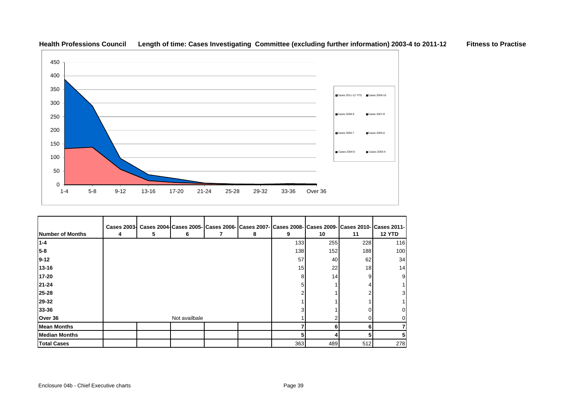

| Number of Months     | <b>Cases 2003-</b><br>4 | 5 | 6             | 8 | Cases 2004 Cases 2005   Cases 2006   Cases 2007   Cases 2008   Cases 2009   Cases 2010   Cases 2011 -  <br>9 | 10   | 11              | <b>12 YTD</b> |
|----------------------|-------------------------|---|---------------|---|--------------------------------------------------------------------------------------------------------------|------|-----------------|---------------|
| $1 - 4$              |                         |   |               |   | 133                                                                                                          | 255  | 228             | 116           |
| 5-8                  |                         |   |               |   | 138                                                                                                          | 152  | 188             | 100           |
| $9 - 12$             |                         |   |               |   | 57                                                                                                           | 40   | 62              | 34            |
| 13-16                |                         |   |               |   | 15                                                                                                           | 22   | 18 <sub>l</sub> | 14            |
| 17-20                |                         |   |               |   | 8                                                                                                            | 14   | 9               | 9             |
| 21-24                |                         |   |               |   |                                                                                                              |      |                 |               |
| 25-28                |                         |   |               |   |                                                                                                              |      |                 | 3             |
| 29-32                |                         |   |               |   |                                                                                                              |      |                 |               |
| 33-36                |                         |   |               |   |                                                                                                              |      |                 |               |
| Over 36              |                         |   | Not availbale |   |                                                                                                              |      |                 |               |
| <b>Mean Months</b>   |                         |   |               |   |                                                                                                              | 6    |                 |               |
| <b>Median Months</b> |                         |   |               |   |                                                                                                              |      |                 | 5             |
| <b>Total Cases</b>   |                         |   |               |   | 363                                                                                                          | 489I | 512             | 278           |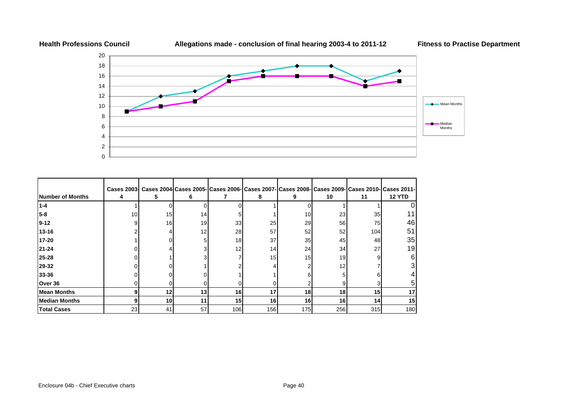

|                         | <b>Cases 2003-</b> |    |    |                 |     | Cases 2004 Cases 2005- Cases 2006- Cases 2007- Cases 2008- Cases 2009- Cases 2010- Cases 2011- |     |     |               |
|-------------------------|--------------------|----|----|-----------------|-----|------------------------------------------------------------------------------------------------|-----|-----|---------------|
| <b>Number of Months</b> | 4                  | 5  | 6  |                 | 8   | 9                                                                                              | 10  | 11  | <b>12 YTD</b> |
| $1 - 4$                 |                    |    |    |                 |     |                                                                                                |     |     |               |
| $5 - 8$                 | 10                 | 15 | 14 |                 |     | 10                                                                                             | 23  | 35  |               |
| $9 - 12$                |                    | 16 | 19 | 33              | 25  | 29                                                                                             | 56  | 75  | 46            |
| 13-16                   |                    |    | 12 | 28              | 57  | 52                                                                                             | 52  | 104 | 51            |
| 17-20                   |                    |    | 51 | 18              | 37  | 35 <sub>l</sub>                                                                                | 45  | 48  | 35            |
| 21-24                   |                    |    |    | 12              | 14  | 24                                                                                             | 34  | 27  | 19            |
| 25-28                   |                    |    |    |                 | 15  | 15                                                                                             | 19  | 9   | 6             |
| 29-32                   |                    |    |    |                 |     |                                                                                                | 12  |     |               |
| 33-36                   |                    |    |    |                 |     |                                                                                                |     |     |               |
| Over 36                 |                    |    |    |                 |     |                                                                                                |     |     |               |
| <b>Mean Months</b>      |                    | 12 | 13 | 16              | 17  | 18                                                                                             | 18  | 15  | 17            |
| <b>Median Months</b>    |                    | 10 | 11 | 15 <sub>l</sub> | 16  | 16                                                                                             | 16  | 14  | 15            |
| <b>Total Cases</b>      | 23                 | 41 | 57 | 106             | 156 | 175                                                                                            | 256 | 315 | 180           |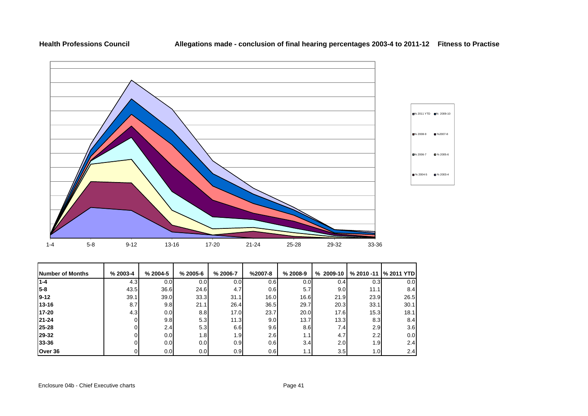### **Health Professions Council**



| Number of Months | $% 2003 - 4$ | $% 2004-5$       | $% 2005 - 6$     | % 2006-7         | $%2007-8$ | $% 2008-9$ | $%2009-10$       | % 2010 -11       | <b>% 2011 YTD</b> |
|------------------|--------------|------------------|------------------|------------------|-----------|------------|------------------|------------------|-------------------|
| 1-4              | 4.3          | 0.0 <sub>l</sub> | 0.0 <sub>l</sub> | 0.0              | 0.6       | 0.01       | 0.4              | 0.3              | 0.0               |
| $5-8$            | 43.5         | 36.6             | 24.6             | 4.7              | 0.6       | 5.7        | 9.0 <sub>l</sub> | 11.1             | 8.4               |
| $19-12$          | 39.1         | 39.0             | 33.3             | 31.1             | 16.0      | 16.6       | 21.9             | 23.9             | 26.5              |
| 13-16            | 8.7          | 9.8              | 21.1             | 26.4             | 36.5      | 29.7       | 20.3             | 33.1             | 30.1              |
| 17-20            | 4.3          | 0.0              | 8.8              | 17.0             | 23.7      | 20.0       | 17.6             | 15.3             | 18.1              |
| $21 - 24$        |              | 9.8              | 5.3              | 11.3             | 9.0       | 13.7       | 13.3             | 8.3              | 8.4               |
| 25-28            |              | 2.4              | 5.3              | 6.6              | 9.6       | 8.6        | 7.4              | 2.9              | 3.6               |
| 29-32            |              | 0.0 <sub>l</sub> | 1.8              | 1.9 <sub>1</sub> | 2.6       | 1.1'       | 4.7              | 2.2              | 0.0               |
| 33-36            |              | 0.0              | 0.0              | 0.9              | 0.6       | 3.4        | 2.0              | 1.9              | 2.4               |
| Over 36          |              | 0.01             | 0.0              | 0.9              | 0.6       | 1.1        | 3.5              | 1.0 <sub>l</sub> | 2.4               |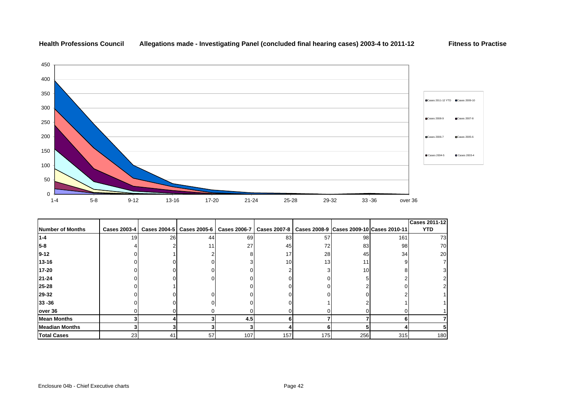



|                         |                     |    |                             |                     |                                                             |                 |     |     | <b>Cases 2011-12</b> |
|-------------------------|---------------------|----|-----------------------------|---------------------|-------------------------------------------------------------|-----------------|-----|-----|----------------------|
| <b>Number of Months</b> | <b>Cases 2003-4</b> |    | Cases 2004-5   Cases 2005-6 | <b>Cases 2006-7</b> | Cases 2007-8   Cases 2008-9   Cases 2009-10   Cases 2010-11 |                 |     |     | <b>YTD</b>           |
| $1 - 4$                 | 19 <sup>l</sup>     | 26 | 44                          | 69                  | 83                                                          | 57              | 98  | 161 | 73                   |
| 5-8                     |                     |    |                             | 27                  | 45                                                          | 72              | 83  | 98  | 70                   |
| $9 - 12$                |                     |    |                             |                     | 17                                                          | 28              | 45  | 34  | 20                   |
| 13-16                   |                     |    |                             |                     | 10 <sup>1</sup>                                             | 13 <sub>l</sub> | 11  |     |                      |
| 17-20                   |                     |    |                             |                     |                                                             |                 | 10  |     |                      |
| $21 - 24$               |                     |    |                             |                     |                                                             |                 |     |     |                      |
| 25-28                   |                     |    |                             |                     |                                                             |                 |     |     |                      |
| 29-32                   |                     |    |                             |                     |                                                             |                 |     |     |                      |
| $33 - 36$               |                     |    |                             |                     |                                                             |                 |     |     |                      |
| over 36                 |                     |    |                             |                     |                                                             |                 |     |     |                      |
| <b>Mean Months</b>      |                     |    |                             | 4.5                 |                                                             |                 |     |     |                      |
| <b>Meadian Months</b>   |                     |    |                             |                     |                                                             |                 |     |     |                      |
| <b>Total Cases</b>      | 23                  | 41 | 57                          | 107                 | 157                                                         | 175             | 256 | 315 | 180                  |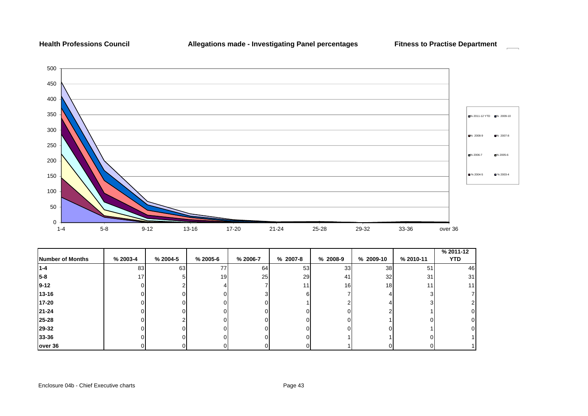### **Health Professions Council**

**Allegations made - Investigating Panel percentages Fitness to Practise Department**

 $\mathcal{L}^{\text{max}}$ 



| Number of Months | % 2003-4 | % 2004-5 | $% 2005-6$ | % 2006-7 | % 2007-8 | % 2008-9        | % 2009-10       | % 2010-11 | % 2011-12<br><b>YTD</b> |
|------------------|----------|----------|------------|----------|----------|-----------------|-----------------|-----------|-------------------------|
| $1 - 4$          | 83       | 63       | 77         | 64       | 53       | 33              | 38              | 51        | 46                      |
| $5 - 8$          | 17       |          | 19         | 25       | 29       | 41              | 32              | 31        | 31                      |
| $9 - 12$         |          |          |            |          | 11       | 16 <sub>1</sub> | 18 <sub>l</sub> |           | 11                      |
| $13 - 16$        |          |          |            |          | n        |                 |                 |           |                         |
| 17-20            |          |          |            |          |          |                 |                 |           |                         |
| 21-24            |          |          |            |          |          |                 |                 |           |                         |
| 25-28            |          |          |            |          |          |                 |                 |           |                         |
| 29-32            |          |          |            |          |          |                 |                 |           |                         |
| 33-36            |          |          |            |          |          |                 |                 |           |                         |
| over 36          |          |          |            |          |          |                 |                 |           |                         |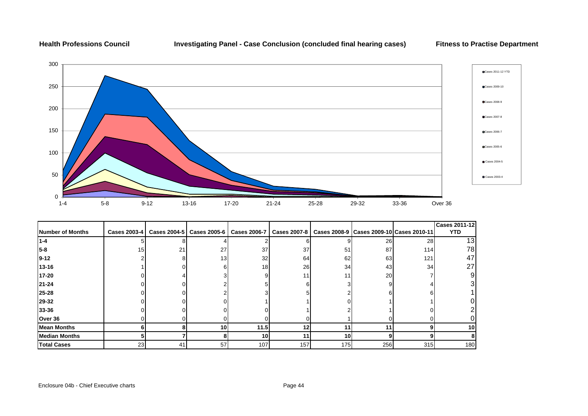## **Health Professions Council Investigating Panel - Case Conclusion (concluded final hearing cases) Fitness to Practise Department**



|                      |                     |    |                                            |                 |                     |     |                                              |     | <b>Cases 2011-12</b> |
|----------------------|---------------------|----|--------------------------------------------|-----------------|---------------------|-----|----------------------------------------------|-----|----------------------|
| Number of Months     | <b>Cases 2003-4</b> |    | Cases 2004-5   Cases 2005-6   Cases 2006-7 |                 | <b>Cases 2007-8</b> |     | Cases 2008-9   Cases 2009-10   Cases 2010-11 |     | <b>YTD</b>           |
| 1-4                  |                     |    |                                            |                 | 6                   |     | 26                                           | 28  | 13 <sub>l</sub>      |
| $5 - 8$              | 15                  | 21 | 27                                         | 37              | 37                  | 51  | 87                                           | 114 | 78                   |
| $9 - 12$             |                     |    | 13                                         | 32              | 64                  | 62  | 63                                           | 121 | 47                   |
| $13 - 16$            |                     |    | 6                                          | 18 <sup>l</sup> | 26                  | 34  | 43                                           | 34  | 27                   |
| 17-20                |                     |    |                                            | 9               | 11                  |     | 20                                           |     |                      |
| $21 - 24$            |                     |    |                                            |                 | 6                   |     |                                              |     |                      |
| 25-28                |                     |    |                                            |                 |                     |     |                                              |     |                      |
| 29-32                |                     |    |                                            |                 |                     |     |                                              |     |                      |
| 33-36                |                     |    |                                            |                 |                     |     |                                              |     |                      |
| Over 36              |                     |    |                                            |                 |                     |     |                                              |     |                      |
| <b>Mean Months</b>   |                     |    | <b>10</b>                                  | 11.5            | 12                  | 11  |                                              |     | <b>10</b>            |
| <b>Median Months</b> |                     |    |                                            | <b>10</b>       | 11                  | 10  |                                              |     |                      |
| <b>Total Cases</b>   | 23                  | 41 | 57                                         | 107             | 157                 | 175 | 256                                          | 315 | 180                  |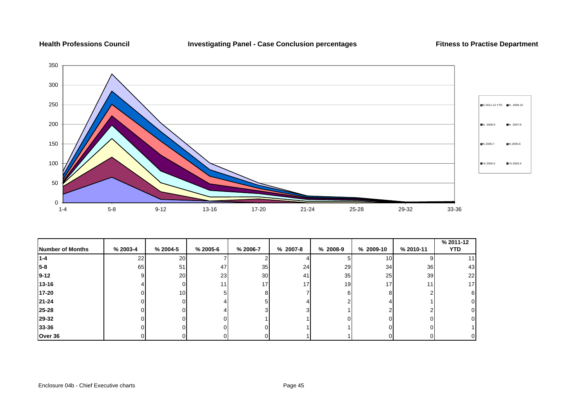**Health Professions Council Investigating Panel - Case Conclusion percentages Fitness to Practise Department**



|                  |          |                 |            |                 |                 |          |                 |           | % 2011-12 |
|------------------|----------|-----------------|------------|-----------------|-----------------|----------|-----------------|-----------|-----------|
| Number of Months | % 2003-4 | % 2004-5        | $% 2005-6$ | % 2006-7        | % 2007-8        | % 2008-9 | % 2009-10       | % 2010-11 | YTD.      |
| 11-4             | 22       | <b>20</b>       |            |                 |                 |          | 10              |           |           |
| $5-8$            | 65       | 51              | 47         | 35              | 24              | 29       | 34              | 36        | 43        |
| $19-12$          |          | <b>20</b>       | 23         | 30 <sup>l</sup> | 41              | 35       | 25              | 39        | 22        |
| $13 - 16$        |          | O.              | 11         | 17 <sub>1</sub> | 17 <sub>1</sub> | 19       | 17 <sub>1</sub> |           | 17        |
| 17-20            |          | 10 <sup>1</sup> | 51         | 8               |                 | հ        |                 |           |           |
| 21-24            |          |                 |            |                 |                 |          |                 |           |           |
| 25-28            |          |                 |            |                 | 3               |          |                 |           |           |
| 29-32            |          |                 | $\Omega$   |                 |                 |          |                 |           |           |
| 33-36            |          | n               | 0          | ΩI              |                 |          |                 |           |           |
| Over 36          |          | ΩI              | 01         |                 |                 |          |                 |           |           |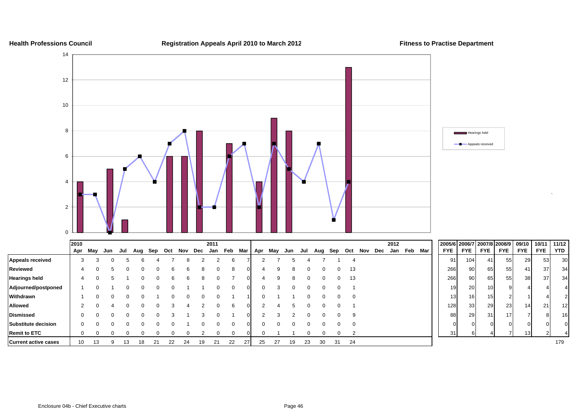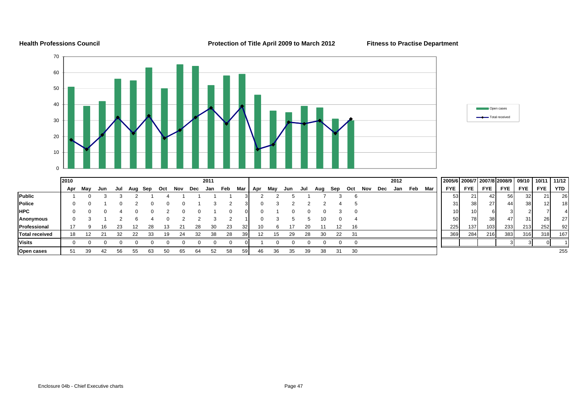### **Health Professions Council Protection of Title April 2009 to March 2012 Fitness to Practise Department**

 $11/12$ 



**Open cases |** 51 39 42 56 55 63 50 65 64 52 58 59| 46 36 35 39 38 31 30 255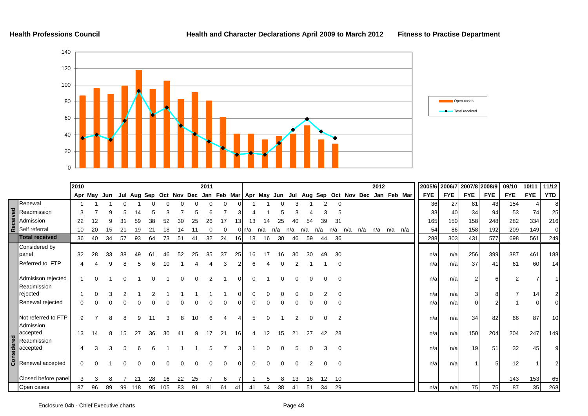

|                                   | 2010     |             |    |    |     |    |     |    |          | 2011 |    |          |           |     |          |     |          |     |                |     |     | 2012        |                                                                                     |            |            | 2005/6 2006/7 2007/8 2008/9 |            | 09/10           | 10/11      | 11/12           |
|-----------------------------------|----------|-------------|----|----|-----|----|-----|----|----------|------|----|----------|-----------|-----|----------|-----|----------|-----|----------------|-----|-----|-------------|-------------------------------------------------------------------------------------|------------|------------|-----------------------------|------------|-----------------|------------|-----------------|
|                                   |          | Apr May Jun |    |    |     |    |     |    |          |      |    |          |           |     |          |     |          |     |                |     |     |             | Jul Aug Sep Oct Nov Dec Jan Feb Mar Apr May Jun Jul Aug Sep Oct Nov Dec Jan Feb Mar | <b>FYE</b> | <b>FYE</b> | <b>FYE</b>                  | <b>FYE</b> | <b>FYE</b>      | <b>FYE</b> | <b>YTD</b>      |
| Renewal                           |          |             |    |    |     |    |     |    |          |      | 0  |          |           |     |          |     |          |     | 0              |     |     |             |                                                                                     | 36         | 27         | 81                          | 43         | 154             |            | 8               |
| Readmission                       |          |             |    |    |     |    |     |    |          |      |    |          |           |     |          |     |          |     |                |     |     |             |                                                                                     | 33         | 40         | 34                          | 94         | 53              | 74         | 25              |
| Admission                         | 22       |             |    |    |     |    |     |    | 25       | 26   |    | 13       | 13        |     | 25       |     | 54       | 39  | 31             |     |     |             |                                                                                     | 165        | 150        | 158                         | 248        | 282             | 334        | 216             |
| Self referral                     | 10       | 20          |    |    |     |    |     |    |          |      | ∩  |          | $0 \ln/a$ | n/a | n/a      | n/a | n/a      | n/a | n/a            | n/a | n/a | n/a n/a n/a |                                                                                     | 54         | 86         | 158                         | 192        | 209             | 149        | $\overline{0}$  |
| <b>Total received</b>             | 36       | 40          | 34 | 57 | 93  | 64 | 73  | 51 | 41       | 32   | 24 | 16       | 18        | 16  | 30       | 46  | 59       | 44  | 36             |     |     |             |                                                                                     | 288        | 303        | 431                         | 577        | 698             | 561        | 249             |
| Considered by<br>panel            | 32       | 28          | 33 | 38 |     | 61 |     | 52 | 25       | 35   | 37 | 25       | 16        | 17  | 16       | 30  | 30       |     | 30             |     |     |             |                                                                                     | n/a        | n/a        | 256                         | 399        | 387             | 461        | 188             |
| Referred to FTP                   |          |             |    |    |     |    |     |    |          |      | 3  |          | 6         |     |          |     |          |     | 0              |     |     |             |                                                                                     | n/al       | n/a        | 37                          | 41         | 61              | 60         | 14              |
| Admisison rejected<br>Readmission |          |             |    |    |     |    |     |    | $\Omega$ |      |    | $\Omega$ |           |     |          |     | 0        |     | $\Omega$       |     |     |             |                                                                                     | n/a        | n/a        |                             |            |                 |            |                 |
| rejected                          |          |             |    |    |     |    |     |    |          |      |    |          |           |     |          |     |          |     |                |     |     |             |                                                                                     | n/a        | n/a        |                             |            |                 | 141        |                 |
| Renewal rejected                  |          |             |    |    |     |    |     |    |          |      |    |          |           |     |          |     |          |     |                |     |     |             |                                                                                     | n/a        | n/a        |                             |            |                 |            |                 |
| Not referred to FTP<br>Admission  | 9        |             |    |    |     |    |     | 8  | 10       | 6    |    |          | 5         | U   |          |     | 0        |     | $\overline{2}$ |     |     |             |                                                                                     | n/a        | n/a        | 34                          | 82         | 66              | 87         | 10 <sup>1</sup> |
| accepted<br>Readmission           | 13       | 14          |    | 15 | 27  | 36 | 30  | 41 | 9        | 17   | 21 | 16       | 4         | 12  | 15       | 21  | 27       | 42  | 28             |     |     |             |                                                                                     | n/a        | n/a        | 150                         | 204        | 204             | 247        | 149             |
| accepted                          |          |             | 3  | 5  |     |    |     |    |          |      |    |          |           | 0   | $\Omega$ | 5   | $\Omega$ |     | $\mathbf 0$    |     |     |             |                                                                                     | n/al       | n/a        | 19                          | 51         | 32 <sub>l</sub> | 45         |                 |
| Renewal accepted                  | $\Omega$ |             |    |    |     |    |     |    |          |      | ∩  |          |           |     |          |     |          |     | $\Omega$       |     |     |             |                                                                                     | n/a        | n/a        |                             |            | 12 <sup>1</sup> |            |                 |
| Closed before panel               | 3        |             | 8  |    | 21  | 28 | 16  | 22 | 25       |      | 6  |          |           | 5   | 8        | 13  | 16       | 12  | 10             |     |     |             |                                                                                     |            |            |                             |            | 143             | 153        | 65              |
| Open cases                        | 87       | 96          | 89 | 99 | 118 | 95 | 105 | 83 | 91       | 81   | 61 | 41       | 41        | 34  | 38       | 41  | 51       | 34  | 29             |     |     |             |                                                                                     | n/a        | n/a        | 75                          | 75         | 87              | 35         | 268             |